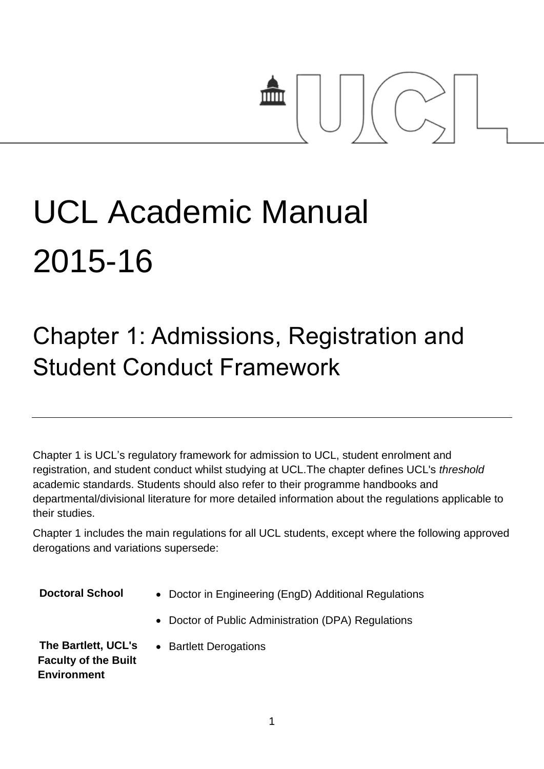# mm

## UCL Academic Manual 2015-16

### Chapter 1: Admissions, Registration and Student Conduct Framework

Chapter 1 is UCL's regulatory framework for admission to UCL, student enrolment and registration, and student conduct whilst studying at UCL.The chapter defines UCL's *threshold* academic standards. Students should also refer to their programme handbooks and departmental/divisional literature for more detailed information about the regulations applicable to their studies.

Chapter 1 includes the main regulations for all UCL students, except where the following approved derogations and variations supersede:

- **Doctoral School** . Doctor in Engineering (EngD) Additional Regulations
	- Doctor of Public Administration (DPA) Regulations

**The Bartlett, UCL's Faculty of the Built Environment**

• Bartlett Derogations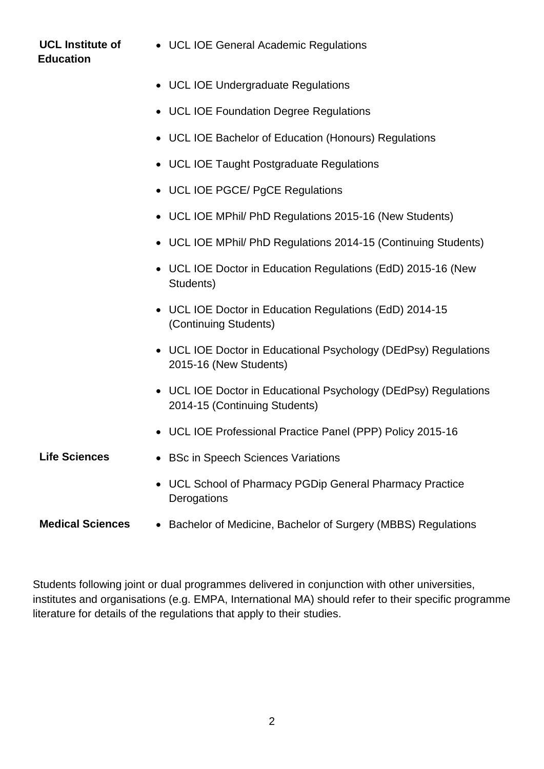### **UCL Institute of Education** UCL IOE General Academic Regulations UCL IOE Undergraduate Regulations UCL IOE Foundation Degree Regulations UCL IOE Bachelor of Education (Honours) Regulations UCL IOE Taught Postgraduate Regulations UCL IOE PGCE/ PgCE Regulations UCL IOE MPhil/ PhD Regulations 2015-16 (New Students) UCL IOE MPhil/ PhD Regulations 2014-15 (Continuing Students) UCL IOE Doctor in Education Regulations (EdD) 2015-16 (New Students) UCL IOE Doctor in Education Regulations (EdD) 2014-15 (Continuing Students) • UCL IOE Doctor in Educational Psychology (DEdPsy) Regulations 2015-16 (New Students) UCL IOE Doctor in Educational Psychology (DEdPsy) Regulations 2014-15 (Continuing Students) UCL IOE Professional Practice Panel (PPP) Policy 2015-16 Life Sciences **•** BSc in Speech Sciences Variations UCL School of Pharmacy PGDip General Pharmacy Practice **Derogations**

#### **Medical Sciences** . Bachelor of Medicine, Bachelor of Surgery (MBBS) Regulations

Students following joint or dual programmes delivered in conjunction with other universities, institutes and organisations (e.g. EMPA, International MA) should refer to their specific programme literature for details of the regulations that apply to their studies.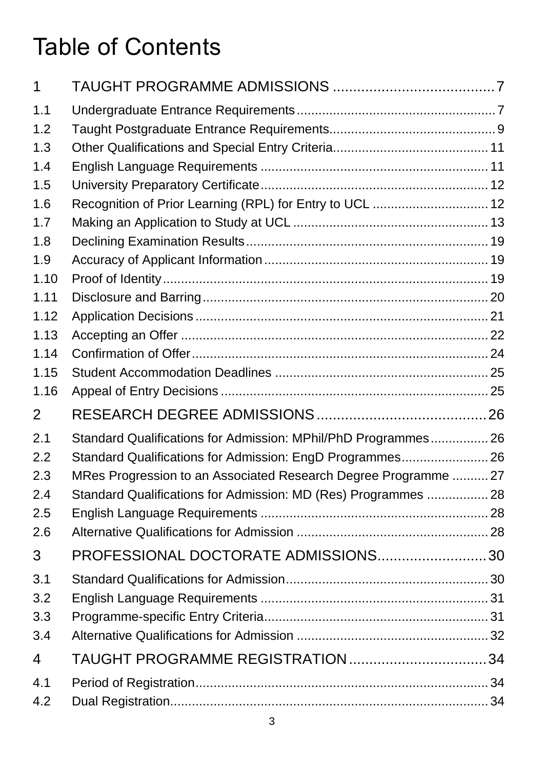### Table of Contents

| 1    |                                                                 |  |
|------|-----------------------------------------------------------------|--|
| 1.1  |                                                                 |  |
| 1.2  |                                                                 |  |
| 1.3  |                                                                 |  |
| 1.4  |                                                                 |  |
| 1.5  |                                                                 |  |
| 1.6  | Recognition of Prior Learning (RPL) for Entry to UCL  12        |  |
| 1.7  |                                                                 |  |
| 1.8  |                                                                 |  |
| 1.9  |                                                                 |  |
| 1.10 |                                                                 |  |
| 1.11 |                                                                 |  |
| 1.12 |                                                                 |  |
| 1.13 |                                                                 |  |
| 1.14 |                                                                 |  |
| 1.15 |                                                                 |  |
| 1.16 |                                                                 |  |
| 2    |                                                                 |  |
| 2.1  | Standard Qualifications for Admission: MPhil/PhD Programmes 26  |  |
| 2.2  | Standard Qualifications for Admission: EngD Programmes 26       |  |
| 2.3  | MRes Progression to an Associated Research Degree Programme  27 |  |
| 2.4  | Standard Qualifications for Admission: MD (Res) Programmes 28   |  |
| 2.5  |                                                                 |  |
| 2.6  |                                                                 |  |
| 3    | PROFESSIONAL DOCTORATE ADMISSIONS30                             |  |
| 3.1  |                                                                 |  |
| 3.2  |                                                                 |  |
| 3.3  |                                                                 |  |
| 3.4  |                                                                 |  |
| 4    |                                                                 |  |
| 4.1  |                                                                 |  |
| 4.2  |                                                                 |  |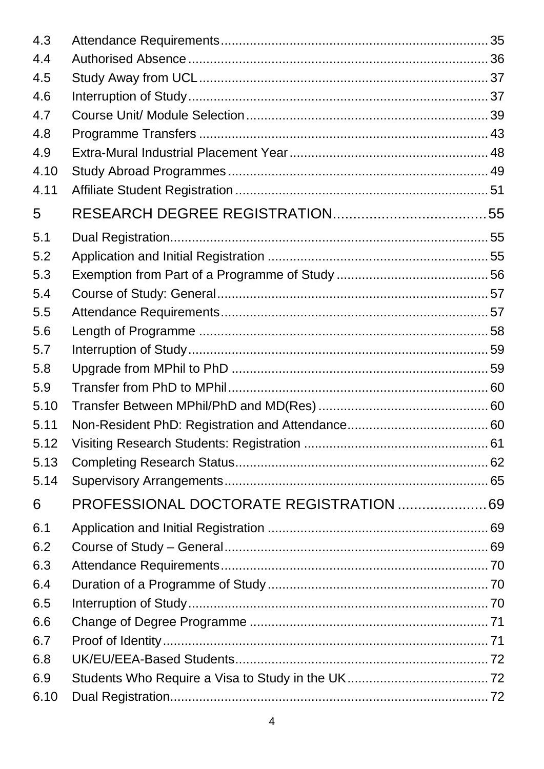| 4.3  |                                        |  |
|------|----------------------------------------|--|
| 4.4  |                                        |  |
| 4.5  |                                        |  |
| 4.6  |                                        |  |
| 4.7  |                                        |  |
| 4.8  |                                        |  |
| 4.9  |                                        |  |
| 4.10 |                                        |  |
| 4.11 |                                        |  |
| 5    |                                        |  |
| 5.1  |                                        |  |
| 5.2  |                                        |  |
| 5.3  |                                        |  |
| 5.4  |                                        |  |
| 5.5  |                                        |  |
| 5.6  |                                        |  |
| 5.7  |                                        |  |
| 5.8  |                                        |  |
| 5.9  |                                        |  |
| 5.10 |                                        |  |
| 5.11 |                                        |  |
| 5.12 |                                        |  |
| 5.13 |                                        |  |
| 5.14 |                                        |  |
| 6    | PROFESSIONAL DOCTORATE REGISTRATION 69 |  |
| 6.1  |                                        |  |
| 6.2  |                                        |  |
| 6.3  |                                        |  |
| 6.4  |                                        |  |
| 6.5  |                                        |  |
| 6.6  |                                        |  |
| 6.7  |                                        |  |
| 6.8  |                                        |  |
| 6.9  |                                        |  |
| 6.10 |                                        |  |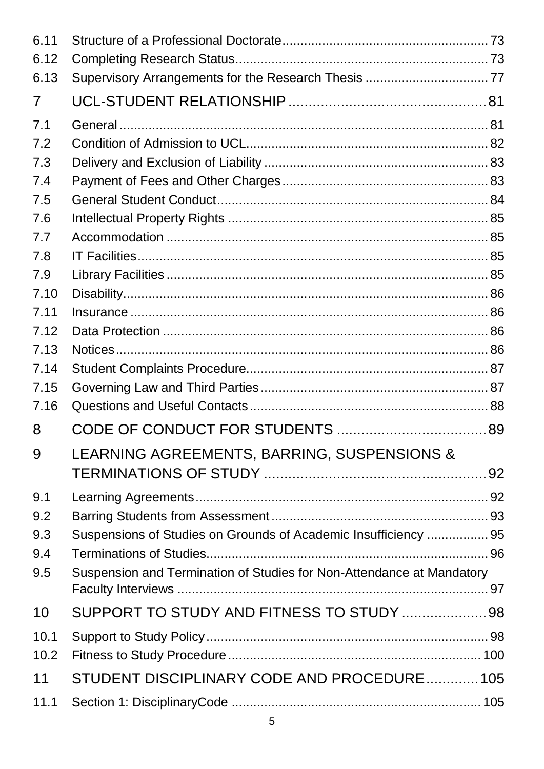| LEARNING AGREEMENTS, BARRING, SUSPENSIONS &                           |
|-----------------------------------------------------------------------|
|                                                                       |
|                                                                       |
|                                                                       |
| Suspensions of Studies on Grounds of Academic Insufficiency  95       |
|                                                                       |
| Suspension and Termination of Studies for Non-Attendance at Mandatory |
|                                                                       |
| SUPPORT TO STUDY AND FITNESS TO STUDY 98                              |
|                                                                       |
|                                                                       |
|                                                                       |
| STUDENT DISCIPLINARY CODE AND PROCEDURE 105                           |
|                                                                       |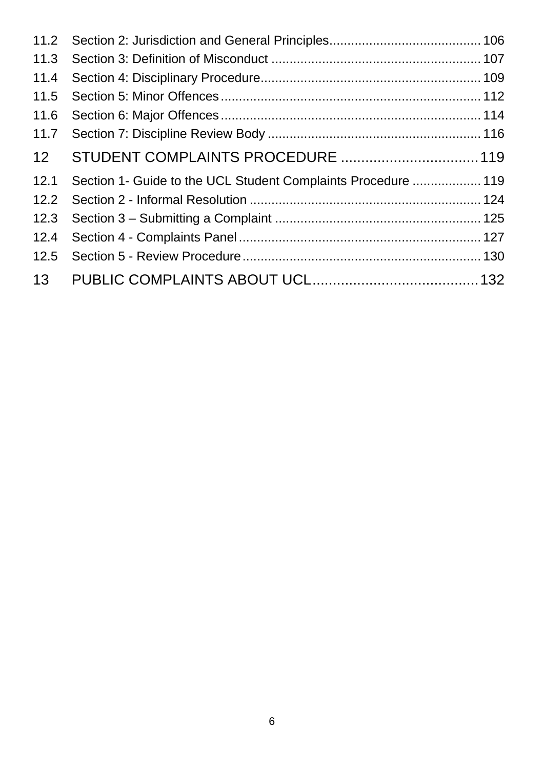| 11.2            |                                                               |  |
|-----------------|---------------------------------------------------------------|--|
| 11.3            |                                                               |  |
| 11.4            |                                                               |  |
| 11.5            |                                                               |  |
| 11.6            |                                                               |  |
| 11.7            |                                                               |  |
| 12 <sup>2</sup> |                                                               |  |
| 12.1            | Section 1- Guide to the UCL Student Complaints Procedure  119 |  |
| 12.2            |                                                               |  |
| 12.3            |                                                               |  |
| 12.4            |                                                               |  |
| 12.5            |                                                               |  |
| 13              |                                                               |  |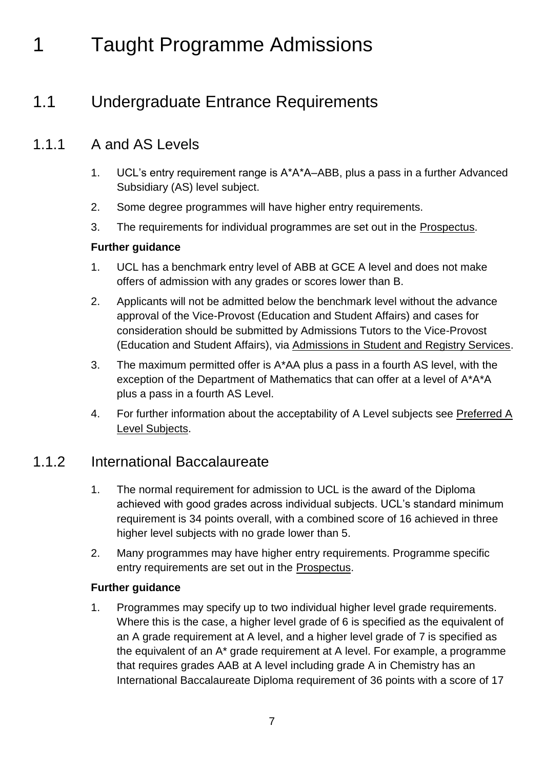### <span id="page-6-0"></span>1 Taught Programme Admissions

### <span id="page-6-1"></span>1.1 Undergraduate Entrance Requirements

### 1.1.1 A and AS Levels

- 1. UCL's entry requirement range is A\*A\*A–ABB, plus a pass in a further Advanced Subsidiary (AS) level subject.
- 2. Some degree programmes will have higher entry requirements.
- 3. The requirements for individual programmes are set out in the [Prospectus.](http://www.ucl.ac.uk/prospective-students/)

#### **Further guidance**

- 1. UCL has a benchmark entry level of ABB at GCE A level and does not make offers of admission with any grades or scores lower than B.
- 2. Applicants will not be admitted below the benchmark level without the advance approval of the Vice-Provost (Education and Student Affairs) and cases for consideration should be submitted by Admissions Tutors to the Vice-Provost (Education and Student Affairs), via [Admissions in Student and Registry Services.](http://www.ucl.ac.uk/srs/our-services/access-and-admissions)
- 3. The maximum permitted offer is A\*AA plus a pass in a fourth AS level, with the exception of the Department of Mathematics that can offer at a level of A\*A\*A plus a pass in a fourth AS Level.
- 4. For further information about the acceptability of A Level subjects see [Preferred A](http://www.ucl.ac.uk/prospective-students/undergraduate/application/requirements/a-levels/preferred-a-levels)  [Level Subjects.](http://www.ucl.ac.uk/prospective-students/undergraduate/application/requirements/a-levels/preferred-a-levels)

### 1.1.2 International Baccalaureate

- 1. The normal requirement for admission to UCL is the award of the Diploma achieved with good grades across individual subjects. UCL's standard minimum requirement is 34 points overall, with a combined score of 16 achieved in three higher level subjects with no grade lower than 5.
- 2. Many programmes may have higher entry requirements. Programme specific entry requirements are set out in the [Prospectus.](http://www.ucl.ac.uk/prospective-students/)

#### **Further guidance**

1. Programmes may specify up to two individual higher level grade requirements. Where this is the case, a higher level grade of 6 is specified as the equivalent of an A grade requirement at A level, and a higher level grade of 7 is specified as the equivalent of an A\* grade requirement at A level. For example, a programme that requires grades AAB at A level including grade A in Chemistry has an International Baccalaureate Diploma requirement of 36 points with a score of 17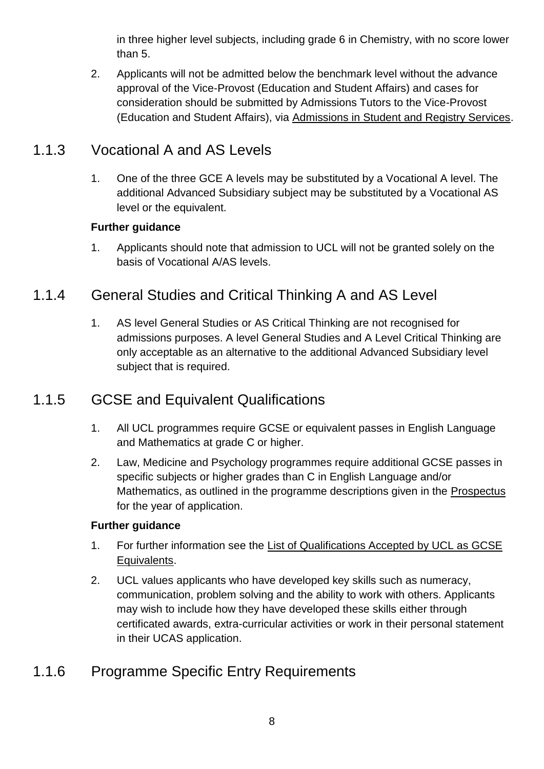in three higher level subjects, including grade 6 in Chemistry, with no score lower than 5.

2. Applicants will not be admitted below the benchmark level without the advance approval of the Vice-Provost (Education and Student Affairs) and cases for consideration should be submitted by Admissions Tutors to the Vice-Provost (Education and Student Affairs), via [Admissions in Student and Registry Services.](http://www.ucl.ac.uk/srs/our-services/access-and-admissions)

### 1.1.3 Vocational A and AS Levels

1. One of the three GCE A levels may be substituted by a Vocational A level. The additional Advanced Subsidiary subject may be substituted by a Vocational AS level or the equivalent.

#### **Further guidance**

1. Applicants should note that admission to UCL will not be granted solely on the basis of Vocational A/AS levels.

### 1.1.4 General Studies and Critical Thinking A and AS Level

1. AS level General Studies or AS Critical Thinking are not recognised for admissions purposes. A level General Studies and A Level Critical Thinking are only acceptable as an alternative to the additional Advanced Subsidiary level subject that is required.

### 1.1.5 GCSE and Equivalent Qualifications

- 1. All UCL programmes require GCSE or equivalent passes in English Language and Mathematics at grade C or higher.
- 2. Law, Medicine and Psychology programmes require additional GCSE passes in specific subjects or higher grades than C in English Language and/or Mathematics, as outlined in the programme descriptions given in the [Prospectus](http://www.ucl.ac.uk/prospective-students/) for the year of application.

#### **Further guidance**

- 1. For further information see the [List of Qualifications Accepted by UCL as GCSE](http://www.ucl.ac.uk/prospective-students/undergraduate/application/requirements/a-levels/preferred-a-levels)  [Equivalents.](http://www.ucl.ac.uk/prospective-students/undergraduate/application/requirements/a-levels/preferred-a-levels)
- 2. UCL values applicants who have developed key skills such as numeracy, communication, problem solving and the ability to work with others. Applicants may wish to include how they have developed these skills either through certificated awards, extra-curricular activities or work in their personal statement in their UCAS application.

### 1.1.6 Programme Specific Entry Requirements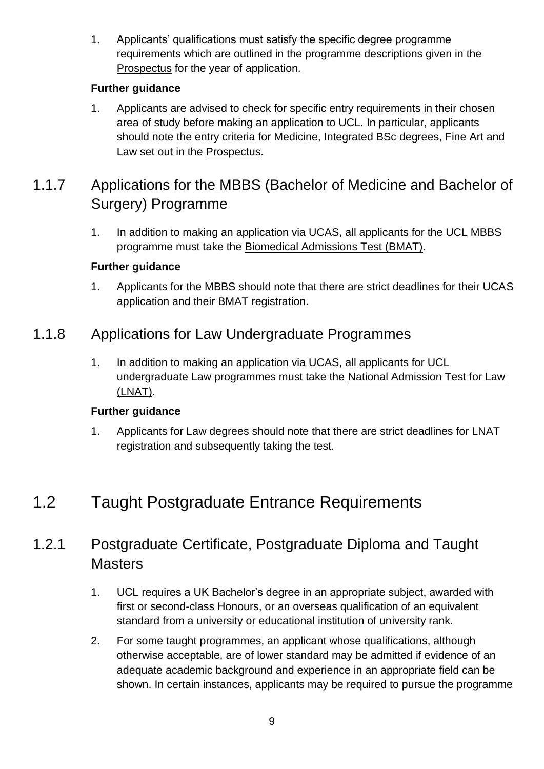1. Applicants' qualifications must satisfy the specific degree programme requirements which are outlined in the programme descriptions given in the [Prospectus](http://www.ucl.ac.uk/prospective-students/) for the year of application.

### **Further guidance**

1. Applicants are advised to check for specific entry requirements in their chosen area of study before making an application to UCL. In particular, applicants should note the entry criteria for Medicine, Integrated BSc degrees, Fine Art and Law set out in the [Prospectus.](http://www.ucl.ac.uk/prospective-students/)

### 1.1.7 Applications for the MBBS (Bachelor of Medicine and Bachelor of Surgery) Programme

1. In addition to making an application via UCAS, all applicants for the UCL MBBS programme must take the [Biomedical Admissions Test \(BMAT\).](http://www.admissionstestingservice.org/our-services/medicine-and-healthcare/bmat/about-bmat/)

#### **Further guidance**

1. Applicants for the MBBS should note that there are strict deadlines for their UCAS application and their BMAT registration.

### 1.1.8 Applications for Law Undergraduate Programmes

1. In addition to making an application via UCAS, all applicants for UCL undergraduate Law programmes must take the [National Admission Test for Law](http://www.lnat.ac.uk/)  [\(LNAT\).](http://www.lnat.ac.uk/)

### **Further guidance**

1. Applicants for Law degrees should note that there are strict deadlines for LNAT registration and subsequently taking the test.

### <span id="page-8-0"></span>1.2 Taught Postgraduate Entrance Requirements

### 1.2.1 Postgraduate Certificate, Postgraduate Diploma and Taught **Masters**

- 1. UCL requires a UK Bachelor's degree in an appropriate subject, awarded with first or second-class Honours, or an overseas qualification of an equivalent standard from a university or educational institution of university rank.
- 2. For some taught programmes, an applicant whose qualifications, although otherwise acceptable, are of lower standard may be admitted if evidence of an adequate academic background and experience in an appropriate field can be shown. In certain instances, applicants may be required to pursue the programme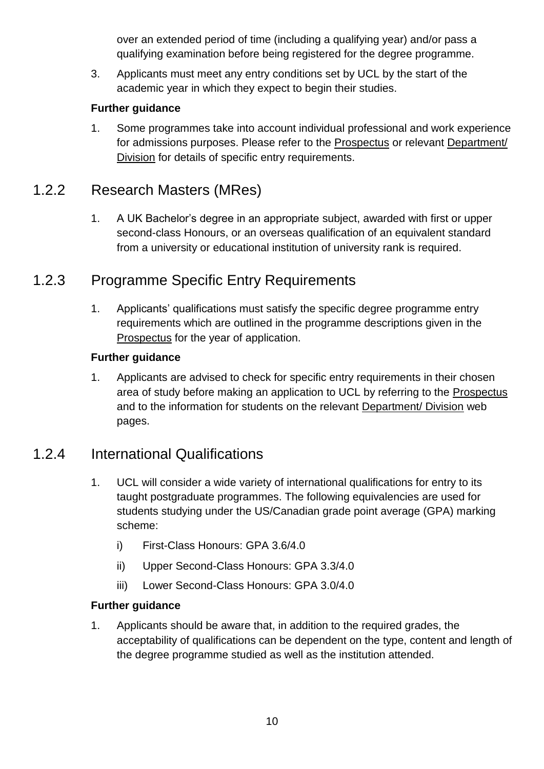over an extended period of time (including a qualifying year) and/or pass a qualifying examination before being registered for the degree programme.

3. Applicants must meet any entry conditions set by UCL by the start of the academic year in which they expect to begin their studies.

#### **Further guidance**

1. Some programmes take into account individual professional and work experience for admissions purposes. Please refer to the [Prospectus](http://www.ucl.ac.uk/prospective-students/) or relevant [Department/](http://www.ucl.ac.uk/departments/a-z)  [Division](http://www.ucl.ac.uk/departments/a-z) for details of specific entry requirements.

### 1.2.2 Research Masters (MRes)

1. A UK Bachelor's degree in an appropriate subject, awarded with first or upper second-class Honours, or an overseas qualification of an equivalent standard from a university or educational institution of university rank is required.

### 1.2.3 Programme Specific Entry Requirements

1. Applicants' qualifications must satisfy the specific degree programme entry requirements which are outlined in the programme descriptions given in the [Prospectus](http://www.ucl.ac.uk/prospective-students/) for the year of application.

#### **Further guidance**

1. Applicants are advised to check for specific entry requirements in their chosen area of study before making an application to UCL by referring to the [Prospectus](http://www.ucl.ac.uk/prospective-students/) and to the information for students on the relevant [Department/ Division](http://www.ucl.ac.uk/departments/a-z) web pages.

### 1.2.4 International Qualifications

- 1. UCL will consider a wide variety of international qualifications for entry to its taught postgraduate programmes. The following equivalencies are used for students studying under the US/Canadian grade point average (GPA) marking scheme:
	- i) First-Class Honours: GPA 3.6/4.0
	- ii) Upper Second-Class Honours: GPA 3.3/4.0
	- iii) Lower Second-Class Honours: GPA 3.0/4.0

#### **Further guidance**

1. Applicants should be aware that, in addition to the required grades, the acceptability of qualifications can be dependent on the type, content and length of the degree programme studied as well as the institution attended.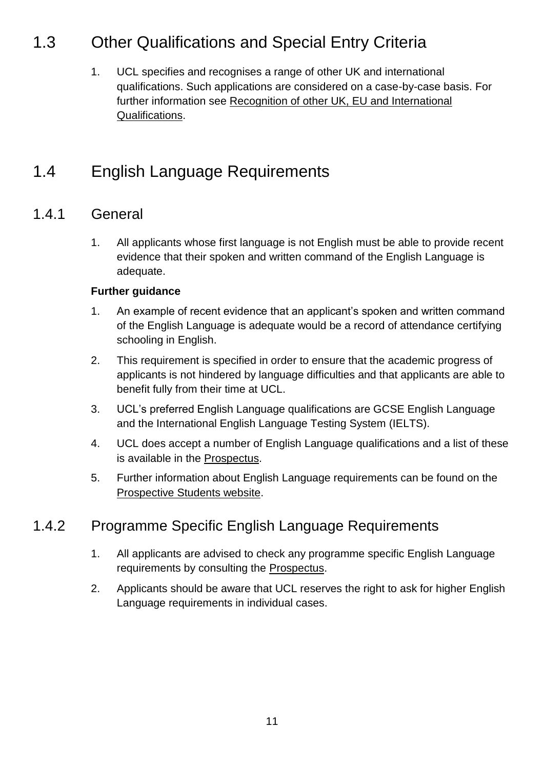### <span id="page-10-0"></span>1.3 Other Qualifications and Special Entry Criteria

1. UCL specifies and recognises a range of other UK and international qualifications. Such applications are considered on a case-by-case basis. For further information see [Recognition of other UK, EU and International](http://www.ucl.ac.uk/prospective-students/undergraduate-study/application-and-entry/other-qualifications/)  [Qualifications.](http://www.ucl.ac.uk/prospective-students/undergraduate-study/application-and-entry/other-qualifications/)

### <span id="page-10-1"></span>1.4 English Language Requirements

### 1.4.1 General

1. All applicants whose first language is not English must be able to provide recent evidence that their spoken and written command of the English Language is adequate.

#### **Further guidance**

- 1. An example of recent evidence that an applicant's spoken and written command of the English Language is adequate would be a record of attendance certifying schooling in English.
- 2. This requirement is specified in order to ensure that the academic progress of applicants is not hindered by language difficulties and that applicants are able to benefit fully from their time at UCL.
- 3. UCL's preferred English Language qualifications are GCSE English Language and the International English Language Testing System (IELTS).
- 4. UCL does accept a number of English Language qualifications and a list of these is available in the [Prospectus.](http://www.ucl.ac.uk/prospective-students/undergraduate/application/requirements/english-requirements/accepted-english-qualifications)
- 5. Further information about English Language requirements can be found on the [Prospective Students website.](http://www.ucl.ac.uk/prospective-students/)

### 1.4.2 Programme Specific English Language Requirements

- 1. All applicants are advised to check any programme specific English Language requirements by consulting the [Prospectus.](http://www.ucl.ac.uk/prospective-students/)
- <span id="page-10-2"></span>2. Applicants should be aware that UCL reserves the right to ask for higher English Language requirements in individual cases.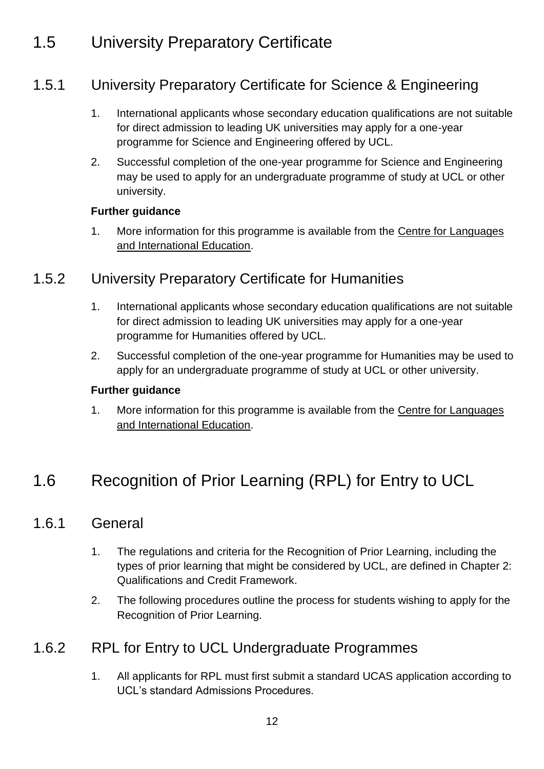### 1.5 University Preparatory Certificate

### 1.5.1 University Preparatory Certificate for Science & Engineering

- 1. International applicants whose secondary education qualifications are not suitable for direct admission to leading UK universities may apply for a one-year programme for Science and Engineering offered by UCL.
- 2. Successful completion of the one-year programme for Science and Engineering may be used to apply for an undergraduate programme of study at UCL or other university.

#### **Further guidance**

1. More information for this programme is available from the [Centre for Languages](http://www.ucl.ac.uk/clie)  [and International Education.](http://www.ucl.ac.uk/clie)

### 1.5.2 University Preparatory Certificate for Humanities

- 1. International applicants whose secondary education qualifications are not suitable for direct admission to leading UK universities may apply for a one-year programme for Humanities offered by UCL.
- 2. Successful completion of the one-year programme for Humanities may be used to apply for an undergraduate programme of study at UCL or other university.

#### **Further guidance**

1. More information for this programme is available from the [Centre for Languages](file://///File02.ucl.ac.uk/grp01$/AS_Share/Academic%20Regulations/Academic%20Regulations%202015-16%20DRAFT/Centre%20for%20Languages%20and%20International%20Education)  [and International Education.](file://///File02.ucl.ac.uk/grp01$/AS_Share/Academic%20Regulations/Academic%20Regulations%202015-16%20DRAFT/Centre%20for%20Languages%20and%20International%20Education)

### <span id="page-11-0"></span>1.6 Recognition of Prior Learning (RPL) for Entry to UCL

### 1.6.1 General

- 1. The regulations and criteria for the Recognition of Prior Learning, including the types of prior learning that might be considered by UCL, are defined in Chapter 2: Qualifications and Credit Framework.
- 2. The following procedures outline the process for students wishing to apply for the Recognition of Prior Learning.

### 1.6.2 RPL for Entry to UCL Undergraduate Programmes

1. All applicants for RPL must first submit a standard UCAS application according to UCL's standard Admissions Procedures.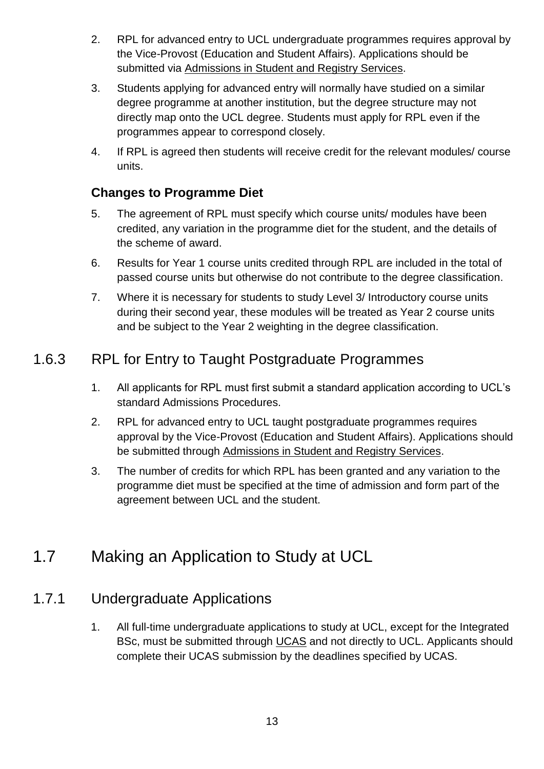- 2. RPL for advanced entry to UCL undergraduate programmes requires approval by the Vice-Provost (Education and Student Affairs). Applications should be submitted via [Admissions in Student and Registry Services.](http://www.ucl.ac.uk/srs/our-services/access-and-admissions)
- 3. Students applying for advanced entry will normally have studied on a similar degree programme at another institution, but the degree structure may not directly map onto the UCL degree. Students must apply for RPL even if the programmes appear to correspond closely.
- 4. If RPL is agreed then students will receive credit for the relevant modules/ course units.

### **Changes to Programme Diet**

- 5. The agreement of RPL must specify which course units/ modules have been credited, any variation in the programme diet for the student, and the details of the scheme of award.
- 6. Results for Year 1 course units credited through RPL are included in the total of passed course units but otherwise do not contribute to the degree classification.
- 7. Where it is necessary for students to study Level 3/ Introductory course units during their second year, these modules will be treated as Year 2 course units and be subject to the Year 2 weighting in the degree classification.

### 1.6.3 RPL for Entry to Taught Postgraduate Programmes

- 1. All applicants for RPL must first submit a standard application according to UCL's standard Admissions Procedures.
- 2. RPL for advanced entry to UCL taught postgraduate programmes requires approval by the Vice-Provost (Education and Student Affairs). Applications should be submitted through [Admissions in Student and Registry Services.](http://www.ucl.ac.uk/srs/our-services/access-and-admissions)
- 3. The number of credits for which RPL has been granted and any variation to the programme diet must be specified at the time of admission and form part of the agreement between UCL and the student.

### <span id="page-12-0"></span>1.7 Making an Application to Study at UCL

### 1.7.1 Undergraduate Applications

1. All full-time undergraduate applications to study at UCL, except for the Integrated BSc, must be submitted through [UCAS](https://www.ucas.com/) and not directly to UCL. Applicants should complete their UCAS submission by the deadlines specified by UCAS.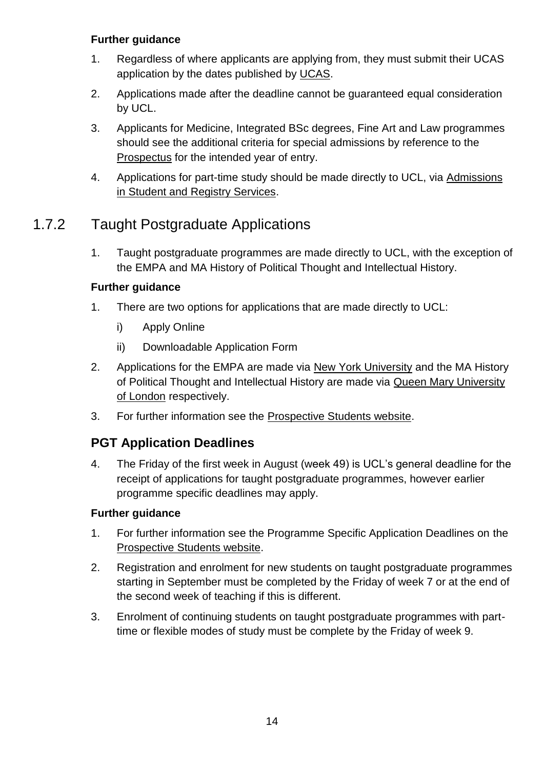- 1. Regardless of where applicants are applying from, they must submit their UCAS application by the dates published by [UCAS.](https://www.ucas.com/)
- 2. Applications made after the deadline cannot be guaranteed equal consideration by UCL.
- 3. Applicants for Medicine, Integrated BSc degrees, Fine Art and Law programmes should see the additional criteria for special admissions by reference to the [Prospectus](http://www.ucl.ac.uk/prospective-students/) for the intended year of entry.
- 4. Applications for part-time study should be made directly to UCL, via [Admissions](http://www.ucl.ac.uk/srs/our-services/access-and-admissions)  [in Student and Registry Services.](http://www.ucl.ac.uk/srs/our-services/access-and-admissions)

### 1.7.2 Taught Postgraduate Applications

1. Taught postgraduate programmes are made directly to UCL, with the exception of the EMPA and MA History of Political Thought and Intellectual History.

### **Further guidance**

- 1. There are two options for applications that are made directly to UCL:
	- i) Apply Online
	- ii) Downloadable Application Form
- 2. Applications for the EMPA are made via [New York University](http://www.nyu.edu/) and the MA History of Political Thought and Intellectual History are made via [Queen Mary University](http://www.qmul.ac.uk/)  [of London](http://www.qmul.ac.uk/) respectively.
- 3. For further information see the [Prospective Students website.](http://www.ucl.ac.uk/prospective-students/)

### **PGT Application Deadlines**

4. The Friday of the first week in August (week 49) is UCL's general deadline for the receipt of applications for taught postgraduate programmes, however earlier programme specific deadlines may apply.

#### **Further guidance**

- 1. For further information see the Programme Specific Application Deadlines on the [Prospective Students website.](http://www.ucl.ac.uk/prospective-students/)
- 2. Registration and enrolment for new students on taught postgraduate programmes starting in September must be completed by the Friday of week 7 or at the end of the second week of teaching if this is different.
- 3. Enrolment of continuing students on taught postgraduate programmes with parttime or flexible modes of study must be complete by the Friday of week 9.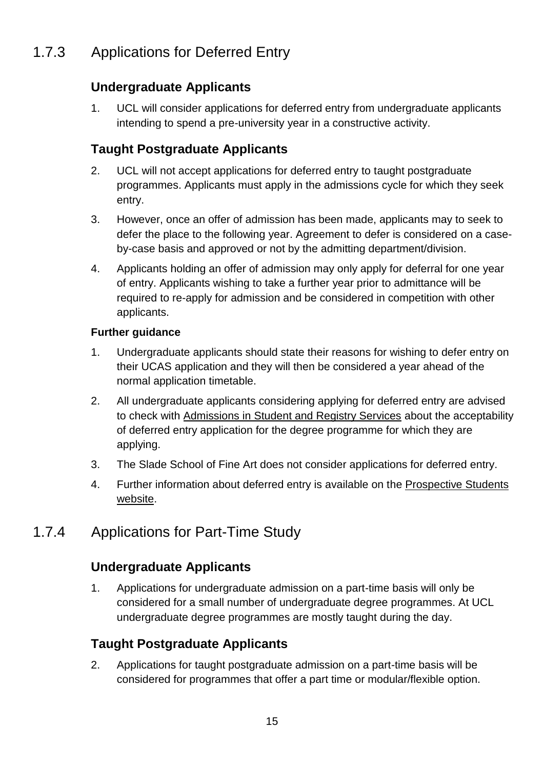### 1.7.3 Applications for Deferred Entry

### **Undergraduate Applicants**

1. UCL will consider applications for deferred entry from undergraduate applicants intending to spend a pre-university year in a constructive activity.

### **Taught Postgraduate Applicants**

- 2. UCL will not accept applications for deferred entry to taught postgraduate programmes. Applicants must apply in the admissions cycle for which they seek entry.
- 3. However, once an offer of admission has been made, applicants may to seek to defer the place to the following year. Agreement to defer is considered on a caseby-case basis and approved or not by the admitting department/division.
- 4. Applicants holding an offer of admission may only apply for deferral for one year of entry. Applicants wishing to take a further year prior to admittance will be required to re-apply for admission and be considered in competition with other applicants.

#### **Further guidance**

- 1. Undergraduate applicants should state their reasons for wishing to defer entry on their UCAS application and they will then be considered a year ahead of the normal application timetable.
- 2. All undergraduate applicants considering applying for deferred entry are advised to check with [Admissions in Student and Registry Services](http://www.ucl.ac.uk/srs/our-services/access-and-admissions) about the acceptability of deferred entry application for the degree programme for which they are applying.
- 3. The Slade School of Fine Art does not consider applications for deferred entry.
- 4. Further information about deferred entry is available on the [Prospective Students](http://www.ucl.ac.uk/prospective-students/)  [website.](http://www.ucl.ac.uk/prospective-students/)

### 1.7.4 Applications for Part-Time Study

### **Undergraduate Applicants**

1. Applications for undergraduate admission on a part-time basis will only be considered for a small number of undergraduate degree programmes. At UCL undergraduate degree programmes are mostly taught during the day.

### **Taught Postgraduate Applicants**

2. Applications for taught postgraduate admission on a part-time basis will be considered for programmes that offer a part time or modular/flexible option.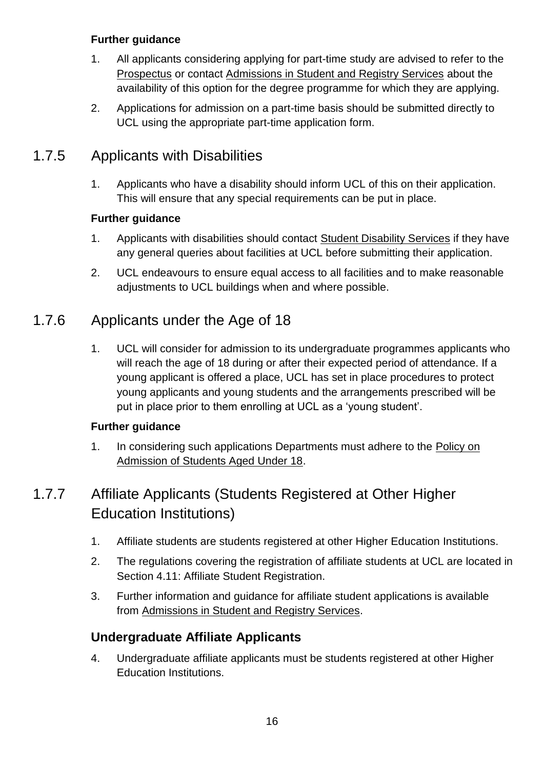- 1. All applicants considering applying for part-time study are advised to refer to the [Prospectus](http://www.ucl.ac.uk/prospective-students/) or contact [Admissions in Student and Registry Services](http://www.ucl.ac.uk/srs/our-services/access-and-admissions) about the availability of this option for the degree programme for which they are applying.
- 2. Applications for admission on a part-time basis should be submitted directly to UCL using the appropriate part-time application form.

### 1.7.5 Applicants with Disabilities

1. Applicants who have a disability should inform UCL of this on their application. This will ensure that any special requirements can be put in place.

#### **Further guidance**

- 1. Applicants with disabilities should contact [Student Disability Services](http://www.ucl.ac.uk/disability) if they have any general queries about facilities at UCL before submitting their application.
- 2. UCL endeavours to ensure equal access to all facilities and to make reasonable adjustments to UCL buildings when and where possible.

### 1.7.6 Applicants under the Age of 18

1. UCL will consider for admission to its undergraduate programmes applicants who will reach the age of 18 during or after their expected period of attendance. If a young applicant is offered a place, UCL has set in place procedures to protect young applicants and young students and the arrangements prescribed will be put in place prior to them enrolling at UCL as a 'young student'.

#### **Further guidance**

1. In considering such applications Departments must adhere to the [Policy on](http://www.ucl.ac.uk/srs/staff-support/child-protection/under_18)  [Admission of Students Aged Under 18.](http://www.ucl.ac.uk/srs/staff-support/child-protection/under_18)

### 1.7.7 Affiliate Applicants (Students Registered at Other Higher Education Institutions)

- 1. Affiliate students are students registered at other Higher Education Institutions.
- 2. The regulations covering the registration of affiliate students at UCL are located in Section 4.11: Affiliate Student Registration.
- 3. Further information and guidance for affiliate student applications is available from [Admissions in Student and Registry Services.](http://www.ucl.ac.uk/srs/our-services/access-and-admissions)

### **Undergraduate Affiliate Applicants**

4. Undergraduate affiliate applicants must be students registered at other Higher Education Institutions.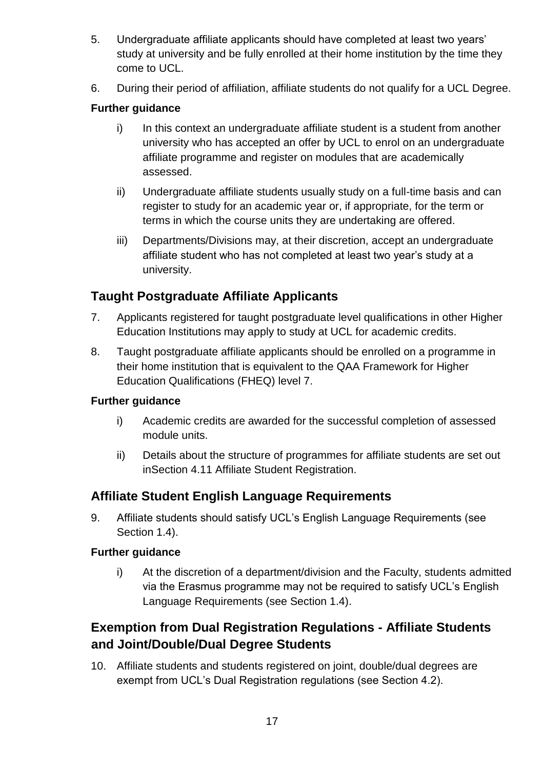- 5. Undergraduate affiliate applicants should have completed at least two years' study at university and be fully enrolled at their home institution by the time they come to UCL.
- 6. During their period of affiliation, affiliate students do not qualify for a UCL Degree.

- i) In this context an undergraduate affiliate student is a student from another university who has accepted an offer by UCL to enrol on an undergraduate affiliate programme and register on modules that are academically assessed.
- ii) Undergraduate affiliate students usually study on a full-time basis and can register to study for an academic year or, if appropriate, for the term or terms in which the course units they are undertaking are offered.
- iii) Departments/Divisions may, at their discretion, accept an undergraduate affiliate student who has not completed at least two year's study at a university.

### **Taught Postgraduate Affiliate Applicants**

- 7. Applicants registered for taught postgraduate level qualifications in other Higher Education Institutions may apply to study at UCL for academic credits.
- 8. Taught postgraduate affiliate applicants should be enrolled on a programme in their home institution that is equivalent to the QAA Framework for Higher Education Qualifications (FHEQ) level 7.

#### **Further guidance**

- i) Academic credits are awarded for the successful completion of assessed module units.
- ii) Details about the structure of programmes for affiliate students are set out inSection 4.11 Affiliate Student Registration.

### **Affiliate Student English Language Requirements**

9. Affiliate students should satisfy UCL's English Language Requirements (see Section 1.4).

#### **Further guidance**

i) At the discretion of a department/division and the Faculty, students admitted via the Erasmus programme may not be required to satisfy UCL's English Language Requirements (see Section 1.4).

### **Exemption from Dual Registration Regulations - Affiliate Students and Joint/Double/Dual Degree Students**

10. Affiliate students and students registered on joint, double/dual degrees are exempt from UCL's Dual Registration regulations (see Section 4.2).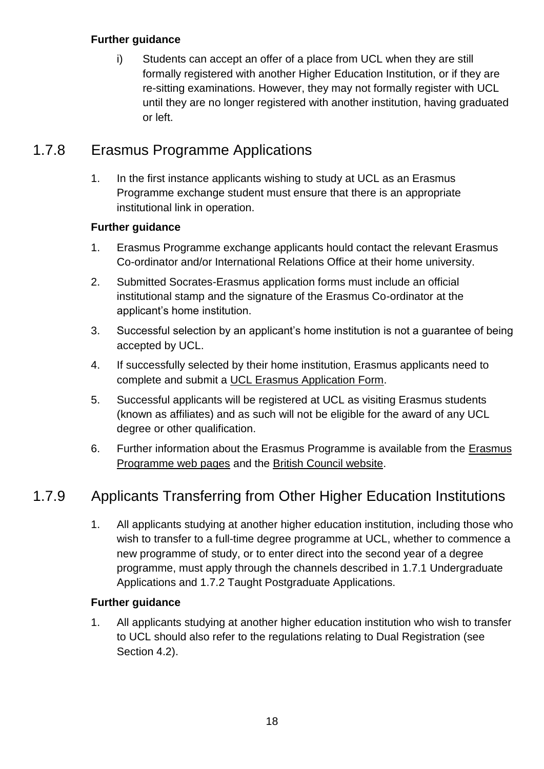i) Students can accept an offer of a place from UCL when they are still formally registered with another Higher Education Institution, or if they are re-sitting examinations. However, they may not formally register with UCL until they are no longer registered with another institution, having graduated or left.

### 1.7.8 Erasmus Programme Applications

1. In the first instance applicants wishing to study at UCL as an Erasmus Programme exchange student must ensure that there is an appropriate institutional link in operation.

#### **Further guidance**

- 1. Erasmus Programme exchange applicants hould contact the relevant Erasmus Co-ordinator and/or International Relations Office at their home university.
- 2. Submitted Socrates-Erasmus application forms must include an official institutional stamp and the signature of the Erasmus Co-ordinator at the applicant's home institution.
- 3. Successful selection by an applicant's home institution is not a guarantee of being accepted by UCL.
- 4. If successfully selected by their home institution, Erasmus applicants need to complete and submit a [UCL Erasmus Application Form.](http://www.ucl.ac.uk/prospective-students/international/affiliate/erasmus)
- 5. Successful applicants will be registered at UCL as visiting Erasmus students (known as affiliates) and as such will not be eligible for the award of any UCL degree or other qualification.
- 6. Further information about the Erasmus Programme is available from the [Erasmus](http://www.ucl.ac.uk/prospective-students/international/affiliate/erasmus)  [Programme web pages](http://www.ucl.ac.uk/prospective-students/international/affiliate/erasmus) and the [British Council website.](http://www.britishcouncil.org/partner/international-collaboration/track-record/erasmus)

### 1.7.9 Applicants Transferring from Other Higher Education Institutions

1. All applicants studying at another higher education institution, including those who wish to transfer to a full-time degree programme at UCL, whether to commence a new programme of study, or to enter direct into the second year of a degree programme, must apply through the channels described in 1.7.1 Undergraduate Applications and 1.7.2 Taught Postgraduate Applications.

#### **Further guidance**

1. All applicants studying at another higher education institution who wish to transfer to UCL should also refer to the regulations relating to Dual Registration (see Section 4.2).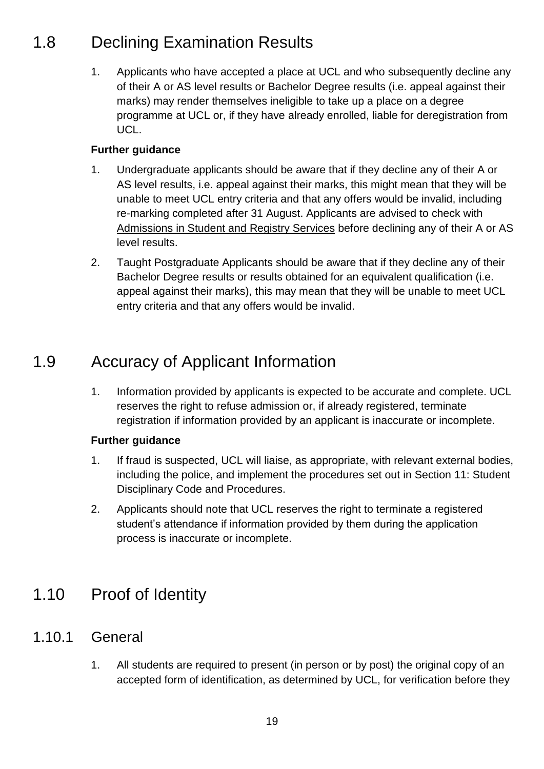### <span id="page-18-0"></span>1.8 Declining Examination Results

1. Applicants who have accepted a place at UCL and who subsequently decline any of their A or AS level results or Bachelor Degree results (i.e. appeal against their marks) may render themselves ineligible to take up a place on a degree programme at UCL or, if they have already enrolled, liable for deregistration from UCL.

#### **Further guidance**

- 1. Undergraduate applicants should be aware that if they decline any of their A or AS level results, i.e. appeal against their marks, this might mean that they will be unable to meet UCL entry criteria and that any offers would be invalid, including re-marking completed after 31 August. Applicants are advised to check with [Admissions in Student and Registry Services](http://www.ucl.ac.uk/srs/our-services/access-and-admissions) before declining any of their A or AS level results.
- 2. Taught Postgraduate Applicants should be aware that if they decline any of their Bachelor Degree results or results obtained for an equivalent qualification (i.e. appeal against their marks), this may mean that they will be unable to meet UCL entry criteria and that any offers would be invalid.

### <span id="page-18-1"></span>1.9 Accuracy of Applicant Information

1. Information provided by applicants is expected to be accurate and complete. UCL reserves the right to refuse admission or, if already registered, terminate registration if information provided by an applicant is inaccurate or incomplete.

#### **Further guidance**

- 1. If fraud is suspected, UCL will liaise, as appropriate, with relevant external bodies, including the police, and implement the procedures set out in Section 11: Student Disciplinary Code and Procedures.
- 2. Applicants should note that UCL reserves the right to terminate a registered student's attendance if information provided by them during the application process is inaccurate or incomplete.

### <span id="page-18-2"></span>1.10 Proof of Identity

### 1.10.1 General

1. All students are required to present (in person or by post) the original copy of an accepted form of identification, as determined by UCL, for verification before they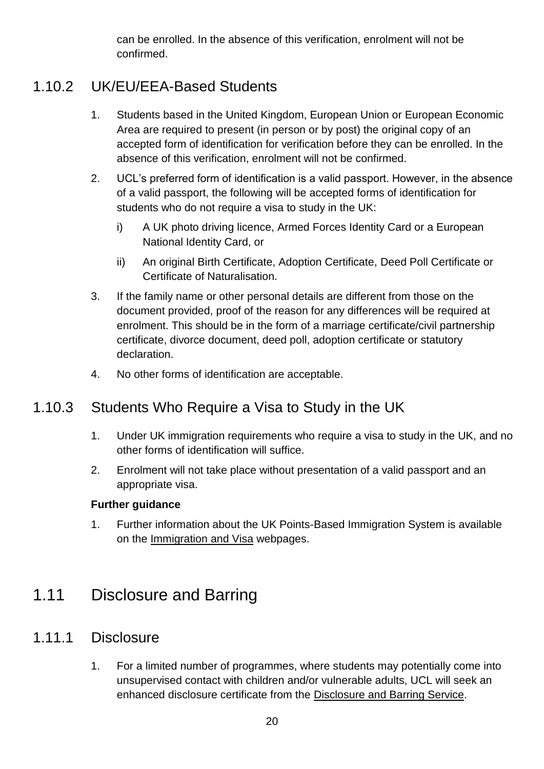can be enrolled. In the absence of this verification, enrolment will not be confirmed.

### 1.10.2 UK/EU/EEA-Based Students

- 1. Students based in the United Kingdom, European Union or European Economic Area are required to present (in person or by post) the original copy of an accepted form of identification for verification before they can be enrolled. In the absence of this verification, enrolment will not be confirmed.
- 2. UCL's preferred form of identification is a valid passport. However, in the absence of a valid passport, the following will be accepted forms of identification for students who do not require a visa to study in the UK:
	- i) A UK photo driving licence, Armed Forces Identity Card or a European National Identity Card, or
	- ii) An original Birth Certificate, Adoption Certificate, Deed Poll Certificate or Certificate of Naturalisation.
- 3. If the family name or other personal details are different from those on the document provided, proof of the reason for any differences will be required at enrolment. This should be in the form of a marriage certificate/civil partnership certificate, divorce document, deed poll, adoption certificate or statutory declaration.
- 4. No other forms of identification are acceptable.

### 1.10.3 Students Who Require a Visa to Study in the UK

- 1. Under UK immigration requirements who require a visa to study in the UK, and no other forms of identification will suffice.
- 2. Enrolment will not take place without presentation of a valid passport and an appropriate visa.

#### **Further guidance**

1. Further information about the UK Points-Based Immigration System is available on the [Immigration and Visa](http://www.ucl.ac.uk/iss/immigration-visa) webpages.

### <span id="page-19-0"></span>1.11 Disclosure and Barring

### 1.11.1 Disclosure

1. For a limited number of programmes, where students may potentially come into unsupervised contact with children and/or vulnerable adults, UCL will seek an enhanced disclosure certificate from the [Disclosure and Barring Service.](https://www.gov.uk/government/organisations/disclosure-and-barring-service)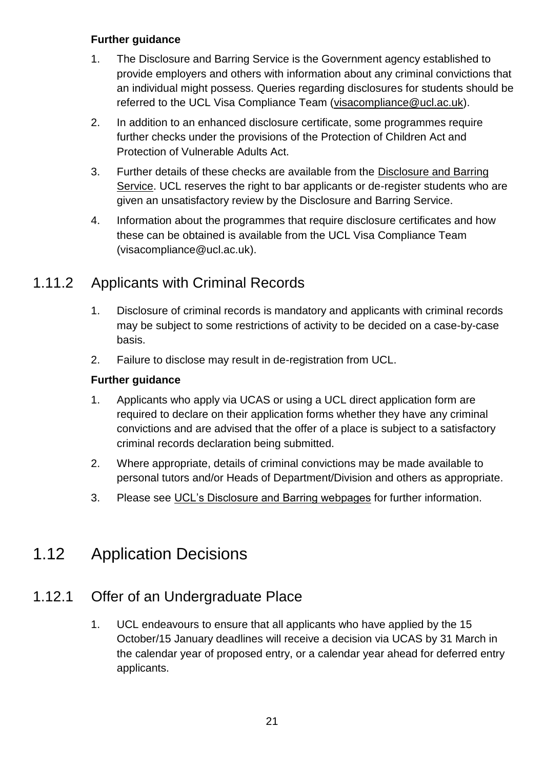- 1. The Disclosure and Barring Service is the Government agency established to provide employers and others with information about any criminal convictions that an individual might possess. Queries regarding disclosures for students should be referred to the UCL Visa Compliance Team (visacompliance @ucl.ac.uk).
- 2. In addition to an enhanced disclosure certificate, some programmes require further checks under the provisions of the Protection of Children Act and Protection of Vulnerable Adults Act.
- 3. Further details of these checks are available from the [Disclosure and Barring](https://www.gov.uk/government/organisations/disclosure-and-barring-service)  [Service.](https://www.gov.uk/government/organisations/disclosure-and-barring-service) UCL reserves the right to bar applicants or de-register students who are given an unsatisfactory review by the Disclosure and Barring Service.
- 4. Information about the programmes that require disclosure certificates and how these can be obtained is available from the UCL Visa Compliance Team (visacompliance@ucl.ac.uk).

### 1.11.2 Applicants with Criminal Records

- 1. Disclosure of criminal records is mandatory and applicants with criminal records may be subject to some restrictions of activity to be decided on a case-by-case basis.
- 2. Failure to disclose may result in de-registration from UCL.

#### **Further guidance**

- 1. Applicants who apply via UCAS or using a UCL direct application form are required to declare on their application forms whether they have any criminal convictions and are advised that the offer of a place is subject to a satisfactory criminal records declaration being submitted.
- 2. Where appropriate, details of criminal convictions may be made available to personal tutors and/or Heads of Department/Division and others as appropriate.
- 3. Please see [UCL's Disclosure and Barring webpages](http://www.ucl.ac.uk/current-students/services_2/dbs_checks) for further information.

### <span id="page-20-0"></span>1.12 Application Decisions

### 1.12.1 Offer of an Undergraduate Place

1. UCL endeavours to ensure that all applicants who have applied by the 15 October/15 January deadlines will receive a decision via UCAS by 31 March in the calendar year of proposed entry, or a calendar year ahead for deferred entry applicants.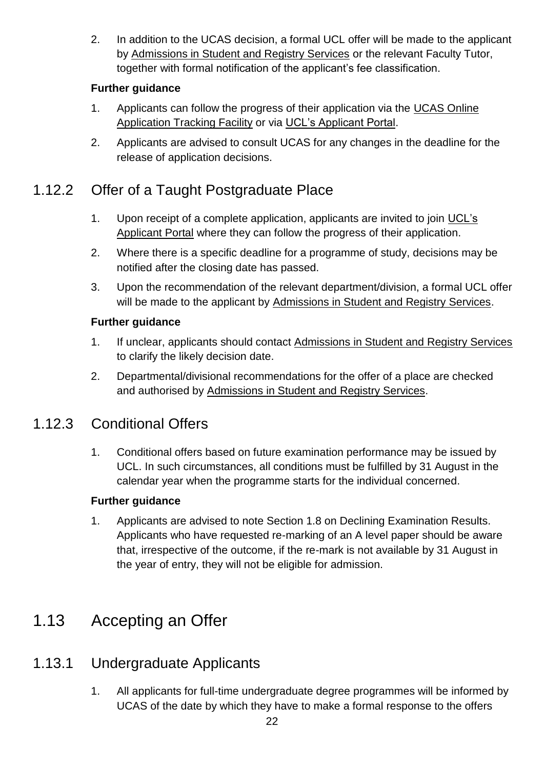2. In addition to the UCAS decision, a formal UCL offer will be made to the applicant by [Admissions in Student and Registry Services](http://www.ucl.ac.uk/srs/our-services/access-and-admissions) or the relevant Faculty Tutor, together with formal notification of the applicant's fee classification.

### **Further guidance**

- 1. Applicants can follow the progress of their application via the [UCAS Online](https://www.ucas.com/ucas/undergraduate/apply-and-track/track-your-application)  [Application Tracking Facility](https://www.ucas.com/ucas/undergraduate/apply-and-track/track-your-application) or via [UCL's Applicant Portal.](https://evision.ucl.ac.uk/urd/sits.urd/run/siw_lgn)
- 2. Applicants are advised to consult UCAS for any changes in the deadline for the release of application decisions.

### 1.12.2 Offer of a Taught Postgraduate Place

- 1. Upon receipt of a complete application, applicants are invited to join [UCL's](https://evision.ucl.ac.uk/urd/sits.urd/run/siw_lgn)  [Applicant Portal](https://evision.ucl.ac.uk/urd/sits.urd/run/siw_lgn) where they can follow the progress of their application.
- 2. Where there is a specific deadline for a programme of study, decisions may be notified after the closing date has passed.
- 3. Upon the recommendation of the relevant department/division, a formal UCL offer will be made to the applicant by [Admissions in Student and Registry Services.](http://www.ucl.ac.uk/srs/our-services/access-and-admissions)

#### **Further guidance**

- 1. If unclear, applicants should contact [Admissions in Student and Registry Services](http://www.ucl.ac.uk/srs/our-services/access-and-admissions) to clarify the likely decision date.
- 2. Departmental/divisional recommendations for the offer of a place are checked and authorised by [Admissions in Student and Registry Services.](http://www.ucl.ac.uk/srs/our-services/access-and-admissions)

### 1.12.3 Conditional Offers

1. Conditional offers based on future examination performance may be issued by UCL. In such circumstances, all conditions must be fulfilled by 31 August in the calendar year when the programme starts for the individual concerned.

#### **Further guidance**

1. Applicants are advised to note Section 1.8 on Declining Examination Results. Applicants who have requested re-marking of an A level paper should be aware that, irrespective of the outcome, if the re-mark is not available by 31 August in the year of entry, they will not be eligible for admission.

### <span id="page-21-0"></span>1.13 Accepting an Offer

### 1.13.1 Undergraduate Applicants

1. All applicants for full-time undergraduate degree programmes will be informed by UCAS of the date by which they have to make a formal response to the offers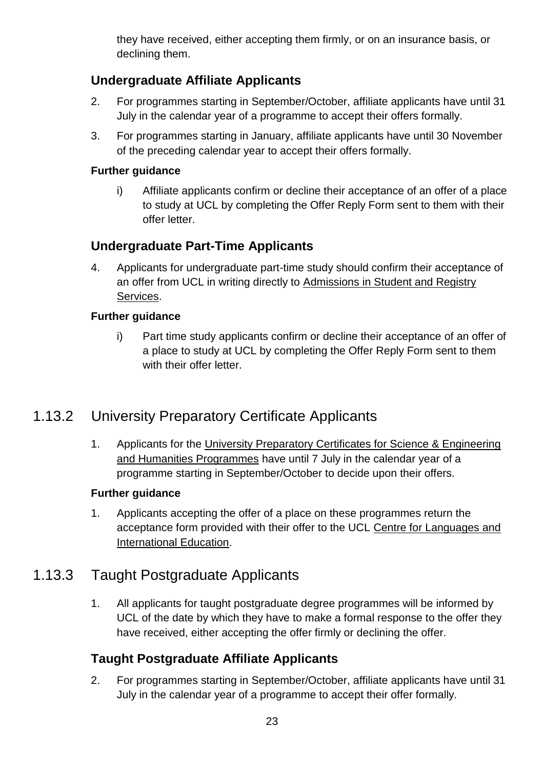they have received, either accepting them firmly, or on an insurance basis, or declining them.

### **Undergraduate Affiliate Applicants**

- 2. For programmes starting in September/October, affiliate applicants have until 31 July in the calendar year of a programme to accept their offers formally.
- 3. For programmes starting in January, affiliate applicants have until 30 November of the preceding calendar year to accept their offers formally.

#### **Further guidance**

i) Affiliate applicants confirm or decline their acceptance of an offer of a place to study at UCL by completing the Offer Reply Form sent to them with their offer letter.

### **Undergraduate Part-Time Applicants**

4. Applicants for undergraduate part-time study should confirm their acceptance of an offer from UCL in writing directly to [Admissions in Student and Registry](http://www.ucl.ac.uk/srs/our-services/access-and-admissions)  [Services.](http://www.ucl.ac.uk/srs/our-services/access-and-admissions)

#### **Further guidance**

i) Part time study applicants confirm or decline their acceptance of an offer of a place to study at UCL by completing the Offer Reply Form sent to them with their offer letter.

### 1.13.2 University Preparatory Certificate Applicants

1. Applicants for the [University Preparatory Certificates for Science & Engineering](http://www.ucl.ac.uk/clie/preparatory-certificates)  [and Humanities Programmes](http://www.ucl.ac.uk/clie/preparatory-certificates) have until 7 July in the calendar year of a programme starting in September/October to decide upon their offers.

#### **Further guidance**

1. Applicants accepting the offer of a place on these programmes return the acceptance form provided with their offer to the UCL [Centre for Languages and](http://www.ucl.ac.uk/clie)  [International Education.](http://www.ucl.ac.uk/clie)

### 1.13.3 Taught Postgraduate Applicants

1. All applicants for taught postgraduate degree programmes will be informed by UCL of the date by which they have to make a formal response to the offer they have received, either accepting the offer firmly or declining the offer.

### **Taught Postgraduate Affiliate Applicants**

2. For programmes starting in September/October, affiliate applicants have until 31 July in the calendar year of a programme to accept their offer formally.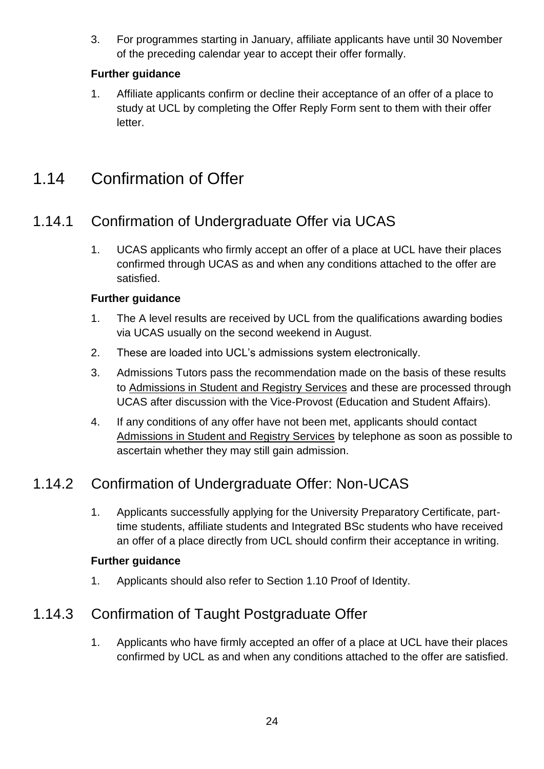3. For programmes starting in January, affiliate applicants have until 30 November of the preceding calendar year to accept their offer formally.

### **Further guidance**

1. Affiliate applicants confirm or decline their acceptance of an offer of a place to study at UCL by completing the Offer Reply Form sent to them with their offer letter.

### <span id="page-23-0"></span>1.14 Confirmation of Offer

### 1.14.1 Confirmation of Undergraduate Offer via UCAS

1. UCAS applicants who firmly accept an offer of a place at UCL have their places confirmed through UCAS as and when any conditions attached to the offer are satisfied.

#### **Further guidance**

- 1. The A level results are received by UCL from the qualifications awarding bodies via UCAS usually on the second weekend in August.
- 2. These are loaded into UCL's admissions system electronically.
- 3. Admissions Tutors pass the recommendation made on the basis of these results to [Admissions in Student and Registry Services](http://www.ucl.ac.uk/srs/our-services/access-and-admissions) and these are processed through UCAS after discussion with the Vice-Provost (Education and Student Affairs).
- 4. If any conditions of any offer have not been met, applicants should contact [Admissions in Student and Registry Services](http://www.ucl.ac.uk/srs/our-services/access-and-admissions) by telephone as soon as possible to ascertain whether they may still gain admission.

### 1.14.2 Confirmation of Undergraduate Offer: Non-UCAS

1. Applicants successfully applying for the University Preparatory Certificate, parttime students, affiliate students and Integrated BSc students who have received an offer of a place directly from UCL should confirm their acceptance in writing.

#### **Further guidance**

1. Applicants should also refer to Section 1.10 Proof of Identity.

### 1.14.3 Confirmation of Taught Postgraduate Offer

1. Applicants who have firmly accepted an offer of a place at UCL have their places confirmed by UCL as and when any conditions attached to the offer are satisfied.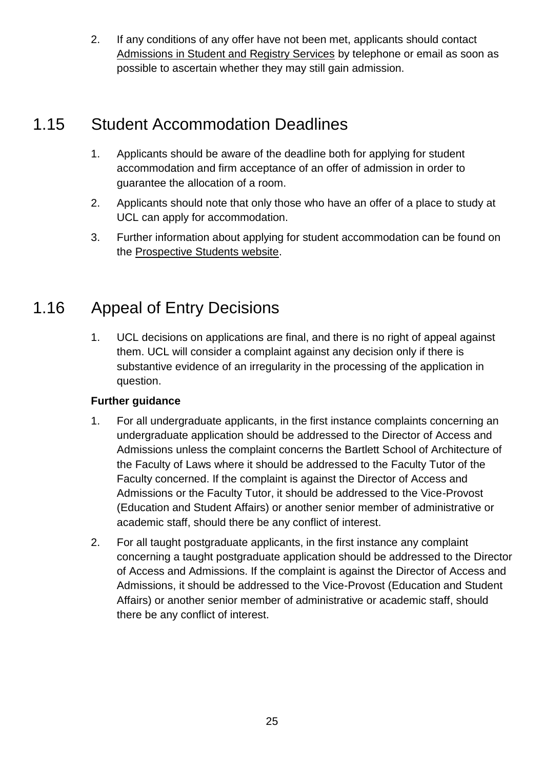2. If any conditions of any offer have not been met, applicants should contact [Admissions in Student and Registry Services](http://www.ucl.ac.uk/srs/our-services/access-and-admissions) by telephone or email as soon as possible to ascertain whether they may still gain admission.

### <span id="page-24-0"></span>1.15 Student Accommodation Deadlines

- 1. Applicants should be aware of the deadline both for applying for student accommodation and firm acceptance of an offer of admission in order to guarantee the allocation of a room.
- 2. Applicants should note that only those who have an offer of a place to study at UCL can apply for accommodation.
- 3. Further information about applying for student accommodation can be found on the [Prospective Students website.](http://www.ucl.ac.uk/prospective-students/)

### <span id="page-24-1"></span>1.16 Appeal of Entry Decisions

1. UCL decisions on applications are final, and there is no right of appeal against them. UCL will consider a complaint against any decision only if there is substantive evidence of an irregularity in the processing of the application in question.

#### **Further guidance**

- 1. For all undergraduate applicants, in the first instance complaints concerning an undergraduate application should be addressed to the Director of Access and Admissions unless the complaint concerns the Bartlett School of Architecture of the Faculty of Laws where it should be addressed to the Faculty Tutor of the Faculty concerned. If the complaint is against the Director of Access and Admissions or the Faculty Tutor, it should be addressed to the Vice-Provost (Education and Student Affairs) or another senior member of administrative or academic staff, should there be any conflict of interest.
- 2. For all taught postgraduate applicants, in the first instance any complaint concerning a taught postgraduate application should be addressed to the Director of Access and Admissions. If the complaint is against the Director of Access and Admissions, it should be addressed to the Vice-Provost (Education and Student Affairs) or another senior member of administrative or academic staff, should there be any conflict of interest.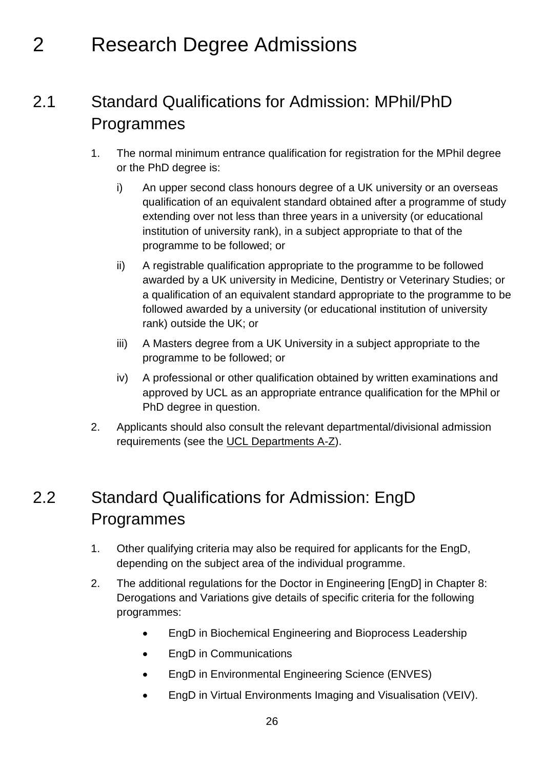### <span id="page-25-0"></span>2 Research Degree Admissions

### <span id="page-25-1"></span>2.1 Standard Qualifications for Admission: MPhil/PhD Programmes

- 1. The normal minimum entrance qualification for registration for the MPhil degree or the PhD degree is:
	- i) An upper second class honours degree of a UK university or an overseas qualification of an equivalent standard obtained after a programme of study extending over not less than three years in a university (or educational institution of university rank), in a subject appropriate to that of the programme to be followed; or
	- ii) A registrable qualification appropriate to the programme to be followed awarded by a UK university in Medicine, Dentistry or Veterinary Studies; or a qualification of an equivalent standard appropriate to the programme to be followed awarded by a university (or educational institution of university rank) outside the UK; or
	- iii) A Masters degree from a UK University in a subject appropriate to the programme to be followed; or
	- iv) A professional or other qualification obtained by written examinations and approved by UCL as an appropriate entrance qualification for the MPhil or PhD degree in question.
- 2. Applicants should also consult the relevant departmental/divisional admission requirements (see the [UCL Departments A-Z\)](http://www.ucl.ac.uk/departments/a-z).

### <span id="page-25-2"></span>2.2 Standard Qualifications for Admission: EngD Programmes

- 1. Other qualifying criteria may also be required for applicants for the EngD, depending on the subject area of the individual programme.
- 2. The additional regulations for the Doctor in Engineering [EngD] in Chapter 8: Derogations and Variations give details of specific criteria for the following programmes:
	- EngD in Biochemical Engineering and Bioprocess Leadership
	- EngD in Communications
	- EngD in Environmental Engineering Science (ENVES)
	- EngD in Virtual Environments Imaging and Visualisation (VEIV).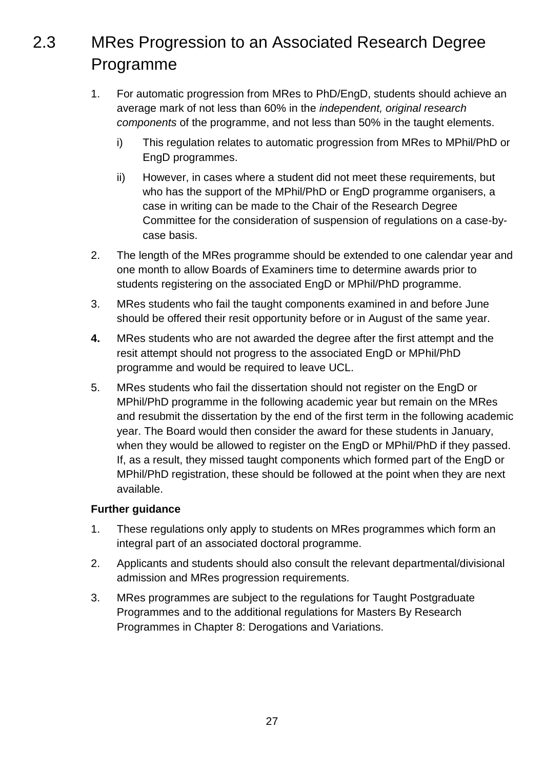### <span id="page-26-0"></span>2.3 MRes Progression to an Associated Research Degree Programme

- 1. For automatic progression from MRes to PhD/EngD, students should achieve an average mark of not less than 60% in the *independent, original research components* of the programme, and not less than 50% in the taught elements.
	- i) This regulation relates to automatic progression from MRes to MPhil/PhD or EngD programmes.
	- ii) However, in cases where a student did not meet these requirements, but who has the support of the MPhil/PhD or EngD programme organisers, a case in writing can be made to the Chair of the Research Degree Committee for the consideration of suspension of regulations on a case-bycase basis.
- 2. The length of the MRes programme should be extended to one calendar year and one month to allow Boards of Examiners time to determine awards prior to students registering on the associated EngD or MPhil/PhD programme.
- 3. MRes students who fail the taught components examined in and before June should be offered their resit opportunity before or in August of the same year.
- **4.** MRes students who are not awarded the degree after the first attempt and the resit attempt should not progress to the associated EngD or MPhil/PhD programme and would be required to leave UCL.
- 5. MRes students who fail the dissertation should not register on the EngD or MPhil/PhD programme in the following academic year but remain on the MRes and resubmit the dissertation by the end of the first term in the following academic year. The Board would then consider the award for these students in January, when they would be allowed to register on the EngD or MPhil/PhD if they passed. If, as a result, they missed taught components which formed part of the EngD or MPhil/PhD registration, these should be followed at the point when they are next available.

#### **Further guidance**

- 1. These regulations only apply to students on MRes programmes which form an integral part of an associated doctoral programme.
- 2. Applicants and students should also consult the relevant departmental/divisional admission and MRes progression requirements.
- 3. MRes programmes are subject to the regulations for Taught Postgraduate Programmes and to the additional regulations for Masters By Research Programmes in Chapter 8: Derogations and Variations.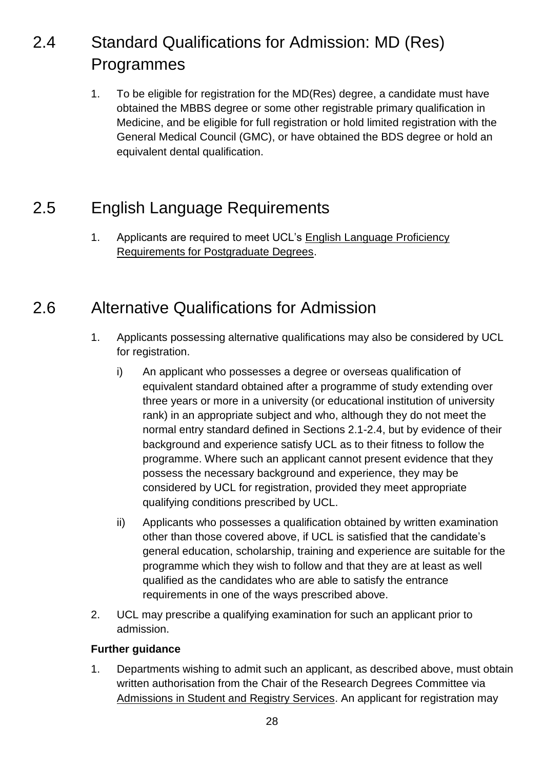### <span id="page-27-0"></span>2.4 Standard Qualifications for Admission: MD (Res) Programmes

1. To be eligible for registration for the MD(Res) degree, a candidate must have obtained the MBBS degree or some other registrable primary qualification in Medicine, and be eligible for full registration or hold limited registration with the General Medical Council (GMC), or have obtained the BDS degree or hold an equivalent dental qualification.

### <span id="page-27-1"></span>2.5 English Language Requirements

1. Applicants are required to meet UCL's [English Language Proficiency](http://www.ucl.ac.uk/prospective-students/graduate/life/international)  [Requirements for Postgraduate Degrees.](http://www.ucl.ac.uk/prospective-students/graduate/life/international)

### <span id="page-27-2"></span>2.6 Alternative Qualifications for Admission

- 1. Applicants possessing alternative qualifications may also be considered by UCL for registration.
	- i) An applicant who possesses a degree or overseas qualification of equivalent standard obtained after a programme of study extending over three years or more in a university (or educational institution of university rank) in an appropriate subject and who, although they do not meet the normal entry standard defined in Sections 2.1-2.4, but by evidence of their background and experience satisfy UCL as to their fitness to follow the programme. Where such an applicant cannot present evidence that they possess the necessary background and experience, they may be considered by UCL for registration, provided they meet appropriate qualifying conditions prescribed by UCL.
	- ii) Applicants who possesses a qualification obtained by written examination other than those covered above, if UCL is satisfied that the candidate's general education, scholarship, training and experience are suitable for the programme which they wish to follow and that they are at least as well qualified as the candidates who are able to satisfy the entrance requirements in one of the ways prescribed above.
- 2. UCL may prescribe a qualifying examination for such an applicant prior to admission.

#### **Further guidance**

1. Departments wishing to admit such an applicant, as described above, must obtain written authorisation from the Chair of the Research Degrees Committee via [Admissions in Student and Registry Services.](http://www.ucl.ac.uk/srs/our-services/access-and-admissions) An applicant for registration may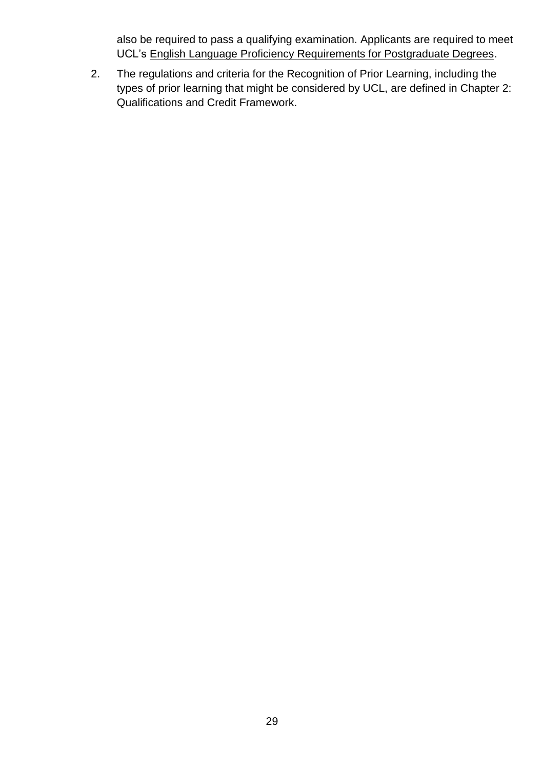also be required to pass a qualifying examination. Applicants are required to meet UCL's [English Language Proficiency Requirements for Postgraduate Degrees.](http://www.ucl.ac.uk/prospective-students/graduate/life/international)

2. The regulations and criteria for the Recognition of Prior Learning, including the types of prior learning that might be considered by UCL, are defined in Chapter 2: Qualifications and Credit Framework.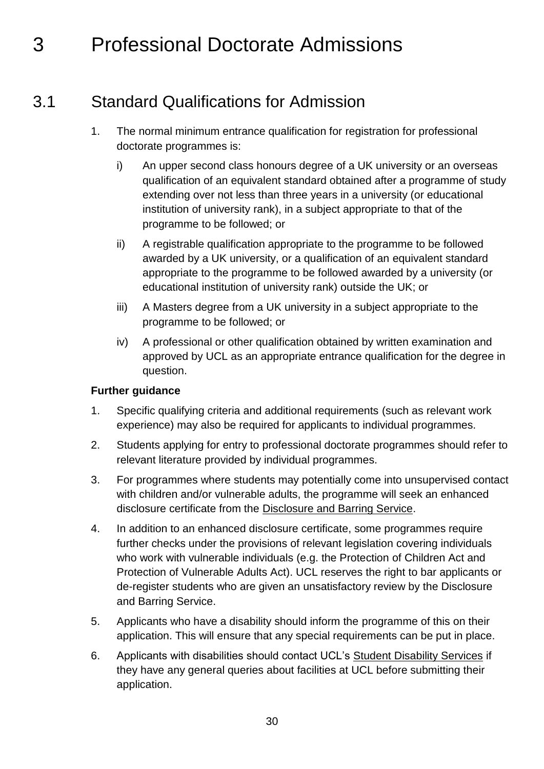### <span id="page-29-0"></span>3 Professional Doctorate Admissions

### 3.1 Standard Qualifications for Admission

- <span id="page-29-1"></span>1. The normal minimum entrance qualification for registration for professional doctorate programmes is:
	- i) An upper second class honours degree of a UK university or an overseas qualification of an equivalent standard obtained after a programme of study extending over not less than three years in a university (or educational institution of university rank), in a subject appropriate to that of the programme to be followed; or
	- ii) A registrable qualification appropriate to the programme to be followed awarded by a UK university, or a qualification of an equivalent standard appropriate to the programme to be followed awarded by a university (or educational institution of university rank) outside the UK; or
	- iii) A Masters degree from a UK university in a subject appropriate to the programme to be followed; or
	- iv) A professional or other qualification obtained by written examination and approved by UCL as an appropriate entrance qualification for the degree in question.

#### **Further guidance**

- 1. Specific qualifying criteria and additional requirements (such as relevant work experience) may also be required for applicants to individual programmes.
- 2. Students applying for entry to professional doctorate programmes should refer to relevant literature provided by individual programmes.
- 3. For programmes where students may potentially come into unsupervised contact with children and/or vulnerable adults, the programme will seek an enhanced disclosure certificate from the [Disclosure and Barring Service.](https://www.gov.uk/government/organisations/disclosure-and-barring-service)
- 4. In addition to an enhanced disclosure certificate, some programmes require further checks under the provisions of relevant legislation covering individuals who work with vulnerable individuals (e.g. the Protection of Children Act and Protection of Vulnerable Adults Act). UCL reserves the right to bar applicants or de-register students who are given an unsatisfactory review by the Disclosure and Barring Service.
- 5. Applicants who have a disability should inform the programme of this on their application. This will ensure that any special requirements can be put in place.
- 6. Applicants with disabilities should contact UCL's [Student Disability Services](http://www.ucl.ac.uk/disability) if they have any general queries about facilities at UCL before submitting their application.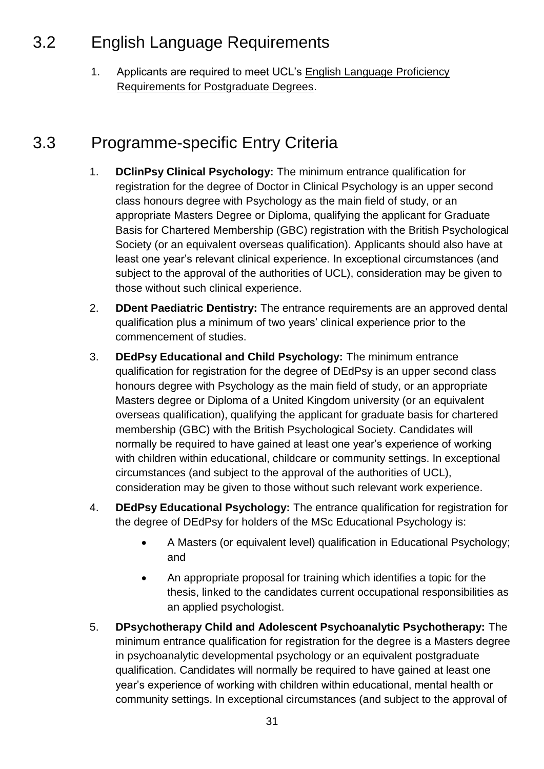### <span id="page-30-0"></span>3.2 English Language Requirements

1. Applicants are required to meet UCL's English Language Proficiency [Requirements for Postgraduate Degrees.](http://www.ucl.ac.uk/prospective-students/graduate/life/international)

### <span id="page-30-1"></span>3.3 Programme-specific Entry Criteria

- 1. **DClinPsy Clinical Psychology:** The minimum entrance qualification for registration for the degree of Doctor in Clinical Psychology is an upper second class honours degree with Psychology as the main field of study, or an appropriate Masters Degree or Diploma, qualifying the applicant for Graduate Basis for Chartered Membership (GBC) registration with the British Psychological Society (or an equivalent overseas qualification). Applicants should also have at least one year's relevant clinical experience. In exceptional circumstances (and subject to the approval of the authorities of UCL), consideration may be given to those without such clinical experience.
- 2. **DDent Paediatric Dentistry:** The entrance requirements are an approved dental qualification plus a minimum of two years' clinical experience prior to the commencement of studies.
- 3. **DEdPsy Educational and Child Psychology:** The minimum entrance qualification for registration for the degree of DEdPsy is an upper second class honours degree with Psychology as the main field of study, or an appropriate Masters degree or Diploma of a United Kingdom university (or an equivalent overseas qualification), qualifying the applicant for graduate basis for chartered membership (GBC) with the British Psychological Society. Candidates will normally be required to have gained at least one year's experience of working with children within educational, childcare or community settings. In exceptional circumstances (and subject to the approval of the authorities of UCL), consideration may be given to those without such relevant work experience.
- 4. **DEdPsy Educational Psychology:** The entrance qualification for registration for the degree of DEdPsy for holders of the MSc Educational Psychology is:
	- A Masters (or equivalent level) qualification in Educational Psychology; and
	- An appropriate proposal for training which identifies a topic for the thesis, linked to the candidates current occupational responsibilities as an applied psychologist.
- 5. **DPsychotherapy Child and Adolescent Psychoanalytic Psychotherapy:** The minimum entrance qualification for registration for the degree is a Masters degree in psychoanalytic developmental psychology or an equivalent postgraduate qualification. Candidates will normally be required to have gained at least one year's experience of working with children within educational, mental health or community settings. In exceptional circumstances (and subject to the approval of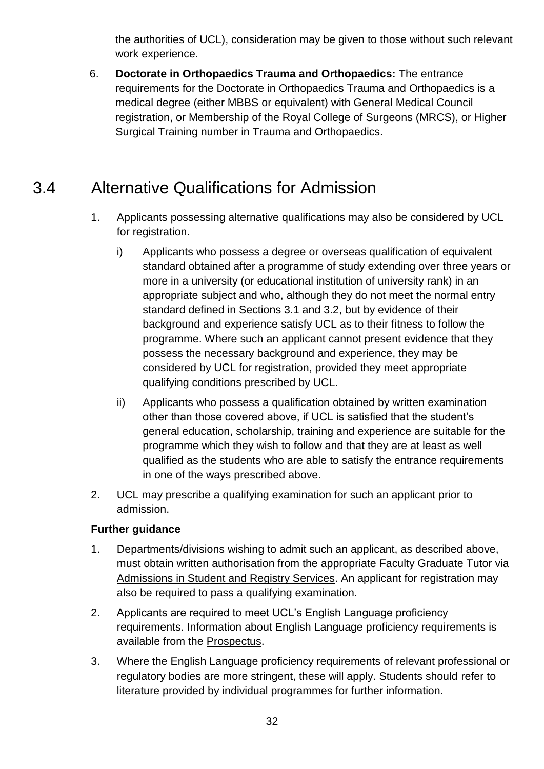the authorities of UCL), consideration may be given to those without such relevant work experience.

6. **Doctorate in Orthopaedics Trauma and Orthopaedics:** The entrance requirements for the Doctorate in Orthopaedics Trauma and Orthopaedics is a medical degree (either MBBS or equivalent) with General Medical Council registration, or Membership of the Royal College of Surgeons (MRCS), or Higher Surgical Training number in Trauma and Orthopaedics.

### <span id="page-31-0"></span>3.4 Alternative Qualifications for Admission

- 1. Applicants possessing alternative qualifications may also be considered by UCL for registration.
	- i) Applicants who possess a degree or overseas qualification of equivalent standard obtained after a programme of study extending over three years or more in a university (or educational institution of university rank) in an appropriate subject and who, although they do not meet the normal entry standard defined in Sections 3.1 and 3.2, but by evidence of their background and experience satisfy UCL as to their fitness to follow the programme. Where such an applicant cannot present evidence that they possess the necessary background and experience, they may be considered by UCL for registration, provided they meet appropriate qualifying conditions prescribed by UCL.
	- ii) Applicants who possess a qualification obtained by written examination other than those covered above, if UCL is satisfied that the student's general education, scholarship, training and experience are suitable for the programme which they wish to follow and that they are at least as well qualified as the students who are able to satisfy the entrance requirements in one of the ways prescribed above.
- 2. UCL may prescribe a qualifying examination for such an applicant prior to admission.

#### **Further guidance**

- 1. Departments/divisions wishing to admit such an applicant, as described above, must obtain written authorisation from the appropriate Faculty Graduate Tutor via [Admissions in Student and Registry Services.](http://www.ucl.ac.uk/srs/our-services/access-and-admissions) An applicant for registration may also be required to pass a qualifying examination.
- 2. Applicants are required to meet UCL's English Language proficiency requirements. Information about English Language proficiency requirements is available from the [Prospectus.](http://www.ucl.ac.uk/prospective-students/)
- 3. Where the English Language proficiency requirements of relevant professional or regulatory bodies are more stringent, these will apply. Students should refer to literature provided by individual programmes for further information.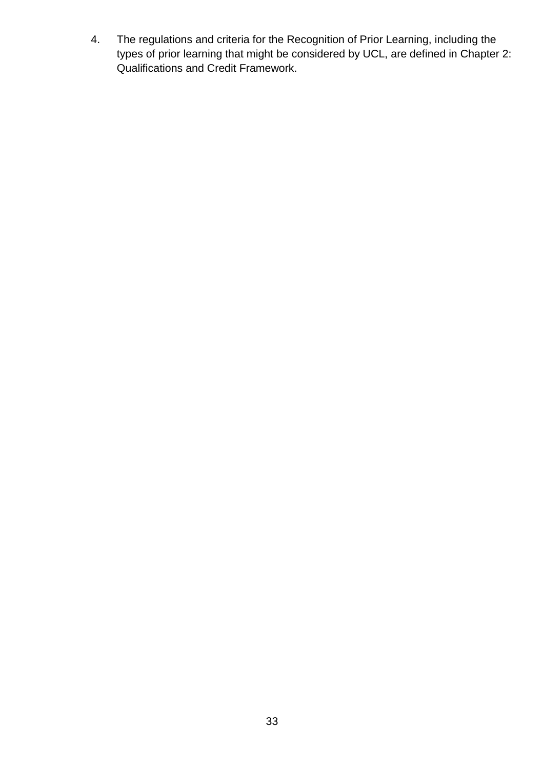4. The regulations and criteria for the Recognition of Prior Learning, including the types of prior learning that might be considered by UCL, are defined in Chapter 2: Qualifications and Credit Framework.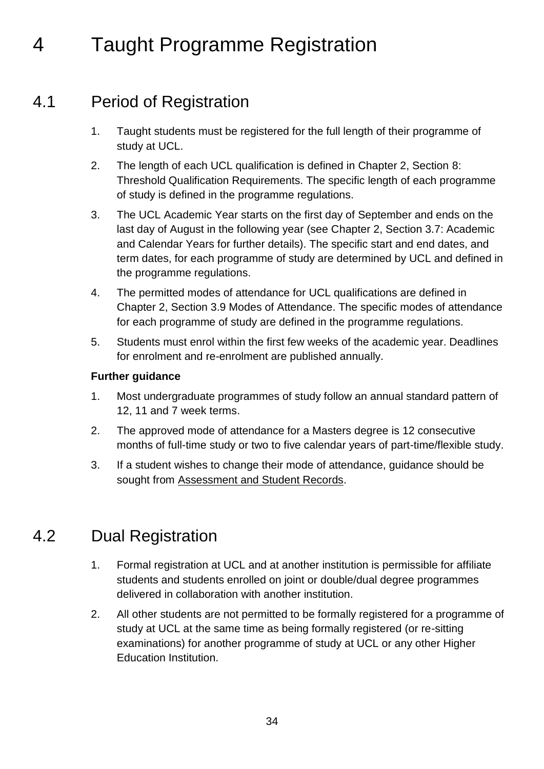### <span id="page-33-0"></span>4 Taught Programme Registration

### 4.1 Period of Registration

- <span id="page-33-1"></span>1. Taught students must be registered for the full length of their programme of study at UCL.
- 2. The length of each UCL qualification is defined in Chapter 2, Section 8: Threshold Qualification Requirements. The specific length of each programme of study is defined in the programme regulations.
- 3. The UCL Academic Year starts on the first day of September and ends on the last day of August in the following year (see Chapter 2, Section 3.7: Academic and Calendar Years for further details). The specific start and end dates, and term dates, for each programme of study are determined by UCL and defined in the programme regulations.
- 4. The permitted modes of attendance for UCL qualifications are defined in Chapter 2, Section 3.9 Modes of Attendance. The specific modes of attendance for each programme of study are defined in the programme regulations.
- 5. Students must enrol within the first few weeks of the academic year. Deadlines for enrolment and re-enrolment are published annually.

#### **Further guidance**

- 1. Most undergraduate programmes of study follow an annual standard pattern of 12, 11 and 7 week terms.
- 2. The approved mode of attendance for a Masters degree is 12 consecutive months of full-time study or two to five calendar years of part-time/flexible study.
- 3. If a student wishes to change their mode of attendance, guidance should be sought from [Assessment and Student Records.](http://www.ucl.ac.uk/srs/our-services/student-administration)

### <span id="page-33-2"></span>4.2 Dual Registration

- 1. Formal registration at UCL and at another institution is permissible for affiliate students and students enrolled on joint or double/dual degree programmes delivered in collaboration with another institution.
- 2. All other students are not permitted to be formally registered for a programme of study at UCL at the same time as being formally registered (or re-sitting examinations) for another programme of study at UCL or any other Higher Education Institution.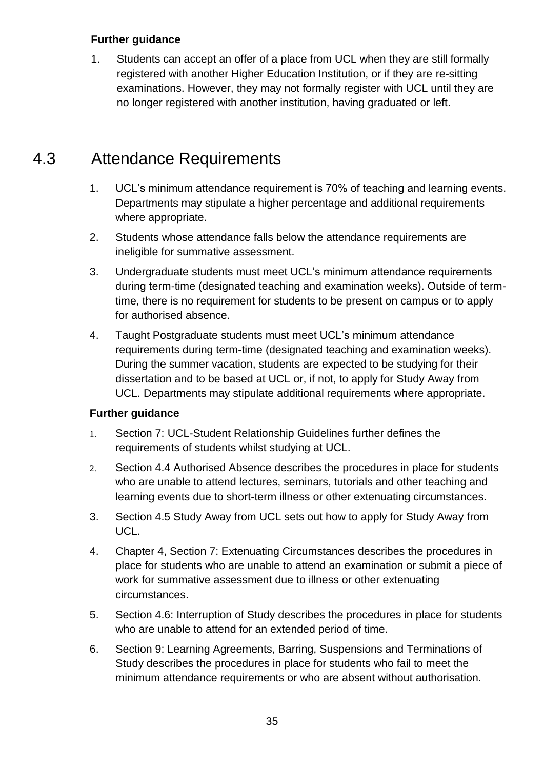1. Students can accept an offer of a place from UCL when they are still formally registered with another Higher Education Institution, or if they are re-sitting examinations. However, they may not formally register with UCL until they are no longer registered with another institution, having graduated or left.

### <span id="page-34-0"></span>4.3 Attendance Requirements

- 1. UCL's minimum attendance requirement is 70% of teaching and learning events. Departments may stipulate a higher percentage and additional requirements where appropriate.
- 2. Students whose attendance falls below the attendance requirements are ineligible for summative assessment.
- 3. Undergraduate students must meet UCL's minimum attendance requirements during term-time (designated teaching and examination weeks). Outside of termtime, there is no requirement for students to be present on campus or to apply for authorised absence.
- 4. Taught Postgraduate students must meet UCL's minimum attendance requirements during term-time (designated teaching and examination weeks). During the summer vacation, students are expected to be studying for their dissertation and to be based at UCL or, if not, to apply for Study Away from UCL. Departments may stipulate additional requirements where appropriate.

#### **Further guidance**

- 1. Section 7: [UCL-Student Relationship Guidelines](http://www.ucl.ac.uk/current-students/guidelines/srs/srs) further defines the requirements of students whilst studying at UCL.
- 2. Section 4.4 Authorised Absence describes the procedures in place for students who are unable to attend lectures, seminars, tutorials and other teaching and learning events due to short-term illness or other extenuating circumstances.
- 3. Section 4.5 Study Away from UCL sets out how to apply for Study Away from UCL.
- 4. Chapter 4, Section 7: Extenuating Circumstances describes the procedures in place for students who are unable to attend an examination or submit a piece of work for summative assessment due to illness or other extenuating circumstances.
- 5. Section 4.6: Interruption of Study describes the procedures in place for students who are unable to attend for an extended period of time.
- 6. Section 9: Learning Agreements, Barring, Suspensions and Terminations of Study describes the procedures in place for students who fail to meet the minimum attendance requirements or who are absent without authorisation.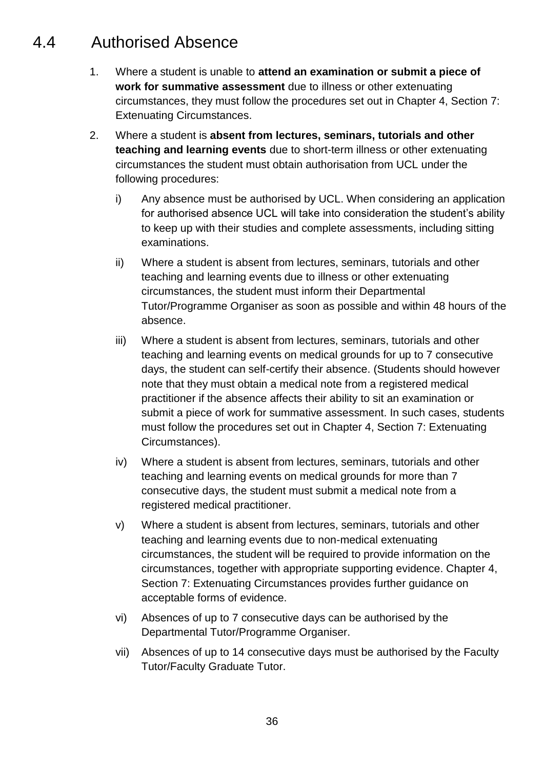### <span id="page-35-0"></span>4.4 Authorised Absence

- 1. Where a student is unable to **attend an examination or submit a piece of work for summative assessment** due to illness or other extenuating circumstances, they must follow the procedures set out in Chapter 4, Section 7: Extenuating Circumstances.
- 2. Where a student is **absent from lectures, seminars, tutorials and other teaching and learning events** due to short-term illness or other extenuating circumstances the student must obtain authorisation from UCL under the following procedures:
	- i) Any absence must be authorised by UCL. When considering an application for authorised absence UCL will take into consideration the student's ability to keep up with their studies and complete assessments, including sitting examinations.
	- ii) Where a student is absent from lectures, seminars, tutorials and other teaching and learning events due to illness or other extenuating circumstances, the student must inform their Departmental Tutor/Programme Organiser as soon as possible and within 48 hours of the absence.
	- iii) Where a student is absent from lectures, seminars, tutorials and other teaching and learning events on medical grounds for up to 7 consecutive days, the student can self-certify their absence. (Students should however note that they must obtain a medical note from a registered medical practitioner if the absence affects their ability to sit an examination or submit a piece of work for summative assessment. In such cases, students must follow the procedures set out in Chapter 4, Section 7: Extenuating Circumstances).
	- iv) Where a student is absent from lectures, seminars, tutorials and other teaching and learning events on medical grounds for more than 7 consecutive days, the student must submit a medical note from a registered medical practitioner.
	- v) Where a student is absent from lectures, seminars, tutorials and other teaching and learning events due to non-medical extenuating circumstances, the student will be required to provide information on the circumstances, together with appropriate supporting evidence. Chapter 4, Section 7: Extenuating Circumstances provides further guidance on acceptable forms of evidence.
	- vi) Absences of up to 7 consecutive days can be authorised by the Departmental Tutor/Programme Organiser.
	- vii) Absences of up to 14 consecutive days must be authorised by the Faculty Tutor/Faculty Graduate Tutor.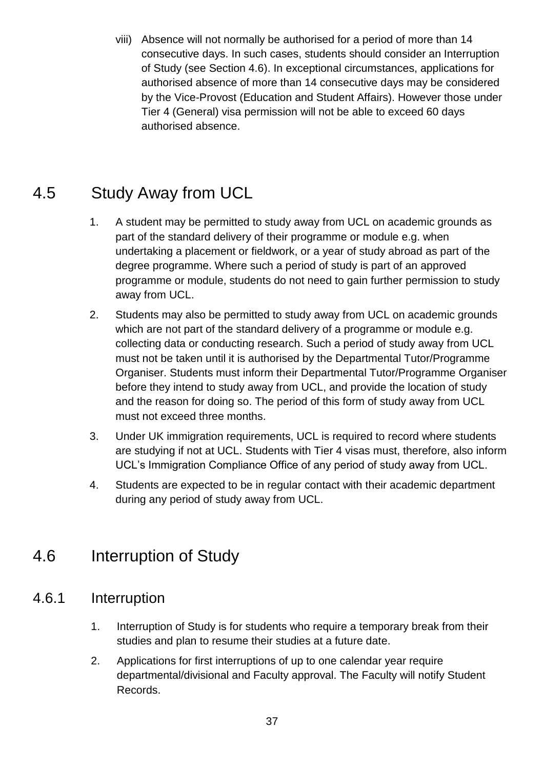viii) Absence will not normally be authorised for a period of more than 14 consecutive days. In such cases, students should consider an Interruption of Study (see Section 4.6). In exceptional circumstances, applications for authorised absence of more than 14 consecutive days may be considered by the Vice-Provost (Education and Student Affairs). However those under Tier 4 (General) visa permission will not be able to exceed 60 days authorised absence.

## 4.5 Study Away from UCL

- 1. A student may be permitted to study away from UCL on academic grounds as part of the standard delivery of their programme or module e.g. when undertaking a placement or fieldwork, or a year of study abroad as part of the degree programme. Where such a period of study is part of an approved programme or module, students do not need to gain further permission to study away from UCL.
- 2. Students may also be permitted to study away from UCL on academic grounds which are not part of the standard delivery of a programme or module e.g. collecting data or conducting research. Such a period of study away from UCL must not be taken until it is authorised by the Departmental Tutor/Programme Organiser. Students must inform their Departmental Tutor/Programme Organiser before they intend to study away from UCL, and provide the location of study and the reason for doing so. The period of this form of study away from UCL must not exceed three months.
- 3. Under UK immigration requirements, UCL is required to record where students are studying if not at UCL. Students with Tier 4 visas must, therefore, also inform UCL's Immigration Compliance Office of any period of study away from UCL.
- 4. Students are expected to be in regular contact with their academic department during any period of study away from UCL.

## 4.6 Interruption of Study

### 4.6.1 Interruption

- 1. Interruption of Study is for students who require a temporary break from their studies and plan to resume their studies at a future date.
- 2. Applications for first interruptions of up to one calendar year require departmental/divisional and Faculty approval. The Faculty will notify Student Records.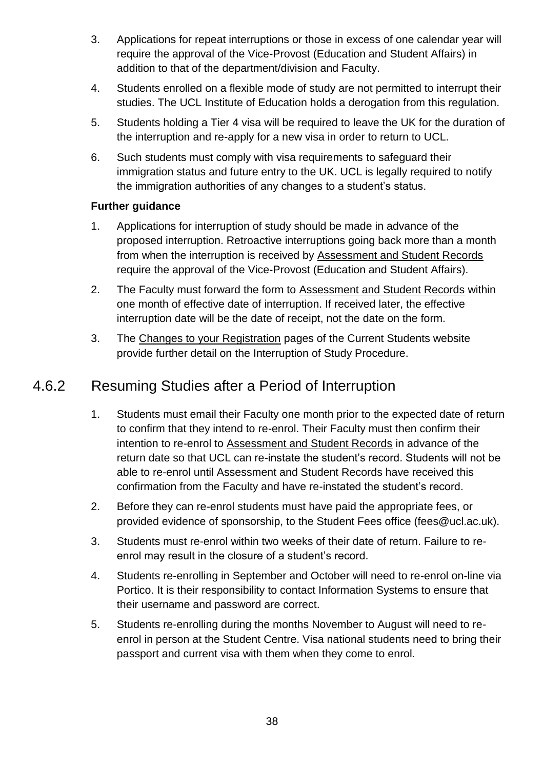- 3. Applications for repeat interruptions or those in excess of one calendar year will require the approval of the Vice-Provost (Education and Student Affairs) in addition to that of the department/division and Faculty.
- 4. Students enrolled on a flexible mode of study are not permitted to interrupt their studies. The UCL Institute of Education holds a derogation from this regulation.
- 5. Students holding a Tier 4 visa will be required to leave the UK for the duration of the interruption and re-apply for a new visa in order to return to UCL.
- 6. Such students must comply with visa requirements to safeguard their immigration status and future entry to the UK. UCL is legally required to notify the immigration authorities of any changes to a student's status.

#### **Further guidance**

- 1. Applications for interruption of study should be made in advance of the proposed interruption. Retroactive interruptions going back more than a month from when the interruption is received by [Assessment and Student Records](http://www.ucl.ac.uk/srs/our-services/student-administration) require the approval of the Vice-Provost (Education and Student Affairs).
- 2. The Faculty must forward the form to [Assessment and Student Records](http://www.ucl.ac.uk/srs/our-services/student-administration) within one month of effective date of interruption. If received later, the effective interruption date will be the date of receipt, not the date on the form.
- 3. The [Changes to your Registration](http://www.ucl.ac.uk/current-students/services_2/registration_status) pages of the Current Students website provide further detail on the Interruption of Study Procedure.

#### 4.6.2 Resuming Studies after a Period of Interruption

- 1. Students must email their Faculty one month prior to the expected date of return to confirm that they intend to re-enrol. Their Faculty must then confirm their intention to re-enrol to [Assessment and Student Records](http://www.ucl.ac.uk/srs/our-services/student-administration) in advance of the return date so that UCL can re-instate the student's record. Students will not be able to re-enrol until Assessment and Student Records have received this confirmation from the Faculty and have re-instated the student's record.
- 2. Before they can re-enrol students must have paid the appropriate fees, or provided evidence of sponsorship, to the Student Fees office (fees@ucl.ac.uk).
- 3. Students must re-enrol within two weeks of their date of return. Failure to reenrol may result in the closure of a student's record.
- 4. Students re-enrolling in September and October will need to re-enrol on-line via Portico. It is their responsibility to contact Information Systems to ensure that their username and password are correct.
- 5. Students re-enrolling during the months November to August will need to reenrol in person at the Student Centre. Visa national students need to bring their passport and current visa with them when they come to enrol.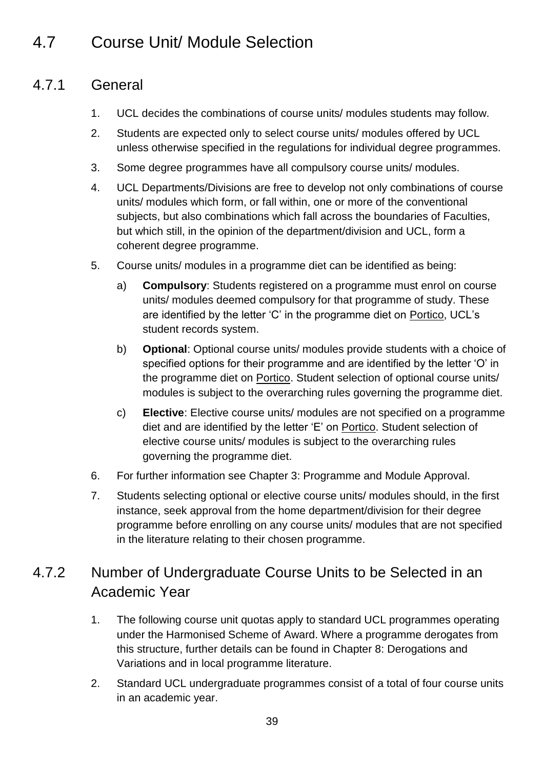## 4.7 Course Unit/ Module Selection

### 4.7.1 General

- 1. UCL decides the combinations of course units/ modules students may follow.
- 2. Students are expected only to select course units/ modules offered by UCL unless otherwise specified in the regulations for individual degree programmes.
- 3. Some degree programmes have all compulsory course units/ modules.
- 4. UCL Departments/Divisions are free to develop not only combinations of course units/ modules which form, or fall within, one or more of the conventional subjects, but also combinations which fall across the boundaries of Faculties, but which still, in the opinion of the department/division and UCL, form a coherent degree programme.
- 5. Course units/ modules in a programme diet can be identified as being:
	- a) **Compulsory**: Students registered on a programme must enrol on course units/ modules deemed compulsory for that programme of study. These are identified by the letter 'C' in the programme diet on [Portico,](https://evision.ucl.ac.uk/urd/sits.urd/run/siw_lgn) UCL's student records system.
	- b) **Optional**: Optional course units/ modules provide students with a choice of specified options for their programme and are identified by the letter 'O' in the programme diet on [Portico.](https://evision.ucl.ac.uk/urd/sits.urd/run/siw_lgn) Student selection of optional course units/ modules is subject to the overarching rules governing the programme diet.
	- c) **Elective**: Elective course units/ modules are not specified on a programme diet and are identified by the letter 'E' on [Portico.](https://evision.ucl.ac.uk/urd/sits.urd/run/siw_lgn) Student selection of elective course units/ modules is subject to the overarching rules governing the programme diet.
- 6. For further information see Chapter 3: Programme and Module Approval.
- 7. Students selecting optional or elective course units/ modules should, in the first instance, seek approval from the home department/division for their degree programme before enrolling on any course units/ modules that are not specified in the literature relating to their chosen programme.

### 4.7.2 Number of Undergraduate Course Units to be Selected in an Academic Year

- 1. The following course unit quotas apply to standard UCL programmes operating under the Harmonised Scheme of Award. Where a programme derogates from this structure, further details can be found in Chapter 8: Derogations and Variations and in local programme literature.
- 2. Standard UCL undergraduate programmes consist of a total of four course units in an academic year.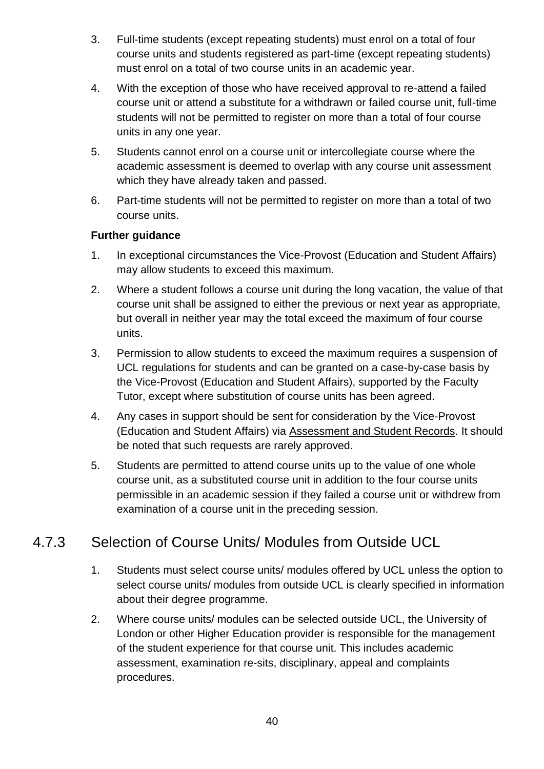- 3. Full-time students (except repeating students) must enrol on a total of four course units and students registered as part-time (except repeating students) must enrol on a total of two course units in an academic year.
- 4. With the exception of those who have received approval to re-attend a failed course unit or attend a substitute for a withdrawn or failed course unit, full-time students will not be permitted to register on more than a total of four course units in any one year.
- 5. Students cannot enrol on a course unit or intercollegiate course where the academic assessment is deemed to overlap with any course unit assessment which they have already taken and passed.
- 6. Part-time students will not be permitted to register on more than a total of two course units.

#### **Further guidance**

- 1. In exceptional circumstances the Vice-Provost (Education and Student Affairs) may allow students to exceed this maximum.
- 2. Where a student follows a course unit during the long vacation, the value of that course unit shall be assigned to either the previous or next year as appropriate, but overall in neither year may the total exceed the maximum of four course units.
- 3. Permission to allow students to exceed the maximum requires a suspension of UCL regulations for students and can be granted on a case-by-case basis by the Vice-Provost (Education and Student Affairs), supported by the Faculty Tutor, except where substitution of course units has been agreed.
- 4. Any cases in support should be sent for consideration by the Vice-Provost (Education and Student Affairs) via [Assessment and Student Records.](http://www.ucl.ac.uk/srs/our-services/student-administration) It should be noted that such requests are rarely approved.
- 5. Students are permitted to attend course units up to the value of one whole course unit, as a substituted course unit in addition to the four course units permissible in an academic session if they failed a course unit or withdrew from examination of a course unit in the preceding session.

### 4.7.3 Selection of Course Units/ Modules from Outside UCL

- 1. Students must select course units/ modules offered by UCL unless the option to select course units/ modules from outside UCL is clearly specified in information about their degree programme.
- 2. Where course units/ modules can be selected outside UCL, the University of London or other Higher Education provider is responsible for the management of the student experience for that course unit. This includes academic assessment, examination re-sits, disciplinary, appeal and complaints procedures.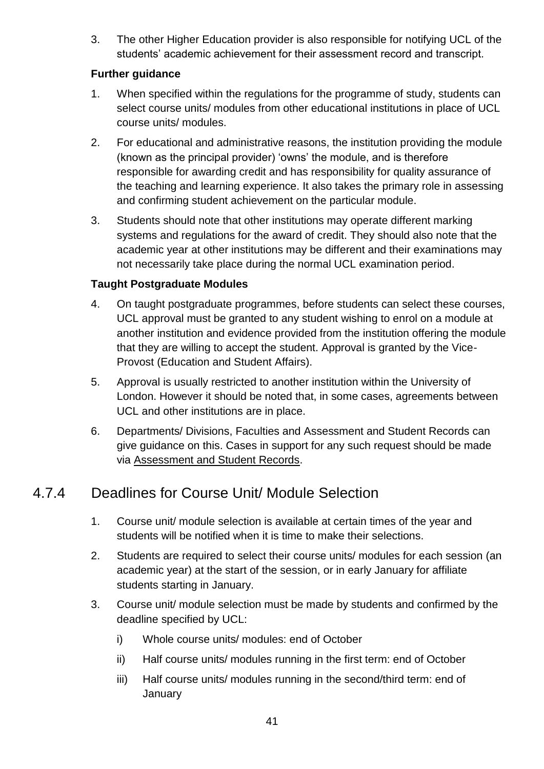3. The other Higher Education provider is also responsible for notifying UCL of the students' academic achievement for their assessment record and transcript.

#### **Further guidance**

- 1. When specified within the regulations for the programme of study, students can select course units/ modules from other educational institutions in place of UCL course units/ modules.
- 2. For educational and administrative reasons, the institution providing the module (known as the principal provider) 'owns' the module, and is therefore responsible for awarding credit and has responsibility for quality assurance of the teaching and learning experience. It also takes the primary role in assessing and confirming student achievement on the particular module.
- 3. Students should note that other institutions may operate different marking systems and regulations for the award of credit. They should also note that the academic year at other institutions may be different and their examinations may not necessarily take place during the normal UCL examination period.

#### **Taught Postgraduate Modules**

- 4. On taught postgraduate programmes, before students can select these courses, UCL approval must be granted to any student wishing to enrol on a module at another institution and evidence provided from the institution offering the module that they are willing to accept the student. Approval is granted by the Vice-Provost (Education and Student Affairs).
- 5. Approval is usually restricted to another institution within the University of London. However it should be noted that, in some cases, agreements between UCL and other institutions are in place.
- 6. Departments/ Divisions, Faculties and Assessment and Student Records can give guidance on this. Cases in support for any such request should be made via [Assessment and Student Records.](http://www.ucl.ac.uk/srs/our-services/student-administration)

### 4.7.4 Deadlines for Course Unit/ Module Selection

- 1. Course unit/ module selection is available at certain times of the year and students will be notified when it is time to make their selections.
- 2. Students are required to select their course units/ modules for each session (an academic year) at the start of the session, or in early January for affiliate students starting in January.
- 3. Course unit/ module selection must be made by students and confirmed by the deadline specified by UCL:
	- i) Whole course units/ modules: end of October
	- ii) Half course units/ modules running in the first term: end of October
	- iii) Half course units/ modules running in the second/third term: end of **January**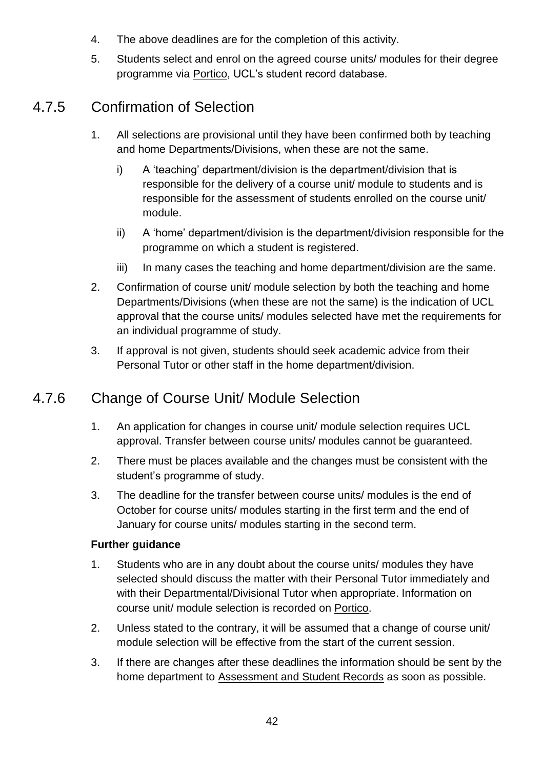- 4. The above deadlines are for the completion of this activity.
- 5. Students select and enrol on the agreed course units/ modules for their degree programme via [Portico,](https://evision.ucl.ac.uk/urd/sits.urd/run/siw_lgn) UCL's student record database.

### 4.7.5 Confirmation of Selection

- 1. All selections are provisional until they have been confirmed both by teaching and home Departments/Divisions, when these are not the same.
	- i) A 'teaching' department/division is the department/division that is responsible for the delivery of a course unit/ module to students and is responsible for the assessment of students enrolled on the course unit/ module.
	- ii) A 'home' department/division is the department/division responsible for the programme on which a student is registered.
	- iii) In many cases the teaching and home department/division are the same.
- 2. Confirmation of course unit/ module selection by both the teaching and home Departments/Divisions (when these are not the same) is the indication of UCL approval that the course units/ modules selected have met the requirements for an individual programme of study.
- 3. If approval is not given, students should seek academic advice from their Personal Tutor or other staff in the home department/division.

### 4.7.6 Change of Course Unit/ Module Selection

- 1. An application for changes in course unit/ module selection requires UCL approval. Transfer between course units/ modules cannot be guaranteed.
- 2. There must be places available and the changes must be consistent with the student's programme of study.
- 3. The deadline for the transfer between course units/ modules is the end of October for course units/ modules starting in the first term and the end of January for course units/ modules starting in the second term.

- 1. Students who are in any doubt about the course units/ modules they have selected should discuss the matter with their Personal Tutor immediately and with their Departmental/Divisional Tutor when appropriate. Information on course unit/ module selection is recorded on [Portico.](https://evision.ucl.ac.uk/urd/sits.urd/run/siw_lgn)
- 2. Unless stated to the contrary, it will be assumed that a change of course unit/ module selection will be effective from the start of the current session.
- 3. If there are changes after these deadlines the information should be sent by the home department to [Assessment and Student Records](http://www.ucl.ac.uk/srs/our-services/student-administration) as soon as possible.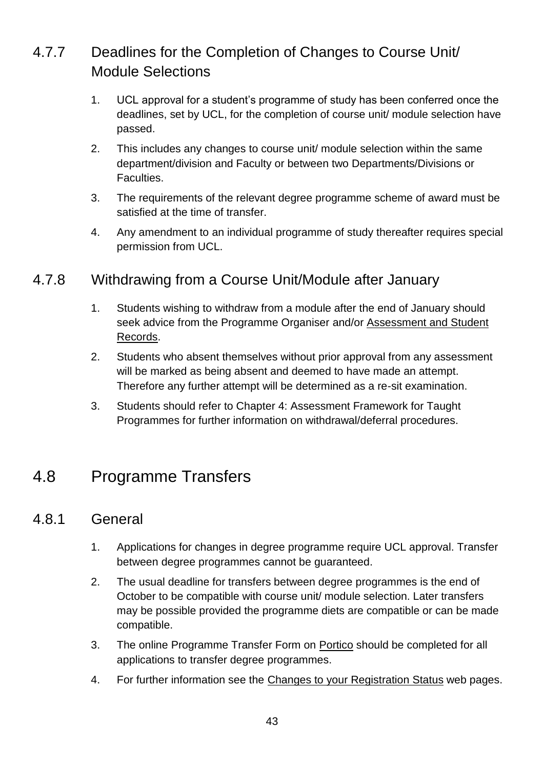### 4.7.7 Deadlines for the Completion of Changes to Course Unit/ Module Selections

- 1. UCL approval for a student's programme of study has been conferred once the deadlines, set by UCL, for the completion of course unit/ module selection have passed.
- 2. This includes any changes to course unit/ module selection within the same department/division and Faculty or between two Departments/Divisions or Faculties.
- 3. The requirements of the relevant degree programme scheme of award must be satisfied at the time of transfer.
- 4. Any amendment to an individual programme of study thereafter requires special permission from UCL.

### 4.7.8 Withdrawing from a Course Unit/Module after January

- 1. Students wishing to withdraw from a module after the end of January should seek advice from the Programme Organiser and/or [Assessment and Student](http://www.ucl.ac.uk/srs/our-services/student-administration)  [Records.](http://www.ucl.ac.uk/srs/our-services/student-administration)
- 2. Students who absent themselves without prior approval from any assessment will be marked as being absent and deemed to have made an attempt. Therefore any further attempt will be determined as a re-sit examination.
- 3. Students should refer to Chapter 4: Assessment Framework for Taught Programmes for further information on withdrawal/deferral procedures.

## 4.8 Programme Transfers

#### 4.8.1 General

- 1. Applications for changes in degree programme require UCL approval. Transfer between degree programmes cannot be guaranteed.
- 2. The usual deadline for transfers between degree programmes is the end of October to be compatible with course unit/ module selection. Later transfers may be possible provided the programme diets are compatible or can be made compatible.
- 3. The online Programme Transfer Form on [Portico](file://///File02.ucl.ac.uk/grp01$/AS_Share/Academic%20Regulations/Academic%20Regulations%202015-16%20DRAFT/Portico) should be completed for all applications to transfer degree programmes.
- 4. For further information see the [Changes to your Registration Status](http://www.ucl.ac.uk/current-students/services_2/registration_status) web pages.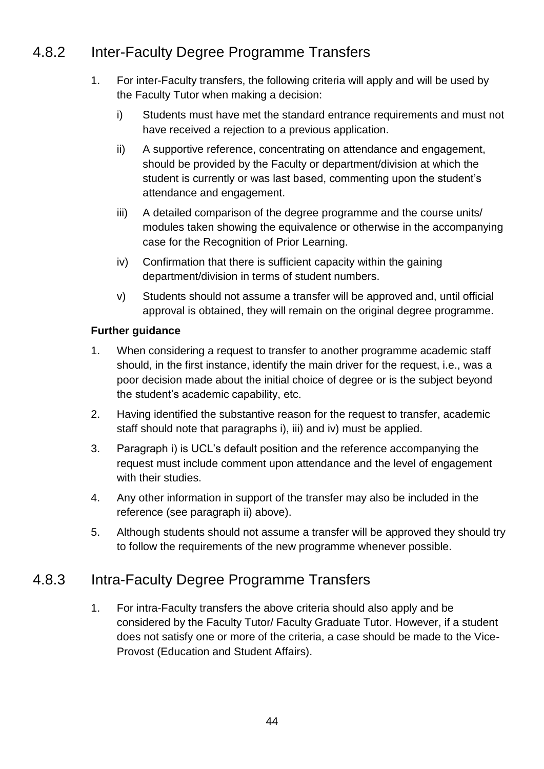### 4.8.2 Inter-Faculty Degree Programme Transfers

- 1. For inter-Faculty transfers, the following criteria will apply and will be used by the Faculty Tutor when making a decision:
	- i) Students must have met the standard entrance requirements and must not have received a rejection to a previous application.
	- ii) A supportive reference, concentrating on attendance and engagement, should be provided by the Faculty or department/division at which the student is currently or was last based, commenting upon the student's attendance and engagement.
	- iii) A detailed comparison of the degree programme and the course units/ modules taken showing the equivalence or otherwise in the accompanying case for the Recognition of Prior Learning.
	- iv) Confirmation that there is sufficient capacity within the gaining department/division in terms of student numbers.
	- v) Students should not assume a transfer will be approved and, until official approval is obtained, they will remain on the original degree programme.

#### **Further guidance**

- 1. When considering a request to transfer to another programme academic staff should, in the first instance, identify the main driver for the request, i.e., was a poor decision made about the initial choice of degree or is the subject beyond the student's academic capability, etc.
- 2. Having identified the substantive reason for the request to transfer, academic staff should note that paragraphs i), iii) and iv) must be applied.
- 3. Paragraph i) is UCL's default position and the reference accompanying the request must include comment upon attendance and the level of engagement with their studies.
- 4. Any other information in support of the transfer may also be included in the reference (see paragraph ii) above).
- 5. Although students should not assume a transfer will be approved they should try to follow the requirements of the new programme whenever possible.

#### 4.8.3 Intra-Faculty Degree Programme Transfers

1. For intra-Faculty transfers the above criteria should also apply and be considered by the Faculty Tutor/ Faculty Graduate Tutor. However, if a student does not satisfy one or more of the criteria, a case should be made to the Vice-Provost (Education and Student Affairs).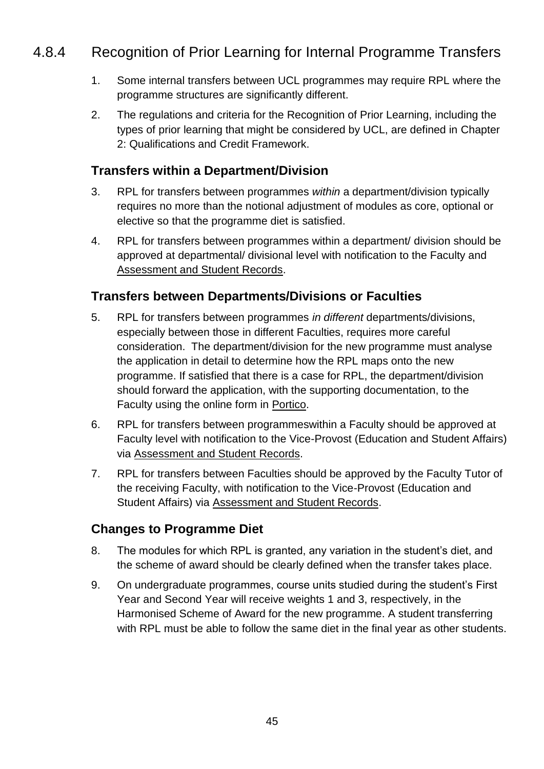### 4.8.4 Recognition of Prior Learning for Internal Programme Transfers

- 1. Some internal transfers between UCL programmes may require RPL where the programme structures are significantly different.
- 2. The regulations and criteria for the Recognition of Prior Learning, including the types of prior learning that might be considered by UCL, are defined in Chapter 2: Qualifications and Credit Framework.

#### **Transfers within a Department/Division**

- 3. RPL for transfers between programmes *within* a department/division typically requires no more than the notional adjustment of modules as core, optional or elective so that the programme diet is satisfied.
- 4. RPL for transfers between programmes within a department/ division should be approved at departmental/ divisional level with notification to the Faculty and [Assessment and Student Records.](http://www.ucl.ac.uk/srs/our-services/student-administration)

#### **Transfers between Departments/Divisions or Faculties**

- 5. RPL for transfers between programmes *in different* departments/divisions, especially between those in different Faculties, requires more careful consideration. The department/division for the new programme must analyse the application in detail to determine how the RPL maps onto the new programme. If satisfied that there is a case for RPL, the department/division should forward the application, with the supporting documentation, to the Faculty using the online form in [Portico.](https://evision.ucl.ac.uk/urd/sits.urd/run/siw_lgn)
- 6. RPL for transfers between programmeswithin a Faculty should be approved at Faculty level with notification to the Vice-Provost (Education and Student Affairs) via [Assessment and Student Records.](http://www.ucl.ac.uk/srs/our-services/student-administration)
- 7. RPL for transfers between Faculties should be approved by the Faculty Tutor of the receiving Faculty, with notification to the Vice-Provost (Education and Student Affairs) via [Assessment and Student Records.](http://www.ucl.ac.uk/srs/our-services/student-administration)

#### **Changes to Programme Diet**

- 8. The modules for which RPL is granted, any variation in the student's diet, and the scheme of award should be clearly defined when the transfer takes place.
- 9. On undergraduate programmes, course units studied during the student's First Year and Second Year will receive weights 1 and 3, respectively, in the Harmonised Scheme of Award for the new programme. A student transferring with RPL must be able to follow the same diet in the final year as other students.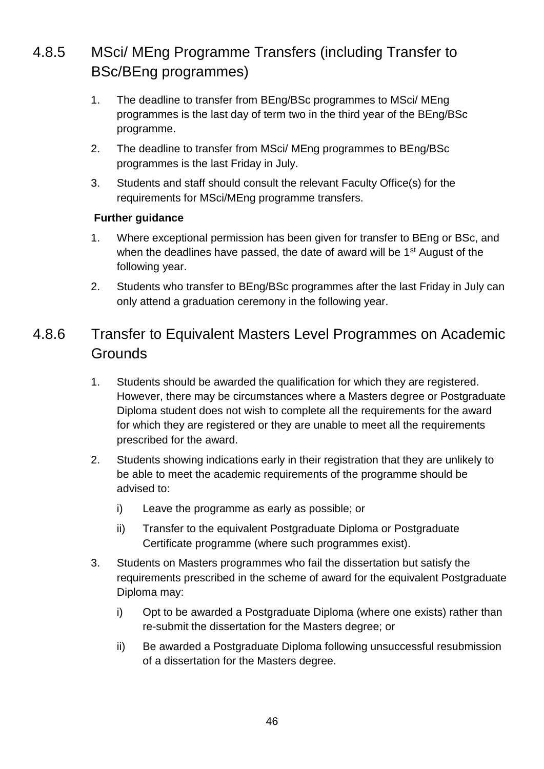## 4.8.5 MSci/ MEng Programme Transfers (including Transfer to BSc/BEng programmes)

- 1. The deadline to transfer from BEng/BSc programmes to MSci/ MEng programmes is the last day of term two in the third year of the BEng/BSc programme.
- 2. The deadline to transfer from MSci/ MEng programmes to BEng/BSc programmes is the last Friday in July.
- 3. Students and staff should consult the relevant Faculty Office(s) for the requirements for MSci/MEng programme transfers.

#### **Further guidance**

- 1. Where exceptional permission has been given for transfer to BEng or BSc, and when the deadlines have passed, the date of award will be 1<sup>st</sup> August of the following year.
- 2. Students who transfer to BEng/BSc programmes after the last Friday in July can only attend a graduation ceremony in the following year.

### 4.8.6 Transfer to Equivalent Masters Level Programmes on Academic **Grounds**

- 1. Students should be awarded the qualification for which they are registered. However, there may be circumstances where a Masters degree or Postgraduate Diploma student does not wish to complete all the requirements for the award for which they are registered or they are unable to meet all the requirements prescribed for the award.
- 2. Students showing indications early in their registration that they are unlikely to be able to meet the academic requirements of the programme should be advised to:
	- i) Leave the programme as early as possible; or
	- ii) Transfer to the equivalent Postgraduate Diploma or Postgraduate Certificate programme (where such programmes exist).
- 3. Students on Masters programmes who fail the dissertation but satisfy the requirements prescribed in the scheme of award for the equivalent Postgraduate Diploma may:
	- i) Opt to be awarded a Postgraduate Diploma (where one exists) rather than re-submit the dissertation for the Masters degree; or
	- ii) Be awarded a Postgraduate Diploma following unsuccessful resubmission of a dissertation for the Masters degree.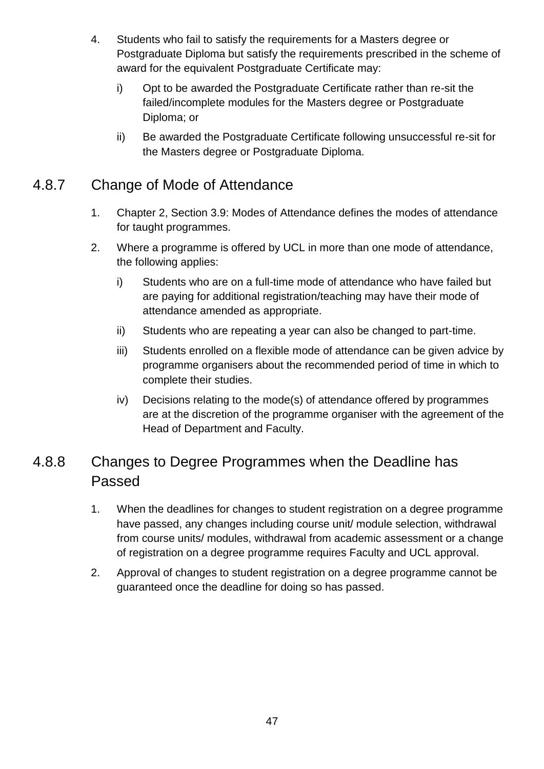- 4. Students who fail to satisfy the requirements for a Masters degree or Postgraduate Diploma but satisfy the requirements prescribed in the scheme of award for the equivalent Postgraduate Certificate may:
	- i) Opt to be awarded the Postgraduate Certificate rather than re-sit the failed/incomplete modules for the Masters degree or Postgraduate Diploma; or
	- ii) Be awarded the Postgraduate Certificate following unsuccessful re-sit for the Masters degree or Postgraduate Diploma.

### 4.8.7 Change of Mode of Attendance

- 1. Chapter 2, Section 3.9: Modes of Attendance defines the modes of attendance for taught programmes.
- 2. Where a programme is offered by UCL in more than one mode of attendance, the following applies:
	- i) Students who are on a full-time mode of attendance who have failed but are paying for additional registration/teaching may have their mode of attendance amended as appropriate.
	- ii) Students who are repeating a year can also be changed to part-time.
	- iii) Students enrolled on a flexible mode of attendance can be given advice by programme organisers about the recommended period of time in which to complete their studies.
	- iv) Decisions relating to the mode(s) of attendance offered by programmes are at the discretion of the programme organiser with the agreement of the Head of Department and Faculty.

### 4.8.8 Changes to Degree Programmes when the Deadline has Passed

- 1. When the deadlines for changes to student registration on a degree programme have passed, any changes including course unit/ module selection, withdrawal from course units/ modules, withdrawal from academic assessment or a change of registration on a degree programme requires Faculty and UCL approval.
- 2. Approval of changes to student registration on a degree programme cannot be guaranteed once the deadline for doing so has passed.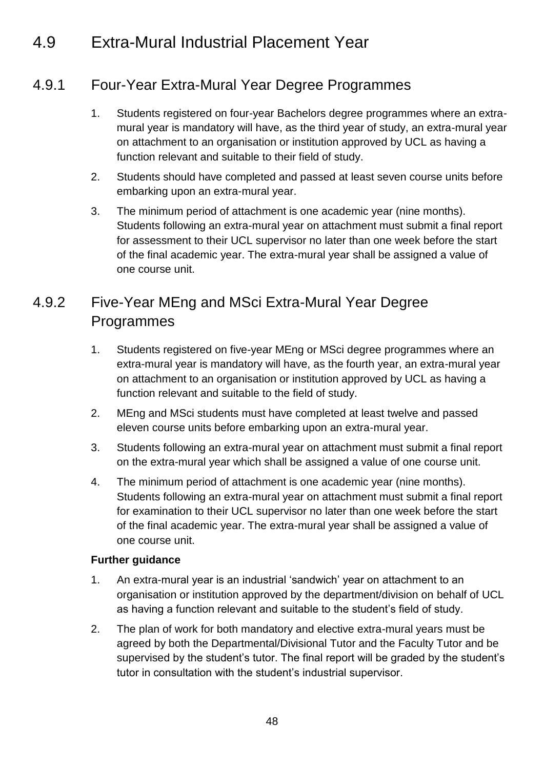## 4.9 Extra-Mural Industrial Placement Year

### 4.9.1 Four-Year Extra-Mural Year Degree Programmes

- 1. Students registered on four-year Bachelors degree programmes where an extramural year is mandatory will have, as the third year of study, an extra-mural year on attachment to an organisation or institution approved by UCL as having a function relevant and suitable to their field of study.
- 2. Students should have completed and passed at least seven course units before embarking upon an extra-mural year.
- 3. The minimum period of attachment is one academic year (nine months). Students following an extra-mural year on attachment must submit a final report for assessment to their UCL supervisor no later than one week before the start of the final academic year. The extra-mural year shall be assigned a value of one course unit.

### 4.9.2 Five-Year MEng and MSci Extra-Mural Year Degree Programmes

- 1. Students registered on five-year MEng or MSci degree programmes where an extra-mural year is mandatory will have, as the fourth year, an extra-mural year on attachment to an organisation or institution approved by UCL as having a function relevant and suitable to the field of study.
- 2. MEng and MSci students must have completed at least twelve and passed eleven course units before embarking upon an extra-mural year.
- 3. Students following an extra-mural year on attachment must submit a final report on the extra-mural year which shall be assigned a value of one course unit.
- 4. The minimum period of attachment is one academic year (nine months). Students following an extra-mural year on attachment must submit a final report for examination to their UCL supervisor no later than one week before the start of the final academic year. The extra-mural year shall be assigned a value of one course unit.

- 1. An extra-mural year is an industrial 'sandwich' year on attachment to an organisation or institution approved by the department/division on behalf of UCL as having a function relevant and suitable to the student's field of study.
- 2. The plan of work for both mandatory and elective extra-mural years must be agreed by both the Departmental/Divisional Tutor and the Faculty Tutor and be supervised by the student's tutor. The final report will be graded by the student's tutor in consultation with the student's industrial supervisor.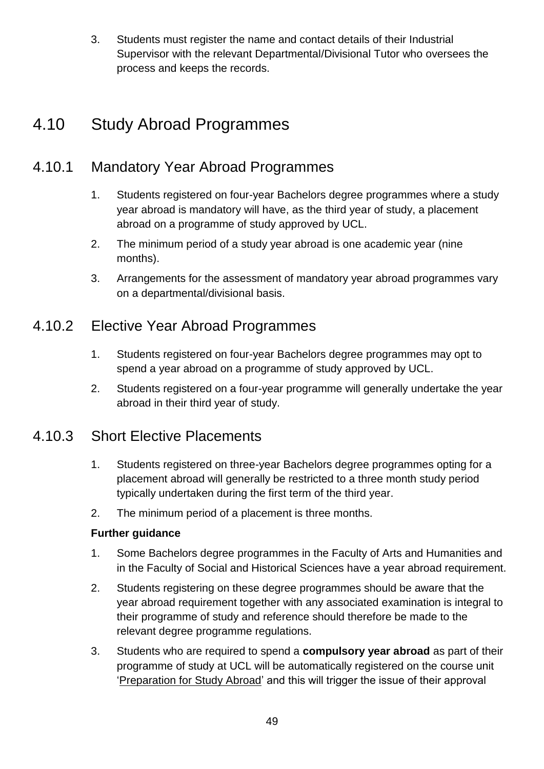3. Students must register the name and contact details of their Industrial Supervisor with the relevant Departmental/Divisional Tutor who oversees the process and keeps the records.

## 4.10 Study Abroad Programmes

### 4.10.1 Mandatory Year Abroad Programmes

- 1. Students registered on four-year Bachelors degree programmes where a study year abroad is mandatory will have, as the third year of study, a placement abroad on a programme of study approved by UCL.
- 2. The minimum period of a study year abroad is one academic year (nine months).
- 3. Arrangements for the assessment of mandatory year abroad programmes vary on a departmental/divisional basis.

### 4.10.2 Elective Year Abroad Programmes

- 1. Students registered on four-year Bachelors degree programmes may opt to spend a year abroad on a programme of study approved by UCL.
- 2. Students registered on a four-year programme will generally undertake the year abroad in their third year of study.

### 4.10.3 Short Elective Placements

- 1. Students registered on three-year Bachelors degree programmes opting for a placement abroad will generally be restricted to a three month study period typically undertaken during the first term of the third year.
- 2. The minimum period of a placement is three months.

- 1. Some Bachelors degree programmes in the Faculty of Arts and Humanities and in the Faculty of Social and Historical Sciences have a year abroad requirement.
- 2. Students registering on these degree programmes should be aware that the year abroad requirement together with any associated examination is integral to their programme of study and reference should therefore be made to the relevant degree programme regulations.
- 3. Students who are required to spend a **compulsory year abroad** as part of their programme of study at UCL will be automatically registered on the course unit ['Preparation for Study Abroad'](http://www.ucl.ac.uk/studyabroad/preparation/preparation-requirements) and this will trigger the issue of their approval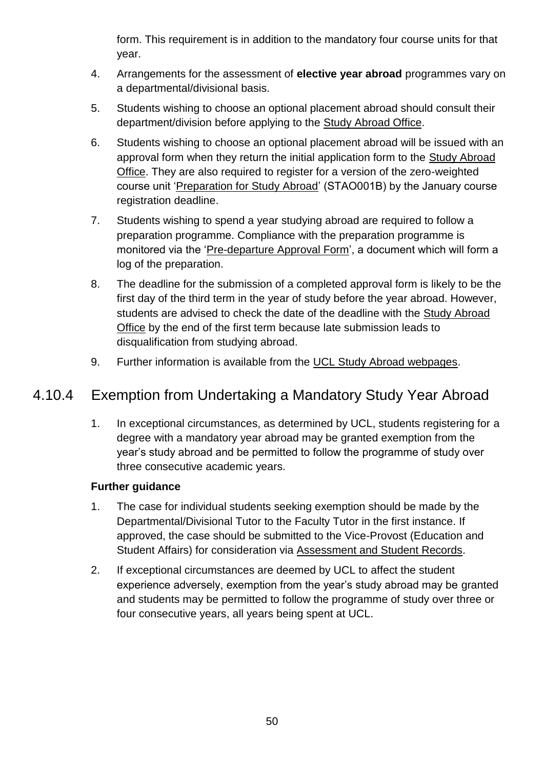form. This requirement is in addition to the mandatory four course units for that year.

- 4. Arrangements for the assessment of **elective year abroad** programmes vary on a departmental/divisional basis.
- 5. Students wishing to choose an optional placement abroad should consult their department/division before applying to the [Study Abroad Office.](http://www.ucl.ac.uk/studyabroad/contact/contact-details)
- 6. Students wishing to choose an optional placement abroad will be issued with an approval form when they return the initial application form to the [Study Abroad](http://www.ucl.ac.uk/studyabroad/contact/contact-details)  [Office.](http://www.ucl.ac.uk/studyabroad/contact/contact-details) They are also required to register for a version of the zero-weighted course unit ['Preparation for Study Abroad'](http://www.ucl.ac.uk/studyabroad/preparation/preparation-requirements) (STAO001B) by the January course registration deadline.
- 7. Students wishing to spend a year studying abroad are required to follow a preparation programme. Compliance with the preparation programme is monitored via the ['Pre-departure Approval Form'](http://www.ucl.ac.uk/studyabroad/preparation/preparation-requirements), a document which will form a log of the preparation.
- 8. The deadline for the submission of a completed approval form is likely to be the first day of the third term in the year of study before the year abroad. However, students are advised to check the date of the deadline with the Study Abroad [Office](http://www.ucl.ac.uk/studyabroad/contact/contact-details) by the end of the first term because late submission leads to disqualification from studying abroad.
- 9. Further information is available from the [UCL Study Abroad webpages.](http://www.ucl.ac.uk/studyabroad/)

### 4.10.4 Exemption from Undertaking a Mandatory Study Year Abroad

1. In exceptional circumstances, as determined by UCL, students registering for a degree with a mandatory year abroad may be granted exemption from the year's study abroad and be permitted to follow the programme of study over three consecutive academic years.

- 1. The case for individual students seeking exemption should be made by the Departmental/Divisional Tutor to the Faculty Tutor in the first instance. If approved, the case should be submitted to the Vice-Provost (Education and Student Affairs) for consideration via [Assessment and Student Records.](http://www.ucl.ac.uk/srs/our-services/student-administration)
- 2. If exceptional circumstances are deemed by UCL to affect the student experience adversely, exemption from the year's study abroad may be granted and students may be permitted to follow the programme of study over three or four consecutive years, all years being spent at UCL.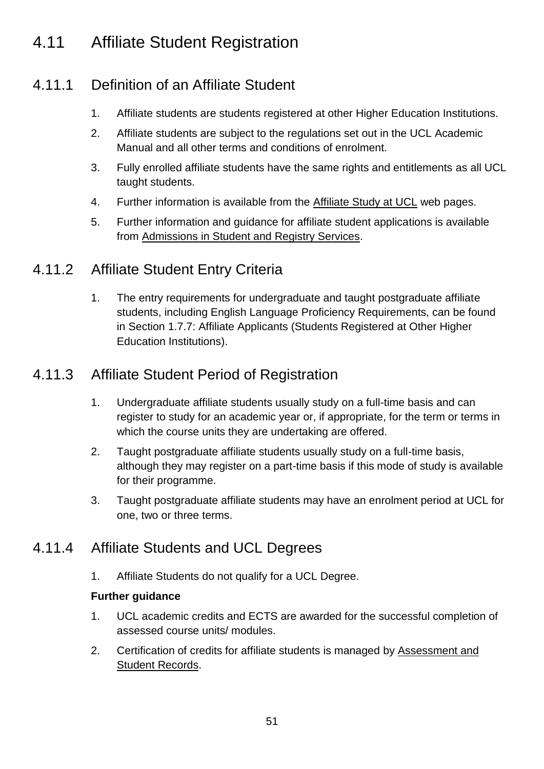## 4.11 Affiliate Student Registration

### 4.11.1 Definition of an Affiliate Student

- 1. Affiliate students are students registered at other Higher Education Institutions.
- 2. Affiliate students are subject to the regulations set out in the UCL Academic Manual and all other terms and conditions of enrolment.
- 3. Fully enrolled affiliate students have the same rights and entitlements as all UCL taught students.
- 4. Further information is available from the [Affiliate Study at UCL](http://www.ucl.ac.uk/prospective-students/international/affiliate) web pages.
- 5. Further information and guidance for affiliate student applications is available from [Admissions in Student and Registry Services.](http://www.ucl.ac.uk/srs/our-services/access-and-admissions)

#### 4.11.2 Affiliate Student Entry Criteria

1. The entry requirements for undergraduate and taught postgraduate affiliate students, including English Language Proficiency Requirements, can be found in Section 1.7.7: Affiliate Applicants (Students Registered at Other Higher Education Institutions).

#### 4.11.3 Affiliate Student Period of Registration

- 1. Undergraduate affiliate students usually study on a full-time basis and can register to study for an academic year or, if appropriate, for the term or terms in which the course units they are undertaking are offered.
- 2. Taught postgraduate affiliate students usually study on a full-time basis, although they may register on a part-time basis if this mode of study is available for their programme.
- 3. Taught postgraduate affiliate students may have an enrolment period at UCL for one, two or three terms.

### 4.11.4 Affiliate Students and UCL Degrees

1. Affiliate Students do not qualify for a UCL Degree.

- 1. UCL academic credits and ECTS are awarded for the successful completion of assessed course units/ modules.
- 2. Certification of credits for affiliate students is managed by [Assessment and](http://www.ucl.ac.uk/srs/our-services/student-administration)  [Student Records.](http://www.ucl.ac.uk/srs/our-services/student-administration)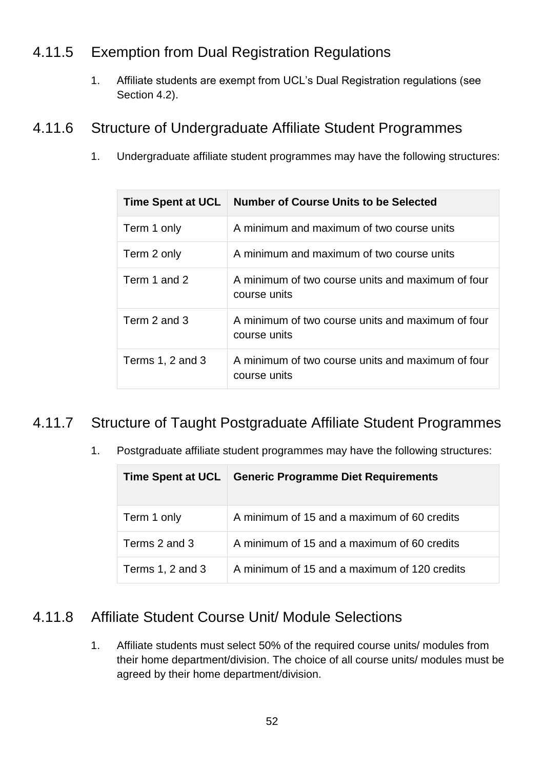### 4.11.5 Exemption from Dual Registration Regulations

1. Affiliate students are exempt from UCL's Dual Registration regulations (see Section 4.2).

#### 4.11.6 Structure of Undergraduate Affiliate Student Programmes

1. Undergraduate affiliate student programmes may have the following structures:

| <b>Time Spent at UCL</b> | <b>Number of Course Units to be Selected</b>                      |
|--------------------------|-------------------------------------------------------------------|
| Term 1 only              | A minimum and maximum of two course units                         |
| Term 2 only              | A minimum and maximum of two course units                         |
| Term 1 and 2             | A minimum of two course units and maximum of four<br>course units |
| Term 2 and 3             | A minimum of two course units and maximum of four<br>course units |
| Terms 1, 2 and 3         | A minimum of two course units and maximum of four<br>course units |

### 4.11.7 Structure of Taught Postgraduate Affiliate Student Programmes

1. Postgraduate affiliate student programmes may have the following structures:

| <b>Time Spent at UCL</b> | <b>Generic Programme Diet Requirements</b>   |
|--------------------------|----------------------------------------------|
| Term 1 only              | A minimum of 15 and a maximum of 60 credits  |
| Terms 2 and 3            | A minimum of 15 and a maximum of 60 credits  |
| Terms $1, 2$ and $3$     | A minimum of 15 and a maximum of 120 credits |

#### 4.11.8 Affiliate Student Course Unit/ Module Selections

1. Affiliate students must select 50% of the required course units/ modules from their home department/division. The choice of all course units/ modules must be agreed by their home department/division.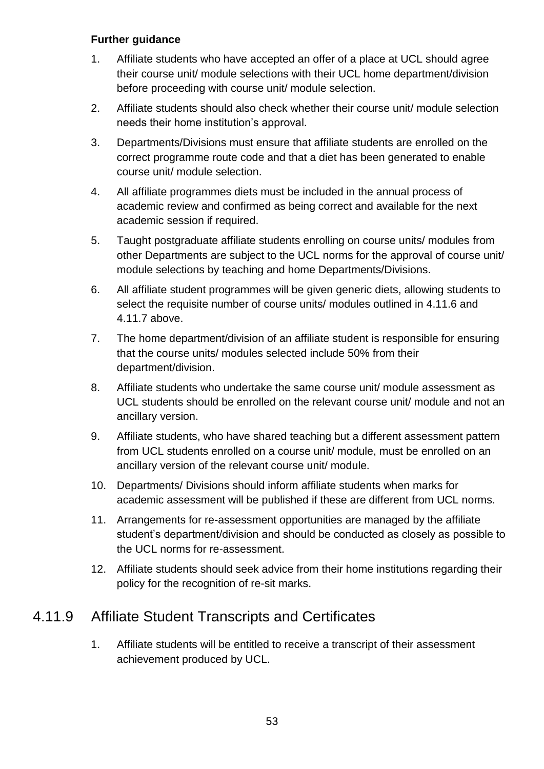#### **Further guidance**

- 1. Affiliate students who have accepted an offer of a place at UCL should agree their course unit/ module selections with their UCL home department/division before proceeding with course unit/ module selection.
- 2. Affiliate students should also check whether their course unit/ module selection needs their home institution's approval.
- 3. Departments/Divisions must ensure that affiliate students are enrolled on the correct programme route code and that a diet has been generated to enable course unit/ module selection.
- 4. All affiliate programmes diets must be included in the annual process of academic review and confirmed as being correct and available for the next academic session if required.
- 5. Taught postgraduate affiliate students enrolling on course units/ modules from other Departments are subject to the UCL norms for the approval of course unit/ module selections by teaching and home Departments/Divisions.
- 6. All affiliate student programmes will be given generic diets, allowing students to select the requisite number of course units/ modules outlined in 4.11.6 and 4.11.7 above.
- 7. The home department/division of an affiliate student is responsible for ensuring that the course units/ modules selected include 50% from their department/division.
- 8. Affiliate students who undertake the same course unit/ module assessment as UCL students should be enrolled on the relevant course unit/ module and not an ancillary version.
- 9. Affiliate students, who have shared teaching but a different assessment pattern from UCL students enrolled on a course unit/ module, must be enrolled on an ancillary version of the relevant course unit/ module.
- 10. Departments/ Divisions should inform affiliate students when marks for academic assessment will be published if these are different from UCL norms.
- 11. Arrangements for re-assessment opportunities are managed by the affiliate student's department/division and should be conducted as closely as possible to the UCL norms for re-assessment.
- 12. Affiliate students should seek advice from their home institutions regarding their policy for the recognition of re-sit marks.

### 4.11.9 Affiliate Student Transcripts and Certificates

1. Affiliate students will be entitled to receive a transcript of their assessment achievement produced by UCL.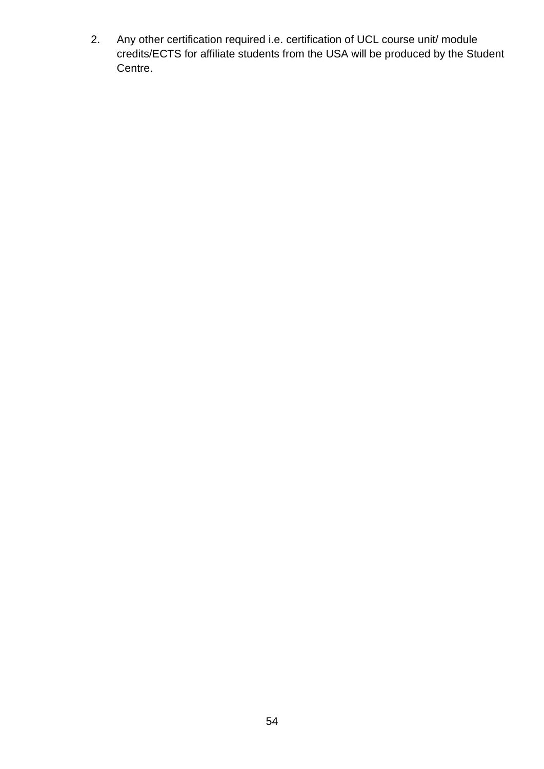2. Any other certification required i.e. certification of UCL course unit/ module credits/ECTS for affiliate students from the USA will be produced by the Student Centre.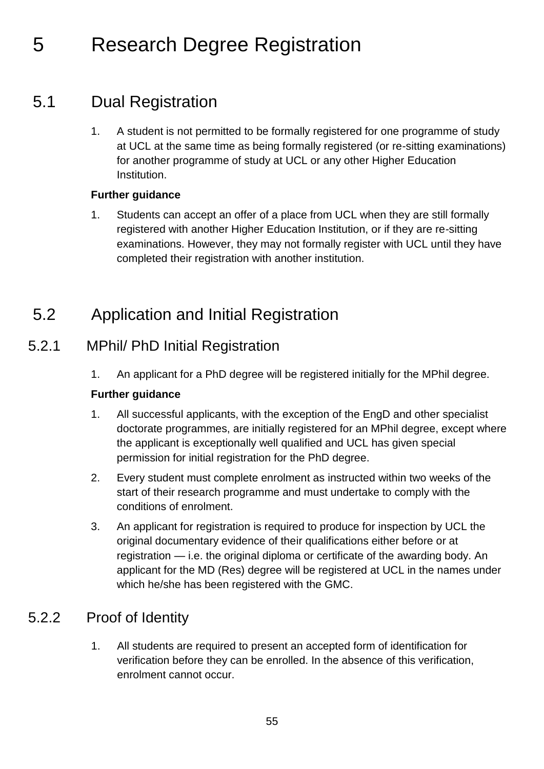# 5 Research Degree Registration

## 5.1 Dual Registration

1. A student is not permitted to be formally registered for one programme of study at UCL at the same time as being formally registered (or re-sitting examinations) for another programme of study at UCL or any other Higher Education Institution.

#### **Further guidance**

1. Students can accept an offer of a place from UCL when they are still formally registered with another Higher Education Institution, or if they are re-sitting examinations. However, they may not formally register with UCL until they have completed their registration with another institution.

## 5.2 Application and Initial Registration

### 5.2.1 MPhil/ PhD Initial Registration

1. An applicant for a PhD degree will be registered initially for the MPhil degree.

#### **Further guidance**

- 1. All successful applicants, with the exception of the EngD and other specialist doctorate programmes, are initially registered for an MPhil degree, except where the applicant is exceptionally well qualified and UCL has given special permission for initial registration for the PhD degree.
- 2. Every student must complete enrolment as instructed within two weeks of the start of their research programme and must undertake to comply with the conditions of enrolment.
- 3. An applicant for registration is required to produce for inspection by UCL the original documentary evidence of their qualifications either before or at registration — i.e. the original diploma or certificate of the awarding body. An applicant for the MD (Res) degree will be registered at UCL in the names under which he/she has been registered with the GMC.

### 5.2.2 Proof of Identity

1. All students are required to present an accepted form of identification for verification before they can be enrolled. In the absence of this verification, enrolment cannot occur.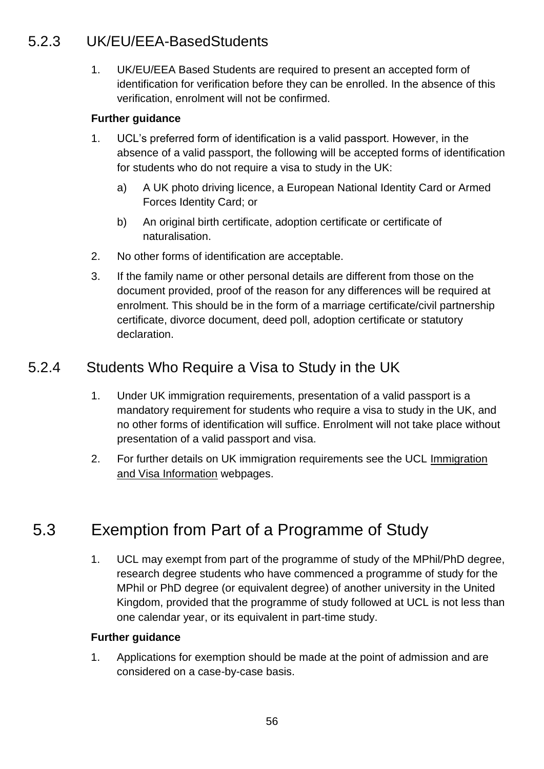### 5.2.3 UK/EU/EEA-BasedStudents

1. UK/EU/EEA Based Students are required to present an accepted form of identification for verification before they can be enrolled. In the absence of this verification, enrolment will not be confirmed.

#### **Further guidance**

- 1. UCL's preferred form of identification is a valid passport. However, in the absence of a valid passport, the following will be accepted forms of identification for students who do not require a visa to study in the UK:
	- a) A UK photo driving licence, a European National Identity Card or Armed Forces Identity Card; or
	- b) An original birth certificate, adoption certificate or certificate of naturalisation.
- 2. No other forms of identification are acceptable.
- 3. If the family name or other personal details are different from those on the document provided, proof of the reason for any differences will be required at enrolment. This should be in the form of a marriage certificate/civil partnership certificate, divorce document, deed poll, adoption certificate or statutory declaration.

#### 5.2.4 Students Who Require a Visa to Study in the UK

- 1. Under UK immigration requirements, presentation of a valid passport is a mandatory requirement for students who require a visa to study in the UK, and no other forms of identification will suffice. Enrolment will not take place without presentation of a valid passport and visa.
- 2. For further details on UK immigration requirements see the UCL [Immigration](file://///File02.ucl.ac.uk/grp01$/AS_Share/Academic%20Regulations/Academic%20Regulations%202015-16%20DRAFT/Immigration%20and%20Visa%20Information)  [and Visa Information](file://///File02.ucl.ac.uk/grp01$/AS_Share/Academic%20Regulations/Academic%20Regulations%202015-16%20DRAFT/Immigration%20and%20Visa%20Information) webpages.

## 5.3 Exemption from Part of a Programme of Study

1. UCL may exempt from part of the programme of study of the MPhil/PhD degree, research degree students who have commenced a programme of study for the MPhil or PhD degree (or equivalent degree) of another university in the United Kingdom, provided that the programme of study followed at UCL is not less than one calendar year, or its equivalent in part-time study.

#### **Further guidance**

1. Applications for exemption should be made at the point of admission and are considered on a case-by-case basis.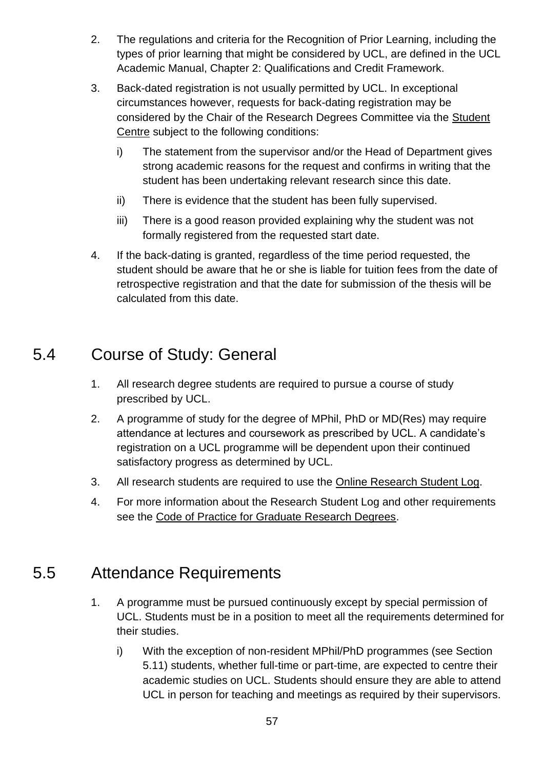- 2. The regulations and criteria for the Recognition of Prior Learning, including the types of prior learning that might be considered by UCL, are defined in the UCL Academic Manual, Chapter 2: Qualifications and Credit Framework.
- 3. Back-dated registration is not usually permitted by UCL. In exceptional circumstances however, requests for back-dating registration may be considered by the Chair of the Research Degrees Committee via the [Student](http://www.ucl.ac.uk/current-students/student-centre)  [Centre](http://www.ucl.ac.uk/current-students/student-centre) subject to the following conditions:
	- i) The statement from the supervisor and/or the Head of Department gives strong academic reasons for the request and confirms in writing that the student has been undertaking relevant research since this date.
	- ii) There is evidence that the student has been fully supervised.
	- iii) There is a good reason provided explaining why the student was not formally registered from the requested start date.
- 4. If the back-dating is granted, regardless of the time period requested, the student should be aware that he or she is liable for tuition fees from the date of retrospective registration and that the date for submission of the thesis will be calculated from this date.

## 5.4 Course of Study: General

- 1. All research degree students are required to pursue a course of study prescribed by UCL.
- 2. A programme of study for the degree of MPhil, PhD or MD(Res) may require attendance at lectures and coursework as prescribed by UCL. A candidate's registration on a UCL programme will be dependent upon their continued satisfactory progress as determined by UCL.
- 3. All research students are required to use the [Online Research Student Log.](https://researchlog.grad.ucl.ac.uk/)
- 4. For more information about the Research Student Log and other requirements see the [Code of Practice for Graduate Research Degrees.](http://www.grad.ucl.ac.uk/essinfo/)

## 5.5 Attendance Requirements

- 1. A programme must be pursued continuously except by special permission of UCL. Students must be in a position to meet all the requirements determined for their studies.
	- i) With the exception of non-resident MPhil/PhD programmes (see Section 5.11) students, whether full-time or part-time, are expected to centre their academic studies on UCL. Students should ensure they are able to attend UCL in person for teaching and meetings as required by their supervisors.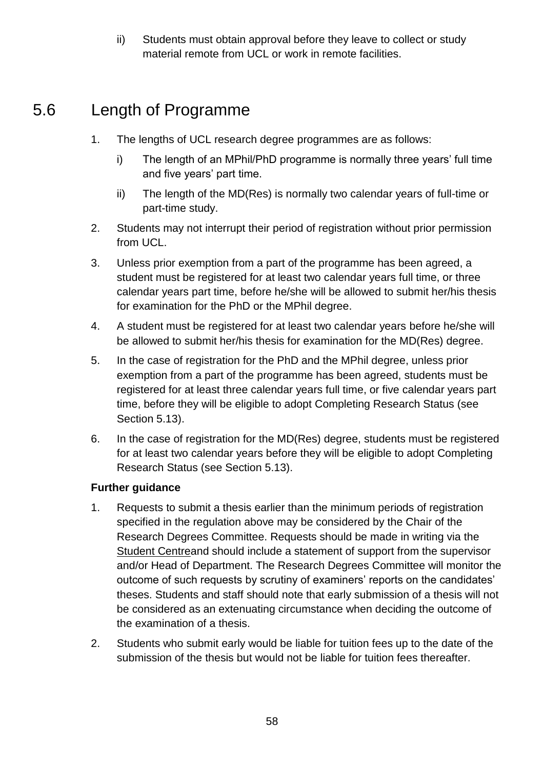ii) Students must obtain approval before they leave to collect or study material remote from UCL or work in remote facilities.

## 5.6 Length of Programme

- 1. The lengths of UCL research degree programmes are as follows:
	- i) The length of an MPhil/PhD programme is normally three years' full time and five years' part time.
	- ii) The length of the MD(Res) is normally two calendar years of full-time or part-time study.
- 2. Students may not interrupt their period of registration without prior permission from UCL.
- 3. Unless prior exemption from a part of the programme has been agreed, a student must be registered for at least two calendar years full time, or three calendar years part time, before he/she will be allowed to submit her/his thesis for examination for the PhD or the MPhil degree.
- 4. A student must be registered for at least two calendar years before he/she will be allowed to submit her/his thesis for examination for the MD(Res) degree.
- 5. In the case of registration for the PhD and the MPhil degree, unless prior exemption from a part of the programme has been agreed, students must be registered for at least three calendar years full time, or five calendar years part time, before they will be eligible to adopt Completing Research Status (see Section 5.13).
- 6. In the case of registration for the MD(Res) degree, students must be registered for at least two calendar years before they will be eligible to adopt Completing Research Status (see Section 5.13).

- 1. Requests to submit a thesis earlier than the minimum periods of registration specified in the regulation above may be considered by the Chair of the Research Degrees Committee. Requests should be made in writing via the [Student Centrea](http://www.ucl.ac.uk/current-students/student-centre)nd should include a statement of support from the supervisor and/or Head of Department. The Research Degrees Committee will monitor the outcome of such requests by scrutiny of examiners' reports on the candidates' theses. Students and staff should note that early submission of a thesis will not be considered as an extenuating circumstance when deciding the outcome of the examination of a thesis.
- 2. Students who submit early would be liable for tuition fees up to the date of the submission of the thesis but would not be liable for tuition fees thereafter.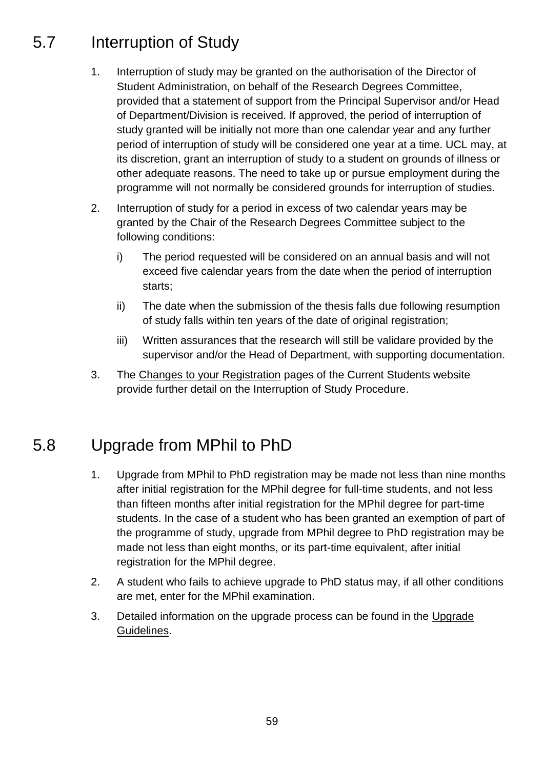## 5.7 Interruption of Study

- 1. Interruption of study may be granted on the authorisation of the Director of Student Administration, on behalf of the Research Degrees Committee, provided that a statement of support from the Principal Supervisor and/or Head of Department/Division is received. If approved, the period of interruption of study granted will be initially not more than one calendar year and any further period of interruption of study will be considered one year at a time. UCL may, at its discretion, grant an interruption of study to a student on grounds of illness or other adequate reasons. The need to take up or pursue employment during the programme will not normally be considered grounds for interruption of studies.
- 2. Interruption of study for a period in excess of two calendar years may be granted by the Chair of the Research Degrees Committee subject to the following conditions:
	- i) The period requested will be considered on an annual basis and will not exceed five calendar years from the date when the period of interruption starts;
	- ii) The date when the submission of the thesis falls due following resumption of study falls within ten years of the date of original registration;
	- iii) Written assurances that the research will still be validare provided by the supervisor and/or the Head of Department, with supporting documentation.
- 3. The [Changes to your Registration](http://www.ucl.ac.uk/current-students/services_2/registration_status) pages of the Current Students website provide further detail on the Interruption of Study Procedure.

## 5.8 Upgrade from MPhil to PhD

- 1. Upgrade from MPhil to PhD registration may be made not less than nine months after initial registration for the MPhil degree for full-time students, and not less than fifteen months after initial registration for the MPhil degree for part-time students. In the case of a student who has been granted an exemption of part of the programme of study, upgrade from MPhil degree to PhD registration may be made not less than eight months, or its part-time equivalent, after initial registration for the MPhil degree.
- 2. A student who fails to achieve upgrade to PhD status may, if all other conditions are met, enter for the MPhil examination.
- 3. Detailed information on the upgrade process can be found in the [Upgrade](http://www.ucl.ac.uk/current-students/research_degrees/upgrade_mphil_phd)  [Guidelines.](http://www.ucl.ac.uk/current-students/research_degrees/upgrade_mphil_phd)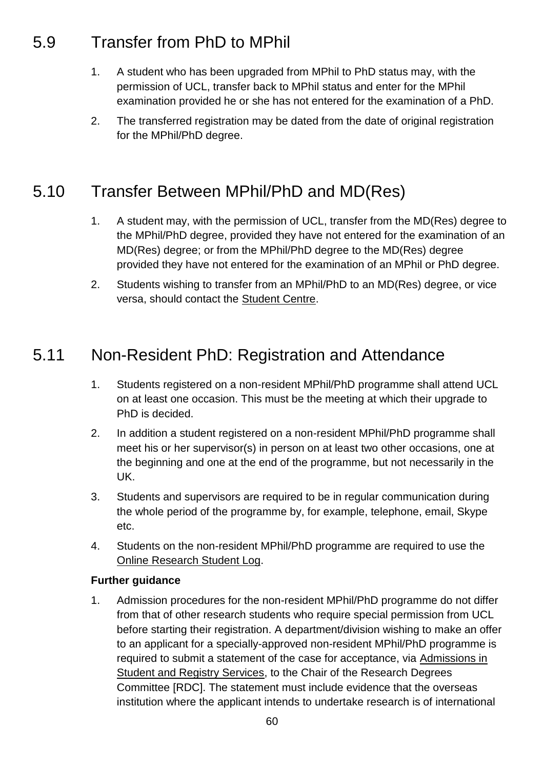## 5.9 Transfer from PhD to MPhil

- 1. A student who has been upgraded from MPhil to PhD status may, with the permission of UCL, transfer back to MPhil status and enter for the MPhil examination provided he or she has not entered for the examination of a PhD.
- 2. The transferred registration may be dated from the date of original registration for the MPhil/PhD degree.

## 5.10 Transfer Between MPhil/PhD and MD(Res)

- 1. A student may, with the permission of UCL, transfer from the MD(Res) degree to the MPhil/PhD degree, provided they have not entered for the examination of an MD(Res) degree; or from the MPhil/PhD degree to the MD(Res) degree provided they have not entered for the examination of an MPhil or PhD degree.
- 2. Students wishing to transfer from an MPhil/PhD to an MD(Res) degree, or vice versa, should contact the [Student Centre.](http://www.ucl.ac.uk/current-students/student-centre)

## 5.11 Non-Resident PhD: Registration and Attendance

- 1. Students registered on a non-resident MPhil/PhD programme shall attend UCL on at least one occasion. This must be the meeting at which their upgrade to PhD is decided.
- 2. In addition a student registered on a non-resident MPhil/PhD programme shall meet his or her supervisor(s) in person on at least two other occasions, one at the beginning and one at the end of the programme, but not necessarily in the UK.
- 3. Students and supervisors are required to be in regular communication during the whole period of the programme by, for example, telephone, email, Skype etc.
- 4. Students on the non-resident MPhil/PhD programme are required to use the [Online Research Student Log.](https://researchlog.grad.ucl.ac.uk/)

#### **Further guidance**

1. Admission procedures for the non-resident MPhil/PhD programme do not differ from that of other research students who require special permission from UCL before starting their registration. A department/division wishing to make an offer to an applicant for a specially-approved non-resident MPhil/PhD programme is required to submit a statement of the case for acceptance, via [Admissions in](http://www.ucl.ac.uk/srs/our-services/access-and-admissions)  [Student and Registry Services,](http://www.ucl.ac.uk/srs/our-services/access-and-admissions) to the Chair of the Research Degrees Committee [RDC]. The statement must include evidence that the overseas institution where the applicant intends to undertake research is of international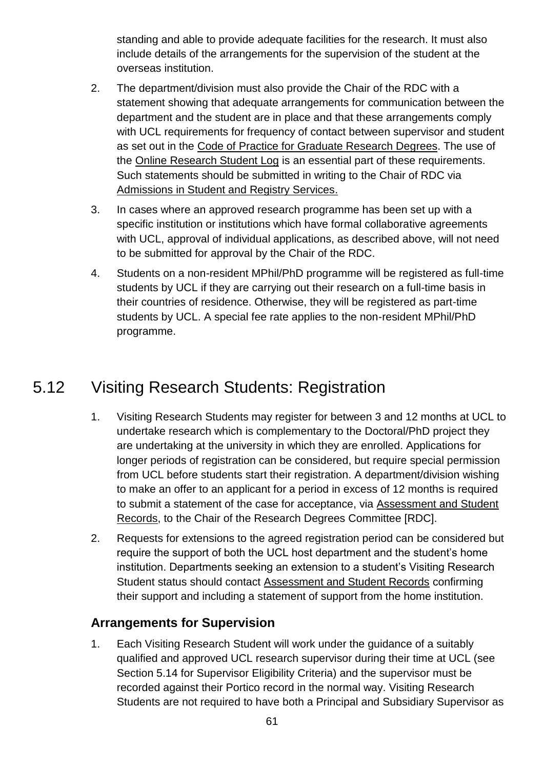standing and able to provide adequate facilities for the research. It must also include details of the arrangements for the supervision of the student at the overseas institution.

- 2. The department/division must also provide the Chair of the RDC with a statement showing that adequate arrangements for communication between the department and the student are in place and that these arrangements comply with UCL requirements for frequency of contact between supervisor and student as set out in the [Code of Practice for Graduate Research Degrees.](http://www.grad.ucl.ac.uk/essinfo/) The use of the [Online Research Student Log](https://researchlog.grad.ucl.ac.uk/) is an essential part of these requirements. Such statements should be submitted in writing to the Chair of RDC via [Admissions in Student and Registry Services.](http://www.ucl.ac.uk/srs/our-services/access-and-admissions)
- 3. In cases where an approved research programme has been set up with a specific institution or institutions which have formal collaborative agreements with UCL, approval of individual applications, as described above, will not need to be submitted for approval by the Chair of the RDC.
- 4. Students on a non-resident MPhil/PhD programme will be registered as full-time students by UCL if they are carrying out their research on a full-time basis in their countries of residence. Otherwise, they will be registered as part-time students by UCL. A special fee rate applies to the non-resident MPhil/PhD programme.

## 5.12 Visiting Research Students: Registration

- 1. Visiting Research Students may register for between 3 and 12 months at UCL to undertake research which is complementary to the Doctoral/PhD project they are undertaking at the university in which they are enrolled. Applications for longer periods of registration can be considered, but require special permission from UCL before students start their registration. A department/division wishing to make an offer to an applicant for a period in excess of 12 months is required to submit a statement of the case for acceptance, via [Assessment and Student](http://www.ucl.ac.uk/srs/our-services/student-administration)  [Records,](http://www.ucl.ac.uk/srs/our-services/student-administration) to the Chair of the Research Degrees Committee [RDC].
- 2. Requests for extensions to the agreed registration period can be considered but require the support of both the UCL host department and the student's home institution. Departments seeking an extension to a student's Visiting Research Student status should contact [Assessment and Student Records](http://www.ucl.ac.uk/srs/our-services/student-administration) confirming their support and including a statement of support from the home institution.

#### **Arrangements for Supervision**

1. Each Visiting Research Student will work under the guidance of a suitably qualified and approved UCL research supervisor during their time at UCL (see Section 5.14 for Supervisor Eligibility Criteria) and the supervisor must be recorded against their Portico record in the normal way. Visiting Research Students are not required to have both a Principal and Subsidiary Supervisor as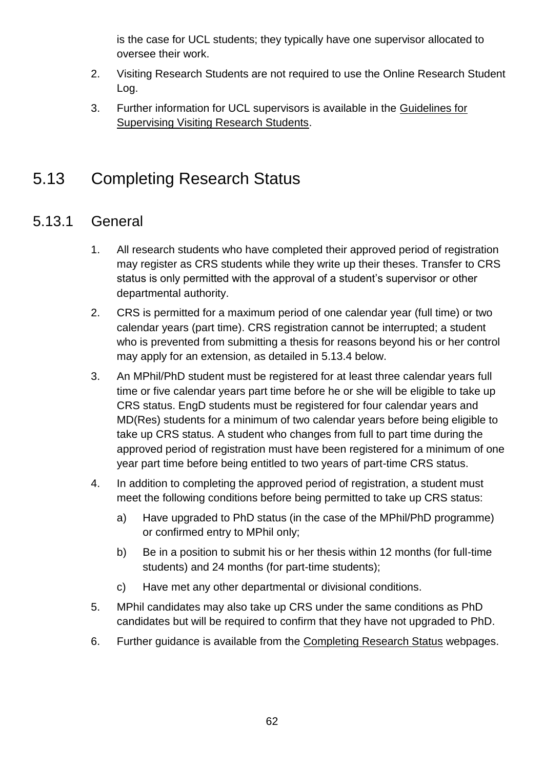is the case for UCL students; they typically have one supervisor allocated to oversee their work.

- 2. Visiting Research Students are not required to use the Online Research Student Log.
- 3. Further information for UCL supervisors is available in the [Guidelines for](http://www.grad.ucl.ac.uk/resources/Guidelines-forSupervising-VisitingResearchStudents.pdf)  [Supervising Visiting Research Students.](http://www.grad.ucl.ac.uk/resources/Guidelines-forSupervising-VisitingResearchStudents.pdf)

## 5.13 Completing Research Status

#### 5.13.1 General

- 1. All research students who have completed their approved period of registration may register as CRS students while they write up their theses. Transfer to CRS status is only permitted with the approval of a student's supervisor or other departmental authority.
- 2. CRS is permitted for a maximum period of one calendar year (full time) or two calendar years (part time). CRS registration cannot be interrupted; a student who is prevented from submitting a thesis for reasons beyond his or her control may apply for an extension, as detailed in 5.13.4 below.
- 3. An MPhil/PhD student must be registered for at least three calendar years full time or five calendar years part time before he or she will be eligible to take up CRS status. EngD students must be registered for four calendar years and MD(Res) students for a minimum of two calendar years before being eligible to take up CRS status. A student who changes from full to part time during the approved period of registration must have been registered for a minimum of one year part time before being entitled to two years of part-time CRS status.
- 4. In addition to completing the approved period of registration, a student must meet the following conditions before being permitted to take up CRS status:
	- a) Have upgraded to PhD status (in the case of the MPhil/PhD programme) or confirmed entry to MPhil only;
	- b) Be in a position to submit his or her thesis within 12 months (for full-time students) and 24 months (for part-time students);
	- c) Have met any other departmental or divisional conditions.
- 5. MPhil candidates may also take up CRS under the same conditions as PhD candidates but will be required to confirm that they have not upgraded to PhD.
- 6. Further guidance is available from the [Completing Research Status](http://www.ucl.ac.uk/current-students/services_2/registration_status) webpages.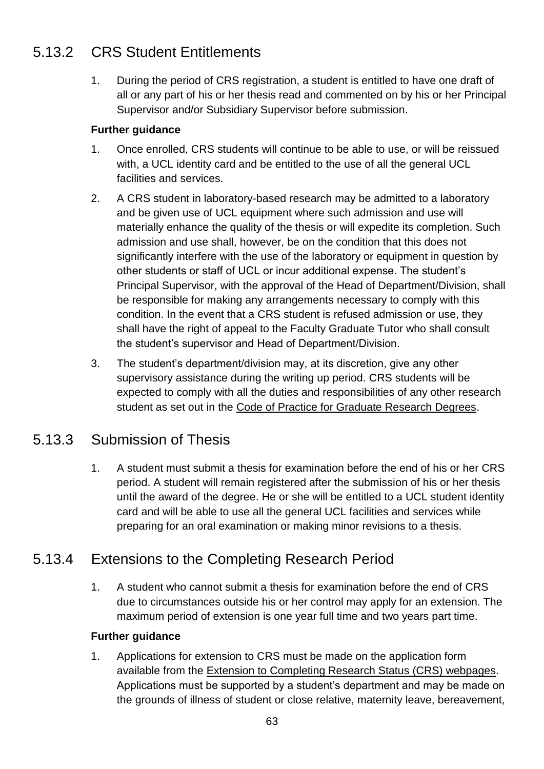### 5.13.2 CRS Student Entitlements

1. During the period of CRS registration, a student is entitled to have one draft of all or any part of his or her thesis read and commented on by his or her Principal Supervisor and/or Subsidiary Supervisor before submission.

#### **Further guidance**

- 1. Once enrolled, CRS students will continue to be able to use, or will be reissued with, a UCL identity card and be entitled to the use of all the general UCL facilities and services.
- 2. A CRS student in laboratory-based research may be admitted to a laboratory and be given use of UCL equipment where such admission and use will materially enhance the quality of the thesis or will expedite its completion. Such admission and use shall, however, be on the condition that this does not significantly interfere with the use of the laboratory or equipment in question by other students or staff of UCL or incur additional expense. The student's Principal Supervisor, with the approval of the Head of Department/Division, shall be responsible for making any arrangements necessary to comply with this condition. In the event that a CRS student is refused admission or use, they shall have the right of appeal to the Faculty Graduate Tutor who shall consult the student's supervisor and Head of Department/Division.
- 3. The student's department/division may, at its discretion, give any other supervisory assistance during the writing up period. CRS students will be expected to comply with all the duties and responsibilities of any other research student as set out in the [Code of Practice for Graduate Research Degrees.](http://www.grad.ucl.ac.uk/essinfo/)

### 5.13.3 Submission of Thesis

1. A student must submit a thesis for examination before the end of his or her CRS period. A student will remain registered after the submission of his or her thesis until the award of the degree. He or she will be entitled to a UCL student identity card and will be able to use all the general UCL facilities and services while preparing for an oral examination or making minor revisions to a thesis.

### 5.13.4 Extensions to the Completing Research Period

1. A student who cannot submit a thesis for examination before the end of CRS due to circumstances outside his or her control may apply for an extension. The maximum period of extension is one year full time and two years part time.

#### **Further guidance**

1. Applications for extension to CRS must be made on the application form available from the [Extension to Completing Research Status \(CRS\) webpages.](http://www.ucl.ac.uk/current-students/services_2/registration_status) Applications must be supported by a student's department and may be made on the grounds of illness of student or close relative, maternity leave, bereavement,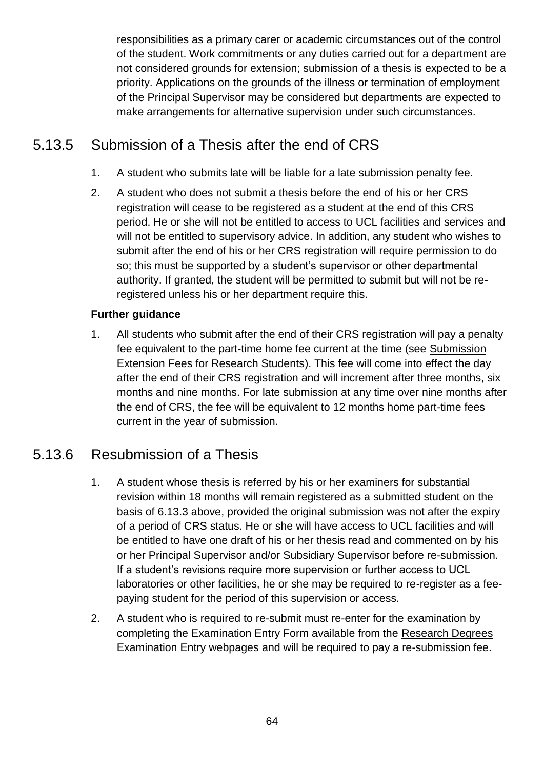responsibilities as a primary carer or academic circumstances out of the control of the student. Work commitments or any duties carried out for a department are not considered grounds for extension; submission of a thesis is expected to be a priority. Applications on the grounds of the illness or termination of employment of the Principal Supervisor may be considered but departments are expected to make arrangements for alternative supervision under such circumstances.

### 5.13.5 Submission of a Thesis after the end of CRS

- 1. A student who submits late will be liable for a late submission penalty fee.
- 2. A student who does not submit a thesis before the end of his or her CRS registration will cease to be registered as a student at the end of this CRS period. He or she will not be entitled to access to UCL facilities and services and will not be entitled to supervisory advice. In addition, any student who wishes to submit after the end of his or her CRS registration will require permission to do so; this must be supported by a student's supervisor or other departmental authority. If granted, the student will be permitted to submit but will not be reregistered unless his or her department require this.

#### **Further guidance**

1. All students who submit after the end of their CRS registration will pay a penalty fee equivalent to the part-time home fee current at the time (see [Submission](http://www.ucl.ac.uk/current-students/research_degrees/latesubmission)  [Extension Fees for Research Students\)](http://www.ucl.ac.uk/current-students/research_degrees/latesubmission). This fee will come into effect the day after the end of their CRS registration and will increment after three months, six months and nine months. For late submission at any time over nine months after the end of CRS, the fee will be equivalent to 12 months home part-time fees current in the year of submission.

#### 5.13.6 Resubmission of a Thesis

- 1. A student whose thesis is referred by his or her examiners for substantial revision within 18 months will remain registered as a submitted student on the basis of 6.13.3 above, provided the original submission was not after the expiry of a period of CRS status. He or she will have access to UCL facilities and will be entitled to have one draft of his or her thesis read and commented on by his or her Principal Supervisor and/or Subsidiary Supervisor before re-submission. If a student's revisions require more supervision or further access to UCL laboratories or other facilities, he or she may be required to re-register as a feepaying student for the period of this supervision or access.
- 2. A student who is required to re-submit must re-enter for the examination by completing the Examination Entry Form available from the [Research Degrees](http://www.ucl.ac.uk/current-students/research_degrees/rd_exam_entry)  [Examination Entry webpages](http://www.ucl.ac.uk/current-students/research_degrees/rd_exam_entry) and will be required to pay a re-submission fee.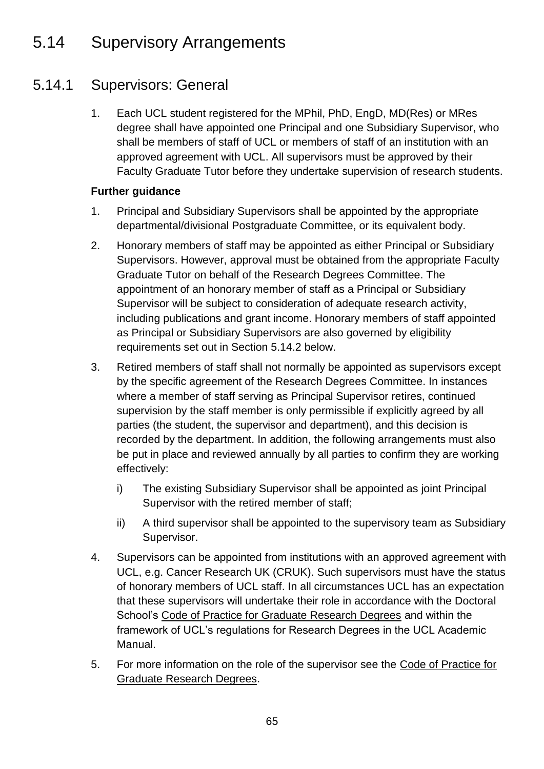## 5.14 Supervisory Arrangements

### 5.14.1 Supervisors: General

1. Each UCL student registered for the MPhil, PhD, EngD, MD(Res) or MRes degree shall have appointed one Principal and one Subsidiary Supervisor, who shall be members of staff of UCL or members of staff of an institution with an approved agreement with UCL. All supervisors must be approved by their Faculty Graduate Tutor before they undertake supervision of research students.

- 1. Principal and Subsidiary Supervisors shall be appointed by the appropriate departmental/divisional Postgraduate Committee, or its equivalent body.
- 2. Honorary members of staff may be appointed as either Principal or Subsidiary Supervisors. However, approval must be obtained from the appropriate Faculty Graduate Tutor on behalf of the Research Degrees Committee. The appointment of an honorary member of staff as a Principal or Subsidiary Supervisor will be subject to consideration of adequate research activity, including publications and grant income. Honorary members of staff appointed as Principal or Subsidiary Supervisors are also governed by eligibility requirements set out in Section 5.14.2 below.
- 3. Retired members of staff shall not normally be appointed as supervisors except by the specific agreement of the Research Degrees Committee. In instances where a member of staff serving as Principal Supervisor retires, continued supervision by the staff member is only permissible if explicitly agreed by all parties (the student, the supervisor and department), and this decision is recorded by the department. In addition, the following arrangements must also be put in place and reviewed annually by all parties to confirm they are working effectively:
	- i) The existing Subsidiary Supervisor shall be appointed as joint Principal Supervisor with the retired member of staff;
	- ii) A third supervisor shall be appointed to the supervisory team as Subsidiary Supervisor.
- 4. Supervisors can be appointed from institutions with an approved agreement with UCL, e.g. Cancer Research UK (CRUK). Such supervisors must have the status of honorary members of UCL staff. In all circumstances UCL has an expectation that these supervisors will undertake their role in accordance with the Doctoral School's [Code of Practice for Graduate Research Degrees](http://www.grad.ucl.ac.uk/essinfo/) and within the framework of UCL's regulations for Research Degrees in the UCL Academic Manual.
- 5. For more information on the role of the supervisor see the [Code of Practice for](http://www.grad.ucl.ac.uk/essinfo/)  [Graduate Research Degrees.](http://www.grad.ucl.ac.uk/essinfo/)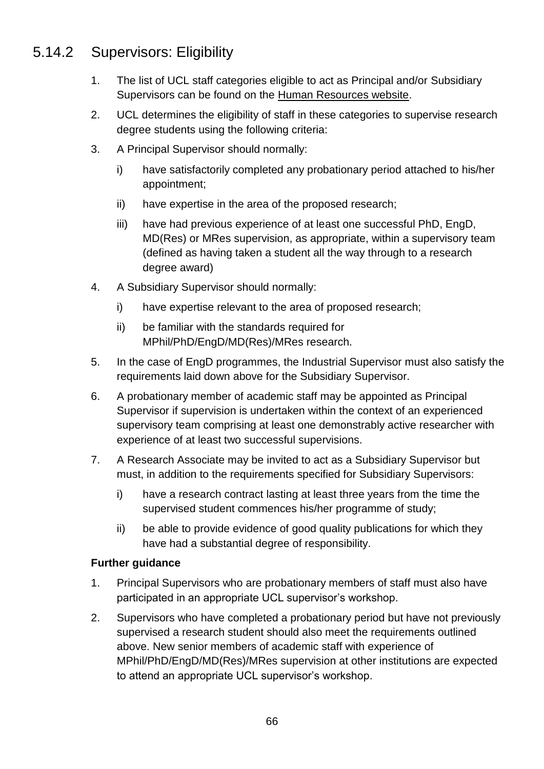### 5.14.2 Supervisors: Eligibility

- 1. The list of UCL staff categories eligible to act as Principal and/or Subsidiary Supervisors can be found on the [Human Resources website.](http://www.ucl.ac.uk/hr/docs/phd_student_supervision.php)
- 2. UCL determines the eligibility of staff in these categories to supervise research degree students using the following criteria:
- 3. A Principal Supervisor should normally:
	- i) have satisfactorily completed any probationary period attached to his/her appointment;
	- ii) have expertise in the area of the proposed research;
	- iii) have had previous experience of at least one successful PhD, EngD, MD(Res) or MRes supervision, as appropriate, within a supervisory team (defined as having taken a student all the way through to a research degree award)
- 4. A Subsidiary Supervisor should normally:
	- i) have expertise relevant to the area of proposed research;
	- ii) be familiar with the standards required for MPhil/PhD/EngD/MD(Res)/MRes research.
- 5. In the case of EngD programmes, the Industrial Supervisor must also satisfy the requirements laid down above for the Subsidiary Supervisor.
- 6. A probationary member of academic staff may be appointed as Principal Supervisor if supervision is undertaken within the context of an experienced supervisory team comprising at least one demonstrably active researcher with experience of at least two successful supervisions.
- 7. A Research Associate may be invited to act as a Subsidiary Supervisor but must, in addition to the requirements specified for Subsidiary Supervisors:
	- i) have a research contract lasting at least three years from the time the supervised student commences his/her programme of study;
	- ii) be able to provide evidence of good quality publications for which they have had a substantial degree of responsibility.

- 1. Principal Supervisors who are probationary members of staff must also have participated in an appropriate UCL supervisor's workshop.
- 2. Supervisors who have completed a probationary period but have not previously supervised a research student should also meet the requirements outlined above. New senior members of academic staff with experience of MPhil/PhD/EngD/MD(Res)/MRes supervision at other institutions are expected to attend an appropriate UCL supervisor's workshop.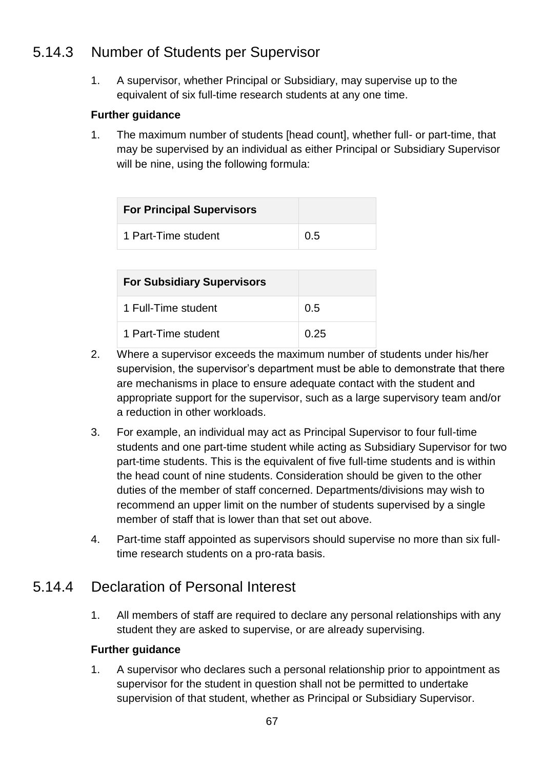### 5.14.3 Number of Students per Supervisor

1. A supervisor, whether Principal or Subsidiary, may supervise up to the equivalent of six full-time research students at any one time.

#### **Further guidance**

1. The maximum number of students [head count], whether full- or part-time, that may be supervised by an individual as either Principal or Subsidiary Supervisor will be nine, using the following formula:

| <b>For Principal Supervisors</b> |     |
|----------------------------------|-----|
| 1 Part-Time student              | 0.5 |

| <b>For Subsidiary Supervisors</b> |      |
|-----------------------------------|------|
| 1 Full-Time student               | 0.5  |
| 1 Part-Time student               | 0.25 |

- 2. Where a supervisor exceeds the maximum number of students under his/her supervision, the supervisor's department must be able to demonstrate that there are mechanisms in place to ensure adequate contact with the student and appropriate support for the supervisor, such as a large supervisory team and/or a reduction in other workloads.
- 3. For example, an individual may act as Principal Supervisor to four full-time students and one part-time student while acting as Subsidiary Supervisor for two part-time students. This is the equivalent of five full-time students and is within the head count of nine students. Consideration should be given to the other duties of the member of staff concerned. Departments/divisions may wish to recommend an upper limit on the number of students supervised by a single member of staff that is lower than that set out above.
- 4. Part-time staff appointed as supervisors should supervise no more than six fulltime research students on a pro-rata basis.

#### 5.14.4 Declaration of Personal Interest

1. All members of staff are required to declare any personal relationships with any student they are asked to supervise, or are already supervising.

#### **Further guidance**

1. A supervisor who declares such a personal relationship prior to appointment as supervisor for the student in question shall not be permitted to undertake supervision of that student, whether as Principal or Subsidiary Supervisor.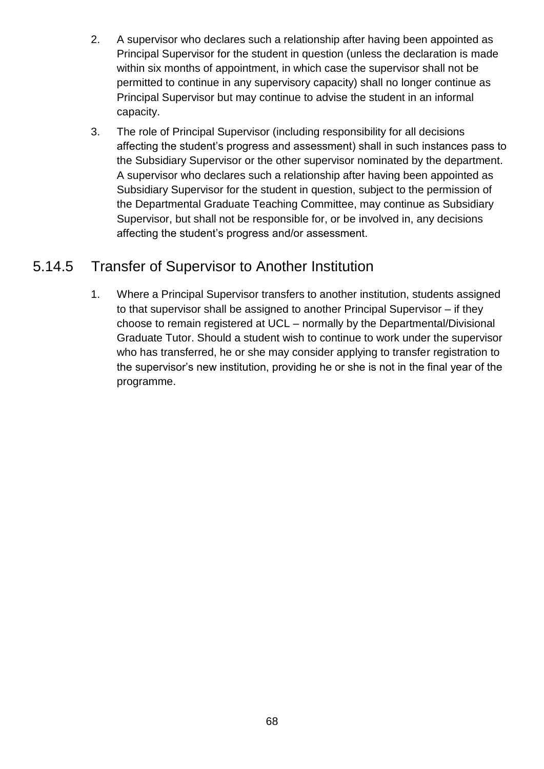- 2. A supervisor who declares such a relationship after having been appointed as Principal Supervisor for the student in question (unless the declaration is made within six months of appointment, in which case the supervisor shall not be permitted to continue in any supervisory capacity) shall no longer continue as Principal Supervisor but may continue to advise the student in an informal capacity.
- 3. The role of Principal Supervisor (including responsibility for all decisions affecting the student's progress and assessment) shall in such instances pass to the Subsidiary Supervisor or the other supervisor nominated by the department. A supervisor who declares such a relationship after having been appointed as Subsidiary Supervisor for the student in question, subject to the permission of the Departmental Graduate Teaching Committee, may continue as Subsidiary Supervisor, but shall not be responsible for, or be involved in, any decisions affecting the student's progress and/or assessment.

#### 5.14.5 Transfer of Supervisor to Another Institution

1. Where a Principal Supervisor transfers to another institution, students assigned to that supervisor shall be assigned to another Principal Supervisor – if they choose to remain registered at UCL – normally by the Departmental/Divisional Graduate Tutor. Should a student wish to continue to work under the supervisor who has transferred, he or she may consider applying to transfer registration to the supervisor's new institution, providing he or she is not in the final year of the programme.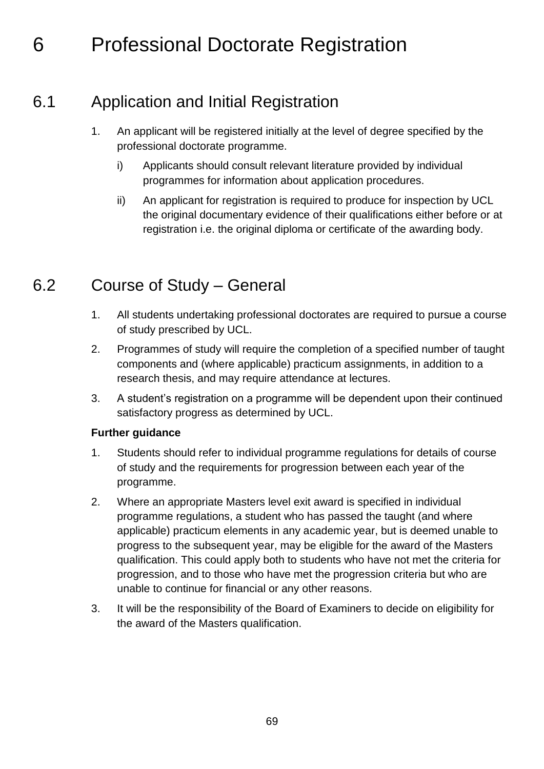# 6 Professional Doctorate Registration

## 6.1 Application and Initial Registration

- 1. An applicant will be registered initially at the level of degree specified by the professional doctorate programme.
	- i) Applicants should consult relevant literature provided by individual programmes for information about application procedures.
	- ii) An applicant for registration is required to produce for inspection by UCL the original documentary evidence of their qualifications either before or at registration i.e. the original diploma or certificate of the awarding body.

## 6.2 Course of Study – General

- 1. All students undertaking professional doctorates are required to pursue a course of study prescribed by UCL.
- 2. Programmes of study will require the completion of a specified number of taught components and (where applicable) practicum assignments, in addition to a research thesis, and may require attendance at lectures.
- 3. A student's registration on a programme will be dependent upon their continued satisfactory progress as determined by UCL.

- 1. Students should refer to individual programme regulations for details of course of study and the requirements for progression between each year of the programme.
- 2. Where an appropriate Masters level exit award is specified in individual programme regulations, a student who has passed the taught (and where applicable) practicum elements in any academic year, but is deemed unable to progress to the subsequent year, may be eligible for the award of the Masters qualification. This could apply both to students who have not met the criteria for progression, and to those who have met the progression criteria but who are unable to continue for financial or any other reasons.
- 3. It will be the responsibility of the Board of Examiners to decide on eligibility for the award of the Masters qualification.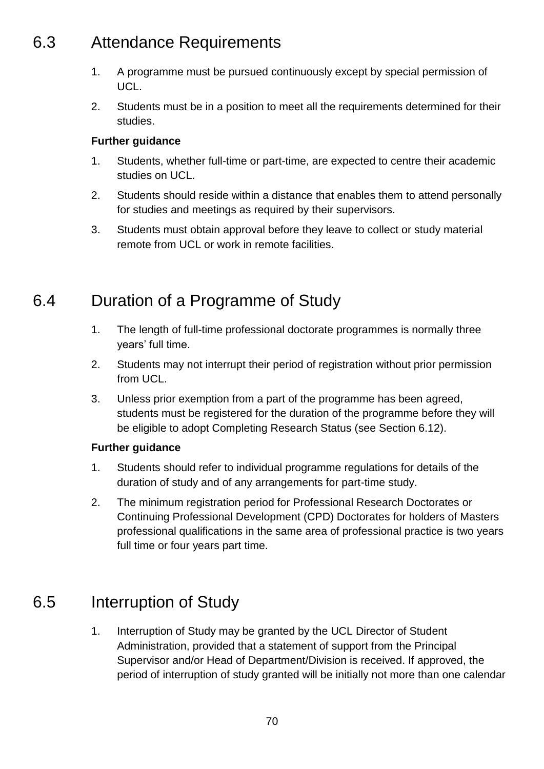## 6.3 Attendance Requirements

- 1. A programme must be pursued continuously except by special permission of UCL.
- 2. Students must be in a position to meet all the requirements determined for their studies.

#### **Further guidance**

- 1. Students, whether full-time or part-time, are expected to centre their academic studies on UCL.
- 2. Students should reside within a distance that enables them to attend personally for studies and meetings as required by their supervisors.
- 3. Students must obtain approval before they leave to collect or study material remote from UCL or work in remote facilities.

## 6.4 Duration of a Programme of Study

- 1. The length of full-time professional doctorate programmes is normally three years' full time.
- 2. Students may not interrupt their period of registration without prior permission from UCL.
- 3. Unless prior exemption from a part of the programme has been agreed, students must be registered for the duration of the programme before they will be eligible to adopt Completing Research Status (see Section 6.12).

#### **Further guidance**

- 1. Students should refer to individual programme regulations for details of the duration of study and of any arrangements for part-time study.
- 2. The minimum registration period for Professional Research Doctorates or Continuing Professional Development (CPD) Doctorates for holders of Masters professional qualifications in the same area of professional practice is two years full time or four years part time.

## 6.5 Interruption of Study

1. Interruption of Study may be granted by the UCL Director of Student Administration, provided that a statement of support from the Principal Supervisor and/or Head of Department/Division is received. If approved, the period of interruption of study granted will be initially not more than one calendar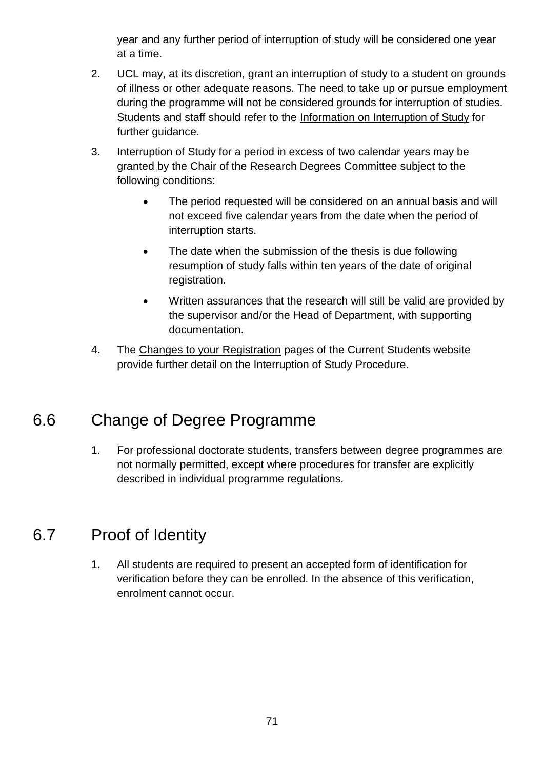year and any further period of interruption of study will be considered one year at a time.

- 2. UCL may, at its discretion, grant an interruption of study to a student on grounds of illness or other adequate reasons. The need to take up or pursue employment during the programme will not be considered grounds for interruption of studies. Students and staff should refer to the [Information on Interruption of Study](http://www.ucl.ac.uk/current-students/services_2/registration_status) for further guidance.
- 3. Interruption of Study for a period in excess of two calendar years may be granted by the Chair of the Research Degrees Committee subject to the following conditions:
	- The period requested will be considered on an annual basis and will not exceed five calendar years from the date when the period of interruption starts.
	- The date when the submission of the thesis is due following resumption of study falls within ten years of the date of original registration.
	- Written assurances that the research will still be valid are provided by the supervisor and/or the Head of Department, with supporting documentation.
- 4. The [Changes to your Registration](http://www.ucl.ac.uk/current-students/services_2/registration_status) pages of the Current Students website provide further detail on the Interruption of Study Procedure.

## 6.6 Change of Degree Programme

1. For professional doctorate students, transfers between degree programmes are not normally permitted, except where procedures for transfer are explicitly described in individual programme regulations.

## 6.7 Proof of Identity

1. All students are required to present an accepted form of identification for verification before they can be enrolled. In the absence of this verification, enrolment cannot occur.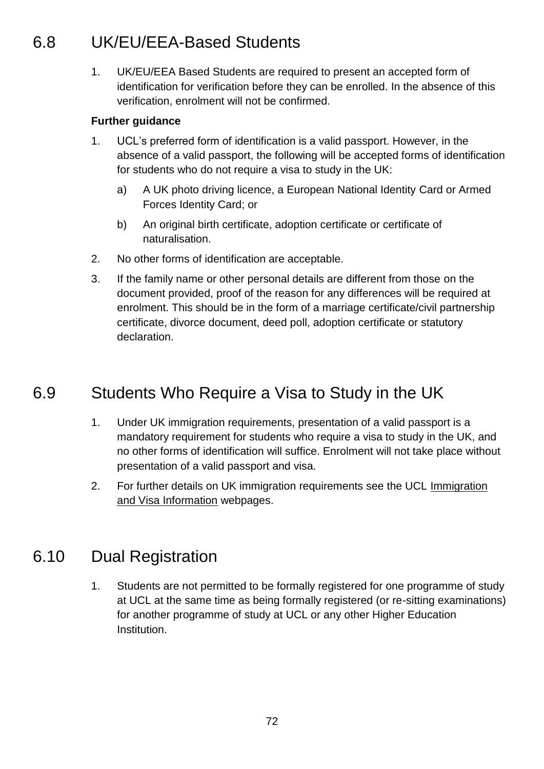## 6.8 UK/EU/EEA-Based Students

1. UK/EU/EEA Based Students are required to present an accepted form of identification for verification before they can be enrolled. In the absence of this verification, enrolment will not be confirmed.

#### **Further guidance**

- 1. UCL's preferred form of identification is a valid passport. However, in the absence of a valid passport, the following will be accepted forms of identification for students who do not require a visa to study in the UK:
	- a) A UK photo driving licence, a European National Identity Card or Armed Forces Identity Card; or
	- b) An original birth certificate, adoption certificate or certificate of naturalisation.
- 2. No other forms of identification are acceptable.
- 3. If the family name or other personal details are different from those on the document provided, proof of the reason for any differences will be required at enrolment. This should be in the form of a marriage certificate/civil partnership certificate, divorce document, deed poll, adoption certificate or statutory declaration.

## 6.9 Students Who Require a Visa to Study in the UK

- 1. Under UK immigration requirements, presentation of a valid passport is a mandatory requirement for students who require a visa to study in the UK, and no other forms of identification will suffice. Enrolment will not take place without presentation of a valid passport and visa.
- 2. For further details on UK immigration requirements see the UCL [Immigration](file://///File02.ucl.ac.uk/grp01$/AS_Share/Academic%20Regulations/Academic%20Regulations%202015-16%20DRAFT/Immigration%20and%20Visa%20Information)  [and Visa Information](file://///File02.ucl.ac.uk/grp01$/AS_Share/Academic%20Regulations/Academic%20Regulations%202015-16%20DRAFT/Immigration%20and%20Visa%20Information) webpages.

## 6.10 Dual Registration

1. Students are not permitted to be formally registered for one programme of study at UCL at the same time as being formally registered (or re-sitting examinations) for another programme of study at UCL or any other Higher Education Institution.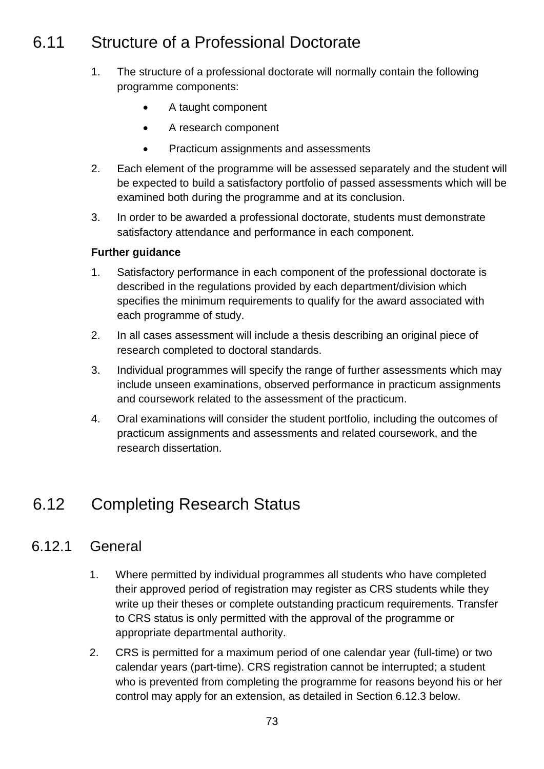# 6.11 Structure of a Professional Doctorate

- 1. The structure of a professional doctorate will normally contain the following programme components:
	- A taught component
	- A research component
	- Practicum assignments and assessments
- 2. Each element of the programme will be assessed separately and the student will be expected to build a satisfactory portfolio of passed assessments which will be examined both during the programme and at its conclusion.
- 3. In order to be awarded a professional doctorate, students must demonstrate satisfactory attendance and performance in each component.

### **Further guidance**

- 1. Satisfactory performance in each component of the professional doctorate is described in the regulations provided by each department/division which specifies the minimum requirements to qualify for the award associated with each programme of study.
- 2. In all cases assessment will include a thesis describing an original piece of research completed to doctoral standards.
- 3. Individual programmes will specify the range of further assessments which may include unseen examinations, observed performance in practicum assignments and coursework related to the assessment of the practicum.
- 4. Oral examinations will consider the student portfolio, including the outcomes of practicum assignments and assessments and related coursework, and the research dissertation.

# 6.12 Completing Research Status

### 6.12.1 General

- 1. Where permitted by individual programmes all students who have completed their approved period of registration may register as CRS students while they write up their theses or complete outstanding practicum requirements. Transfer to CRS status is only permitted with the approval of the programme or appropriate departmental authority.
- 2. CRS is permitted for a maximum period of one calendar year (full-time) or two calendar years (part-time). CRS registration cannot be interrupted; a student who is prevented from completing the programme for reasons beyond his or her control may apply for an extension, as detailed in Section 6.12.3 below.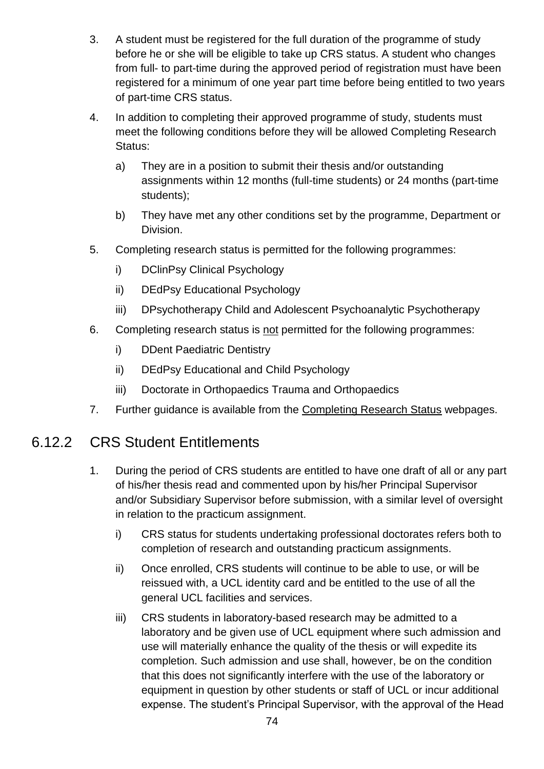- 3. A student must be registered for the full duration of the programme of study before he or she will be eligible to take up CRS status. A student who changes from full- to part-time during the approved period of registration must have been registered for a minimum of one year part time before being entitled to two years of part-time CRS status.
- 4. In addition to completing their approved programme of study, students must meet the following conditions before they will be allowed Completing Research Status:
	- a) They are in a position to submit their thesis and/or outstanding assignments within 12 months (full-time students) or 24 months (part-time students);
	- b) They have met any other conditions set by the programme, Department or Division.
- 5. Completing research status is permitted for the following programmes:
	- i) DClinPsy Clinical Psychology
	- ii) DEdPsy Educational Psychology
	- iii) DPsychotherapy Child and Adolescent Psychoanalytic Psychotherapy
- 6. Completing research status is not permitted for the following programmes:
	- i) DDent Paediatric Dentistry
	- ii) DEdPsy Educational and Child Psychology
	- iii) Doctorate in Orthopaedics Trauma and Orthopaedics
- 7. Further guidance is available from the [Completing Research Status](http://www.ucl.ac.uk/current-students/services_2/registration_status) webpages.

### 6.12.2 CRS Student Entitlements

- 1. During the period of CRS students are entitled to have one draft of all or any part of his/her thesis read and commented upon by his/her Principal Supervisor and/or Subsidiary Supervisor before submission, with a similar level of oversight in relation to the practicum assignment.
	- i) CRS status for students undertaking professional doctorates refers both to completion of research and outstanding practicum assignments.
	- ii) Once enrolled, CRS students will continue to be able to use, or will be reissued with, a UCL identity card and be entitled to the use of all the general UCL facilities and services.
	- iii) CRS students in laboratory-based research may be admitted to a laboratory and be given use of UCL equipment where such admission and use will materially enhance the quality of the thesis or will expedite its completion. Such admission and use shall, however, be on the condition that this does not significantly interfere with the use of the laboratory or equipment in question by other students or staff of UCL or incur additional expense. The student's Principal Supervisor, with the approval of the Head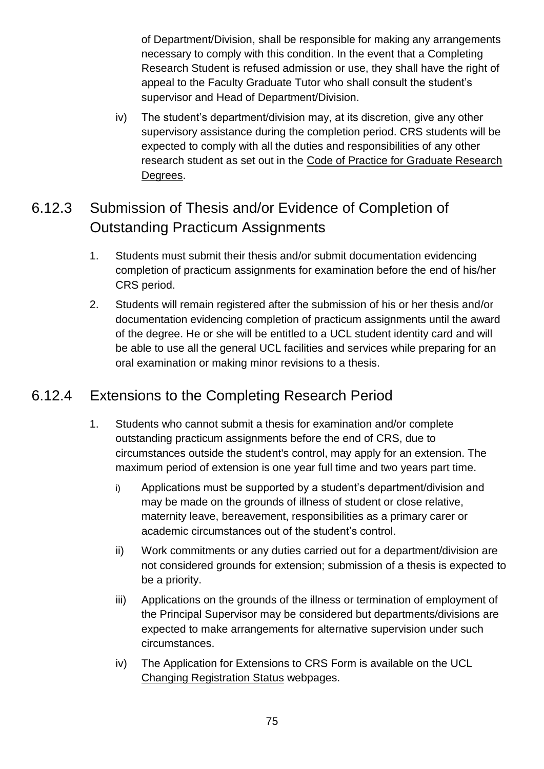of Department/Division, shall be responsible for making any arrangements necessary to comply with this condition. In the event that a Completing Research Student is refused admission or use, they shall have the right of appeal to the Faculty Graduate Tutor who shall consult the student's supervisor and Head of Department/Division.

iv) The student's department/division may, at its discretion, give any other supervisory assistance during the completion period. CRS students will be expected to comply with all the duties and responsibilities of any other research student as set out in the [Code of Practice for Graduate Research](http://www.grad.ucl.ac.uk/essinfo/)  [Degrees.](http://www.grad.ucl.ac.uk/essinfo/)

## 6.12.3 Submission of Thesis and/or Evidence of Completion of Outstanding Practicum Assignments

- 1. Students must submit their thesis and/or submit documentation evidencing completion of practicum assignments for examination before the end of his/her CRS period.
- 2. Students will remain registered after the submission of his or her thesis and/or documentation evidencing completion of practicum assignments until the award of the degree. He or she will be entitled to a UCL student identity card and will be able to use all the general UCL facilities and services while preparing for an oral examination or making minor revisions to a thesis.

### 6.12.4 Extensions to the Completing Research Period

- 1. Students who cannot submit a thesis for examination and/or complete outstanding practicum assignments before the end of CRS, due to circumstances outside the student's control, may apply for an extension. The maximum period of extension is one year full time and two years part time.
	- i) Applications must be supported by a student's department/division and may be made on the grounds of illness of student or close relative, maternity leave, bereavement, responsibilities as a primary carer or academic circumstances out of the student's control.
	- ii) Work commitments or any duties carried out for a department/division are not considered grounds for extension; submission of a thesis is expected to be a priority.
	- iii) Applications on the grounds of the illness or termination of employment of the Principal Supervisor may be considered but departments/divisions are expected to make arrangements for alternative supervision under such circumstances.
	- iv) The Application for Extensions to CRS Form is available on the UCL [Changing Registration Status](http://www.ucl.ac.uk/current-students/services_2/registration_status) webpages.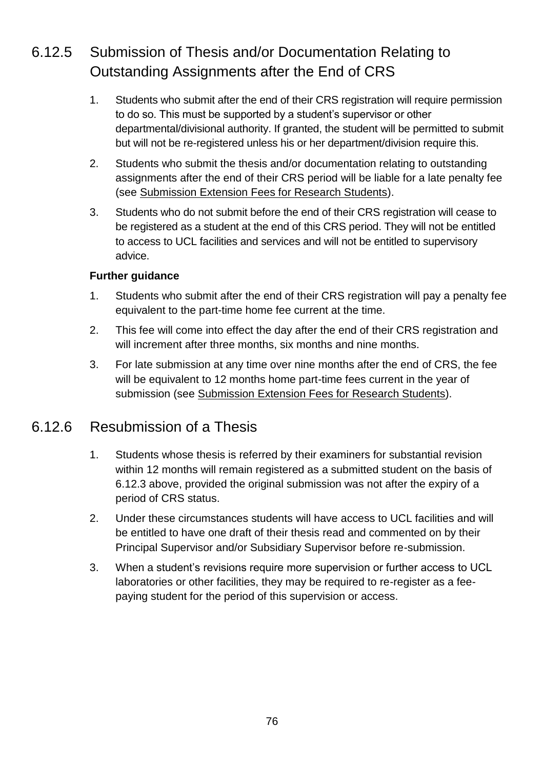## 6.12.5 Submission of Thesis and/or Documentation Relating to Outstanding Assignments after the End of CRS

- 1. Students who submit after the end of their CRS registration will require permission to do so. This must be supported by a student's supervisor or other departmental/divisional authority. If granted, the student will be permitted to submit but will not be re-registered unless his or her department/division require this.
- 2. Students who submit the thesis and/or documentation relating to outstanding assignments after the end of their CRS period will be liable for a late penalty fee (see Submission Extension [Fees for Research Students\)](http://www.ucl.ac.uk/current-students/research_degrees/latesubmission).
- 3. Students who do not submit before the end of their CRS registration will cease to be registered as a student at the end of this CRS period. They will not be entitled to access to UCL facilities and services and will not be entitled to supervisory advice.

### **Further guidance**

- 1. Students who submit after the end of their CRS registration will pay a penalty fee equivalent to the part-time home fee current at the time.
- 2. This fee will come into effect the day after the end of their CRS registration and will increment after three months, six months and nine months.
- 3. For late submission at any time over nine months after the end of CRS, the fee will be equivalent to 12 months home part-time fees current in the year of submission (see [Submission Extension Fees for Research Students\)](http://www.ucl.ac.uk/current-students/research_degrees/latesubmission).

### 6.12.6 Resubmission of a Thesis

- 1. Students whose thesis is referred by their examiners for substantial revision within 12 months will remain registered as a submitted student on the basis of 6.12.3 above, provided the original submission was not after the expiry of a period of CRS status.
- 2. Under these circumstances students will have access to UCL facilities and will be entitled to have one draft of their thesis read and commented on by their Principal Supervisor and/or Subsidiary Supervisor before re-submission.
- 3. When a student's revisions require more supervision or further access to UCL laboratories or other facilities, they may be required to re-register as a feepaying student for the period of this supervision or access.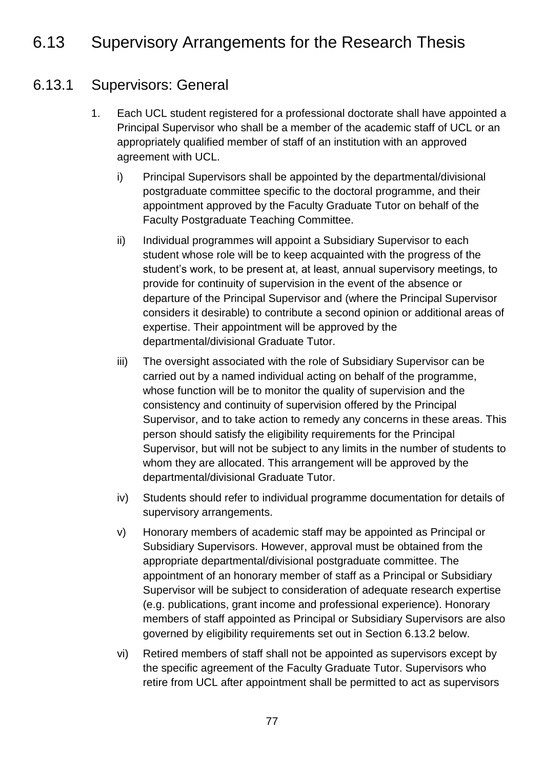## 6.13 Supervisory Arrangements for the Research Thesis

### 6.13.1 Supervisors: General

- 1. Each UCL student registered for a professional doctorate shall have appointed a Principal Supervisor who shall be a member of the academic staff of UCL or an appropriately qualified member of staff of an institution with an approved agreement with UCL.
	- i) Principal Supervisors shall be appointed by the departmental/divisional postgraduate committee specific to the doctoral programme, and their appointment approved by the Faculty Graduate Tutor on behalf of the Faculty Postgraduate Teaching Committee.
	- ii) Individual programmes will appoint a Subsidiary Supervisor to each student whose role will be to keep acquainted with the progress of the student's work, to be present at, at least, annual supervisory meetings, to provide for continuity of supervision in the event of the absence or departure of the Principal Supervisor and (where the Principal Supervisor considers it desirable) to contribute a second opinion or additional areas of expertise. Their appointment will be approved by the departmental/divisional Graduate Tutor.
	- iii) The oversight associated with the role of Subsidiary Supervisor can be carried out by a named individual acting on behalf of the programme, whose function will be to monitor the quality of supervision and the consistency and continuity of supervision offered by the Principal Supervisor, and to take action to remedy any concerns in these areas. This person should satisfy the eligibility requirements for the Principal Supervisor, but will not be subject to any limits in the number of students to whom they are allocated. This arrangement will be approved by the departmental/divisional Graduate Tutor.
	- iv) Students should refer to individual programme documentation for details of supervisory arrangements.
	- v) Honorary members of academic staff may be appointed as Principal or Subsidiary Supervisors. However, approval must be obtained from the appropriate departmental/divisional postgraduate committee. The appointment of an honorary member of staff as a Principal or Subsidiary Supervisor will be subject to consideration of adequate research expertise (e.g. publications, grant income and professional experience). Honorary members of staff appointed as Principal or Subsidiary Supervisors are also governed by eligibility requirements set out in Section 6.13.2 below.
	- vi) Retired members of staff shall not be appointed as supervisors except by the specific agreement of the Faculty Graduate Tutor. Supervisors who retire from UCL after appointment shall be permitted to act as supervisors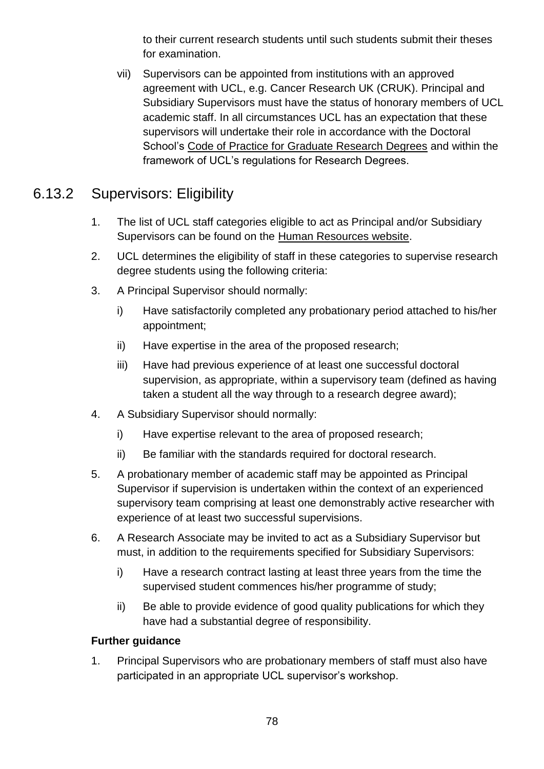to their current research students until such students submit their theses for examination.

vii) Supervisors can be appointed from institutions with an approved agreement with UCL, e.g. Cancer Research UK (CRUK). Principal and Subsidiary Supervisors must have the status of honorary members of UCL academic staff. In all circumstances UCL has an expectation that these supervisors will undertake their role in accordance with the Doctoral School's [Code of Practice for Graduate Research Degrees](http://www.grad.ucl.ac.uk/essinfo/) and within the framework of UCL's regulations for Research Degrees.

### 6.13.2 Supervisors: Eligibility

- 1. The list of UCL staff categories eligible to act as Principal and/or Subsidiary Supervisors can be found on the [Human Resources website.](http://www.ucl.ac.uk/hr/docs/phd_student_supervision.php)
- 2. UCL determines the eligibility of staff in these categories to supervise research degree students using the following criteria:
- 3. A Principal Supervisor should normally:
	- i) Have satisfactorily completed any probationary period attached to his/her appointment;
	- ii) Have expertise in the area of the proposed research;
	- iii) Have had previous experience of at least one successful doctoral supervision, as appropriate, within a supervisory team (defined as having taken a student all the way through to a research degree award);
- 4. A Subsidiary Supervisor should normally:
	- i) Have expertise relevant to the area of proposed research;
	- ii) Be familiar with the standards required for doctoral research.
- 5. A probationary member of academic staff may be appointed as Principal Supervisor if supervision is undertaken within the context of an experienced supervisory team comprising at least one demonstrably active researcher with experience of at least two successful supervisions.
- 6. A Research Associate may be invited to act as a Subsidiary Supervisor but must, in addition to the requirements specified for Subsidiary Supervisors:
	- i) Have a research contract lasting at least three years from the time the supervised student commences his/her programme of study;
	- ii) Be able to provide evidence of good quality publications for which they have had a substantial degree of responsibility.

### **Further guidance**

1. Principal Supervisors who are probationary members of staff must also have participated in an appropriate UCL supervisor's workshop.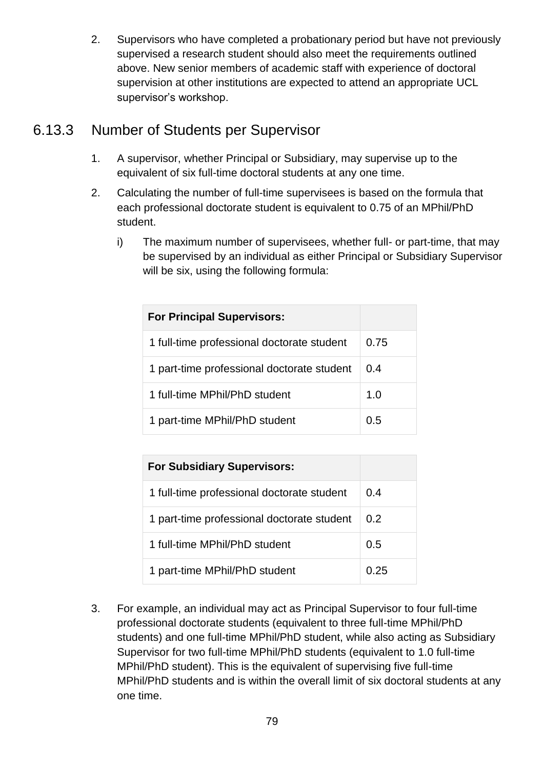2. Supervisors who have completed a probationary period but have not previously supervised a research student should also meet the requirements outlined above. New senior members of academic staff with experience of doctoral supervision at other institutions are expected to attend an appropriate UCL supervisor's workshop.

### 6.13.3 Number of Students per Supervisor

- 1. A supervisor, whether Principal or Subsidiary, may supervise up to the equivalent of six full-time doctoral students at any one time.
- 2. Calculating the number of full-time supervisees is based on the formula that each professional doctorate student is equivalent to 0.75 of an MPhil/PhD student.
	- i) The maximum number of supervisees, whether full- or part-time, that may be supervised by an individual as either Principal or Subsidiary Supervisor will be six, using the following formula:

| <b>For Principal Supervisors:</b>          |      |
|--------------------------------------------|------|
| 1 full-time professional doctorate student | 0.75 |
| 1 part-time professional doctorate student | 0.4  |
| 1 full-time MPhil/PhD student              | 1.0  |
| 1 part-time MPhil/PhD student              | 0.5  |

| <b>For Subsidiary Supervisors:</b>         |      |
|--------------------------------------------|------|
| 1 full-time professional doctorate student | 0.4  |
| 1 part-time professional doctorate student | 0.2  |
| 1 full-time MPhil/PhD student              | 0.5  |
| 1 part-time MPhil/PhD student              | በ 25 |

3. For example, an individual may act as Principal Supervisor to four full-time professional doctorate students (equivalent to three full-time MPhil/PhD students) and one full-time MPhil/PhD student, while also acting as Subsidiary Supervisor for two full-time MPhil/PhD students (equivalent to 1.0 full-time MPhil/PhD student). This is the equivalent of supervising five full-time MPhil/PhD students and is within the overall limit of six doctoral students at any one time.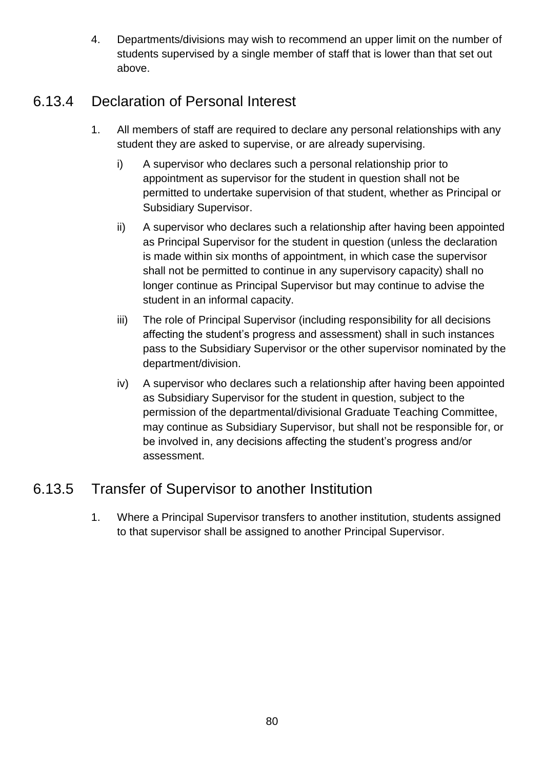4. Departments/divisions may wish to recommend an upper limit on the number of students supervised by a single member of staff that is lower than that set out above.

### 6.13.4 Declaration of Personal Interest

- 1. All members of staff are required to declare any personal relationships with any student they are asked to supervise, or are already supervising.
	- i) A supervisor who declares such a personal relationship prior to appointment as supervisor for the student in question shall not be permitted to undertake supervision of that student, whether as Principal or Subsidiary Supervisor.
	- ii) A supervisor who declares such a relationship after having been appointed as Principal Supervisor for the student in question (unless the declaration is made within six months of appointment, in which case the supervisor shall not be permitted to continue in any supervisory capacity) shall no longer continue as Principal Supervisor but may continue to advise the student in an informal capacity.
	- iii) The role of Principal Supervisor (including responsibility for all decisions affecting the student's progress and assessment) shall in such instances pass to the Subsidiary Supervisor or the other supervisor nominated by the department/division.
	- iv) A supervisor who declares such a relationship after having been appointed as Subsidiary Supervisor for the student in question, subject to the permission of the departmental/divisional Graduate Teaching Committee, may continue as Subsidiary Supervisor, but shall not be responsible for, or be involved in, any decisions affecting the student's progress and/or assessment.

### 6.13.5 Transfer of Supervisor to another Institution

1. Where a Principal Supervisor transfers to another institution, students assigned to that supervisor shall be assigned to another Principal Supervisor.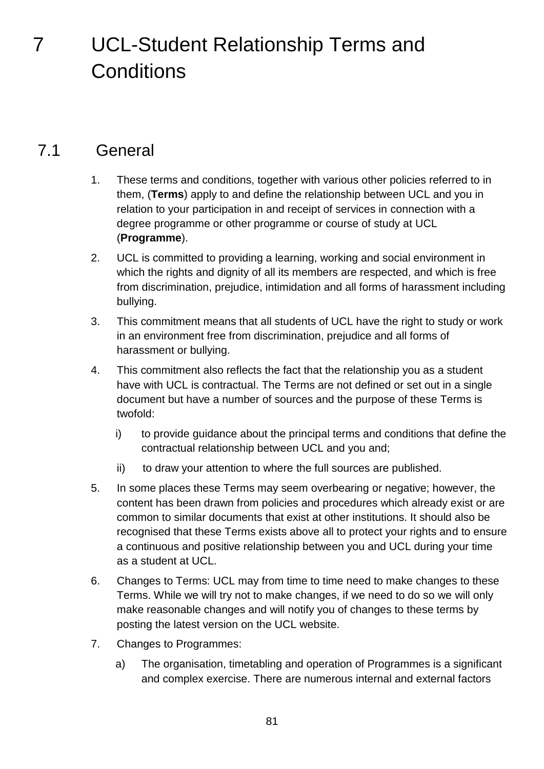# 7 UCL-Student Relationship Terms and **Conditions**

## 7.1 General

- 1. These terms and conditions, together with various other policies referred to in them, (**Terms**) apply to and define the relationship between UCL and you in relation to your participation in and receipt of services in connection with a degree programme or other programme or course of study at UCL (**Programme**).
- 2. UCL is committed to providing a learning, working and social environment in which the rights and dignity of all its members are respected, and which is free from discrimination, prejudice, intimidation and all forms of harassment including bullying.
- 3. This commitment means that all students of UCL have the right to study or work in an environment free from discrimination, prejudice and all forms of harassment or bullying.
- 4. This commitment also reflects the fact that the relationship you as a student have with UCL is contractual. The Terms are not defined or set out in a single document but have a number of sources and the purpose of these Terms is twofold:
	- i) to provide guidance about the principal terms and conditions that define the contractual relationship between UCL and you and;
	- ii) to draw your attention to where the full sources are published.
- 5. In some places these Terms may seem overbearing or negative; however, the content has been drawn from policies and procedures which already exist or are common to similar documents that exist at other institutions. It should also be recognised that these Terms exists above all to protect your rights and to ensure a continuous and positive relationship between you and UCL during your time as a student at UCL.
- 6. Changes to Terms: UCL may from time to time need to make changes to these Terms. While we will try not to make changes, if we need to do so we will only make reasonable changes and will notify you of changes to these terms by posting the latest version on the UCL website.
- 7. Changes to Programmes:
	- a) The organisation, timetabling and operation of Programmes is a significant and complex exercise. There are numerous internal and external factors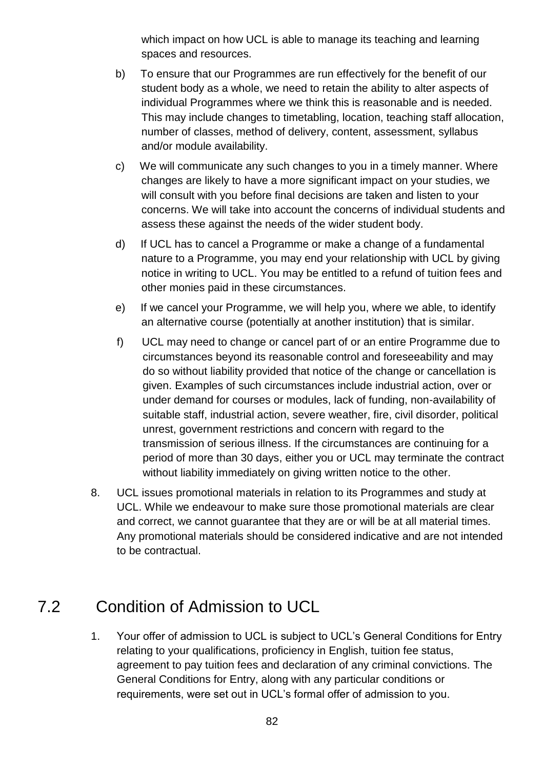which impact on how UCL is able to manage its teaching and learning spaces and resources.

- b) To ensure that our Programmes are run effectively for the benefit of our student body as a whole, we need to retain the ability to alter aspects of individual Programmes where we think this is reasonable and is needed. This may include changes to timetabling, location, teaching staff allocation, number of classes, method of delivery, content, assessment, syllabus and/or module availability.
- c) We will communicate any such changes to you in a timely manner. Where changes are likely to have a more significant impact on your studies, we will consult with you before final decisions are taken and listen to your concerns. We will take into account the concerns of individual students and assess these against the needs of the wider student body.
- d) If UCL has to cancel a Programme or make a change of a fundamental nature to a Programme, you may end your relationship with UCL by giving notice in writing to UCL. You may be entitled to a refund of tuition fees and other monies paid in these circumstances.
- e) If we cancel your Programme, we will help you, where we able, to identify an alternative course (potentially at another institution) that is similar.
- f) UCL may need to change or cancel part of or an entire Programme due to circumstances beyond its reasonable control and foreseeability and may do so without liability provided that notice of the change or cancellation is given. Examples of such circumstances include industrial action, over or under demand for courses or modules, lack of funding, non-availability of suitable staff, industrial action, severe weather, fire, civil disorder, political unrest, government restrictions and concern with regard to the transmission of serious illness. If the circumstances are continuing for a period of more than 30 days, either you or UCL may terminate the contract without liability immediately on giving written notice to the other.
- 8. UCL issues promotional materials in relation to its Programmes and study at UCL. While we endeavour to make sure those promotional materials are clear and correct, we cannot guarantee that they are or will be at all material times. Any promotional materials should be considered indicative and are not intended to be contractual.

# 7.2 Condition of Admission to UCL

1. Your offer of admission to UCL is subject to UCL's General Conditions for Entry relating to your qualifications, proficiency in English, tuition fee status, agreement to pay tuition fees and declaration of any criminal convictions. The General Conditions for Entry, along with any particular conditions or requirements, were set out in UCL's formal offer of admission to you.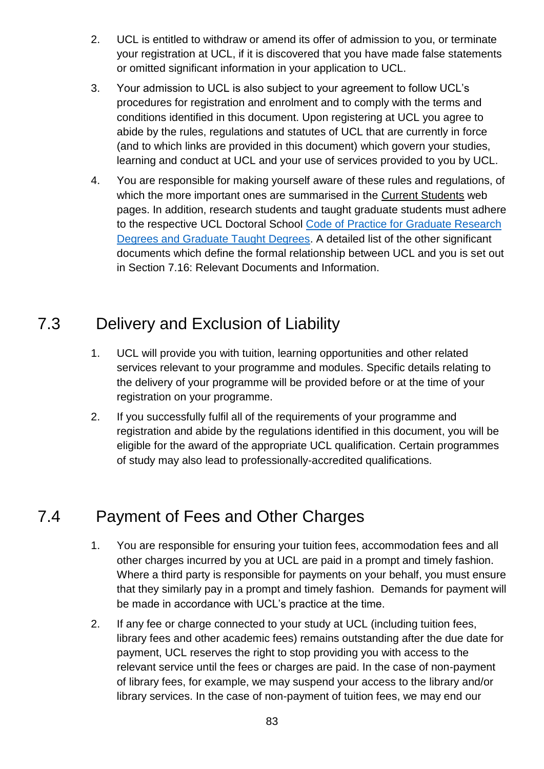- 2. UCL is entitled to withdraw or amend its offer of admission to you, or terminate your registration at UCL, if it is discovered that you have made false statements or omitted significant information in your application to UCL.
- 3. Your admission to UCL is also subject to your agreement to follow UCL's procedures for registration and enrolment and to comply with the terms and conditions identified in this document. Upon registering at UCL you agree to abide by the rules, regulations and statutes of UCL that are currently in force (and to which links are provided in this document) which govern your studies, learning and conduct at UCL and your use of services provided to you by UCL.
- 4. You are responsible for making yourself aware of these rules and regulations, of which the more important ones are summarised in the [Current Students](http://www.ucl.ac.uk/current-students/guidelines) web pages. In addition, research students and taught graduate students must adhere to the respective UCL Doctoral School Code of Practice [for Graduate Research](http://www.grad.ucl.ac.uk/essinfo/)  Degrees [and Graduate Taught Degrees.](http://www.grad.ucl.ac.uk/essinfo/) A detailed list of the other significant documents which define the formal relationship between UCL and you is set out in Section 7.16: Relevant Documents and Information.

## 7.3 Delivery and Exclusion of Liability

- 1. UCL will provide you with tuition, learning opportunities and other related services relevant to your programme and modules. Specific details relating to the delivery of your programme will be provided before or at the time of your registration on your programme.
- 2. If you successfully fulfil all of the requirements of your programme and registration and abide by the regulations identified in this document, you will be eligible for the award of the appropriate UCL qualification. Certain programmes of study may also lead to professionally-accredited qualifications.

# 7.4 Payment of Fees and Other Charges

- 1. You are responsible for ensuring your tuition fees, accommodation fees and all other charges incurred by you at UCL are paid in a prompt and timely fashion. Where a third party is responsible for payments on your behalf, you must ensure that they similarly pay in a prompt and timely fashion. Demands for payment will be made in accordance with UCL's practice at the time.
- 2. If any fee or charge connected to your study at UCL (including tuition fees, library fees and other academic fees) remains outstanding after the due date for payment, UCL reserves the right to stop providing you with access to the relevant service until the fees or charges are paid. In the case of non-payment of library fees, for example, we may suspend your access to the library and/or library services. In the case of non-payment of tuition fees, we may end our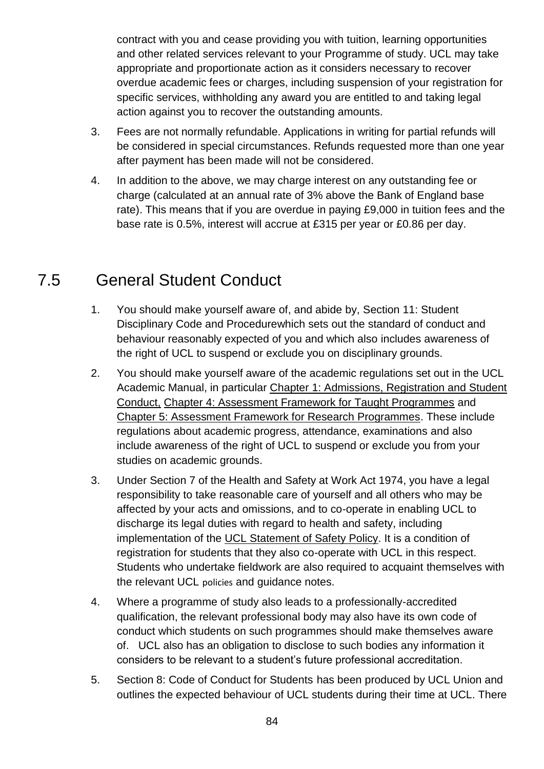contract with you and cease providing you with tuition, learning opportunities and other related services relevant to your Programme of study. UCL may take appropriate and proportionate action as it considers necessary to recover overdue academic fees or charges, including suspension of your registration for specific services, withholding any award you are entitled to and taking legal action against you to recover the outstanding amounts.

- 3. Fees are not normally refundable. Applications in writing for partial refunds will be considered in special circumstances. Refunds requested more than one year after payment has been made will not be considered.
- 4. In addition to the above, we may charge interest on any outstanding fee or charge (calculated at an annual rate of 3% above the Bank of England base rate). This means that if you are overdue in paying £9,000 in tuition fees and the base rate is 0.5%, interest will accrue at £315 per year or £0.86 per day.

## 7.5 General Student Conduct

- 1. You should make yourself aware of, and abide by, Section 11: Student Disciplinary Code and Procedurewhich sets out the standard of conduct and behaviour reasonably expected of you and which also includes awareness of the right of UCL to suspend or exclude you on disciplinary grounds.
- 2. You should make yourself aware of the academic regulations set out in the UCL Academic Manual, in particular [Chapter 1: Admissions, Registration and Student](https://www.ucl.ac.uk/srs/academic-manual/c1/c1-intro)  [Conduct,](https://www.ucl.ac.uk/srs/academic-manual/c1/c1-intro) [Chapter 4: Assessment Framework for Taught Programmes](https://www.ucl.ac.uk/srs/academic-manual/c4/c4-intro) and [Chapter 5: Assessment Framework for Research Programmes.](https://www.ucl.ac.uk/srs/academic-manual/c5/c5-intro) These include regulations about academic progress, attendance, examinations and also include awareness of the right of UCL to suspend or exclude you from your studies on academic grounds.
- 3. Under Section 7 of the Health and Safety at Work Act 1974, you have a legal responsibility to take reasonable care of yourself and all others who may be affected by your acts and omissions, and to co-operate in enabling UCL to discharge its legal duties with regard to health and safety, including implementation of the [UCL Statement of Safety Policy.](http://www.ucl.ac.uk/efd/safety_services_www/policy/ssp.pdf) It is a condition of registration for students that they also co-operate with UCL in this respect. Students who undertake fieldwork are also required to acquaint themselves with the relevant UCL policies and guidance notes.
- 4. Where a programme of study also leads to a professionally-accredited qualification, the relevant professional body may also have its own code of conduct which students on such programmes should make themselves aware of. UCL also has an obligation to disclose to such bodies any information it considers to be relevant to a student's future professional accreditation.
- 5. Section 8: Code of Conduct for Students has been produced by UCL Union and outlines the expected behaviour of UCL students during their time at UCL. There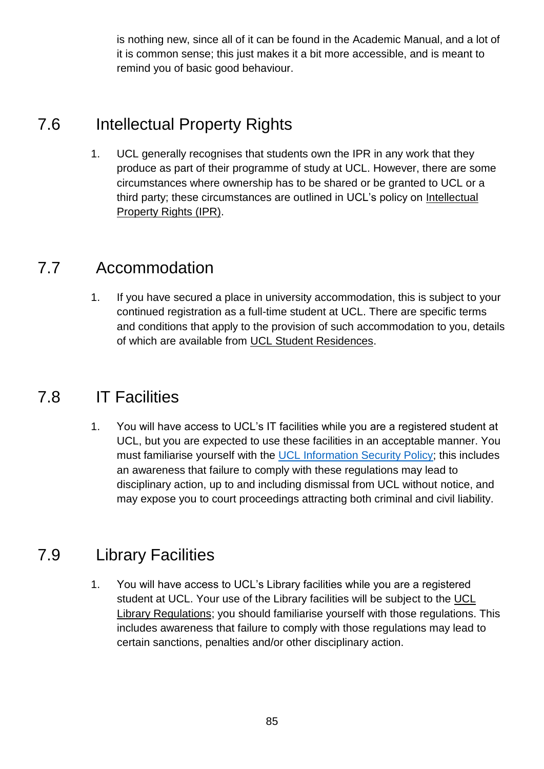is nothing new, since all of it can be found in the Academic Manual, and a lot of it is common sense; this just makes it a bit more accessible, and is meant to remind you of basic good behaviour.

## 7.6 Intellectual Property Rights

1. UCL generally recognises that students own the IPR in any work that they produce as part of their programme of study at UCL. However, there are some circumstances where ownership has to be shared or be granted to UCL or a third party; these circumstances are outlined in UCL's policy on [Intellectual](https://www.ucl.ac.uk/current-students/guidelines/intel_prop_rights)  [Property Rights \(IPR\).](https://www.ucl.ac.uk/current-students/guidelines/intel_prop_rights)

## 7.7 Accommodation

1. If you have secured a place in university accommodation, this is subject to your continued registration as a full-time student at UCL. There are specific terms and conditions that apply to the provision of such accommodation to you, details of which are available from [UCL Student Residences.](https://www.ucl.ac.uk/residences/)

## 7.8 IT Facilities

1. You will have access to UCL's IT facilities while you are a registered student at UCL, but you are expected to use these facilities in an acceptable manner. You must familiarise yourself with the [UCL Information Security Policy;](http://www.ucl.ac.uk/isd/students/regulations) this includes an awareness that failure to comply with these regulations may lead to disciplinary action, up to and including dismissal from UCL without notice, and may expose you to court proceedings attracting both criminal and civil liability.

## 7.9 Library Facilities

1. You will have access to UCL's Library facilities while you are a registered student at UCL. Your use of the Library facilities will be subject to the [UCL](http://www.ucl.ac.uk/library/about/strategies-policies/regs)  [Library Regulations;](http://www.ucl.ac.uk/library/about/strategies-policies/regs) you should familiarise yourself with those regulations. This includes awareness that failure to comply with those regulations may lead to certain sanctions, penalties and/or other disciplinary action.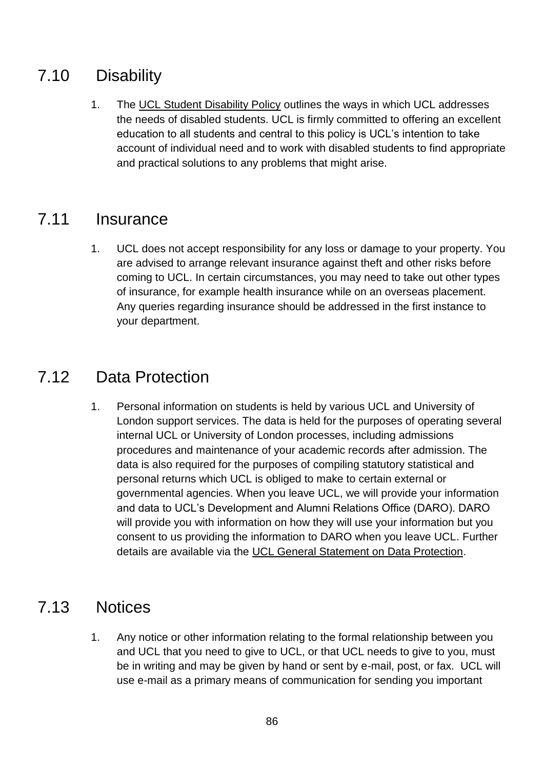# 7.10 Disability

1. The [UCL Student Disability Policy](http://www.ucl.ac.uk/disability/disclosure-and-confidentiality/student-disability-policy) outlines the ways in which UCL addresses the needs of disabled students. UCL is firmly committed to offering an excellent education to all students and central to this policy is UCL's intention to take account of individual need and to work with disabled students to find appropriate and practical solutions to any problems that might arise.

## 7.11 Insurance

1. UCL does not accept responsibility for any loss or damage to your property. You are advised to arrange relevant insurance against theft and other risks before coming to UCL. In certain circumstances, you may need to take out other types of insurance, for example health insurance while on an overseas placement. Any queries regarding insurance should be addressed in the first instance to your department.

### 7.12 Data Protection

1. Personal information on students is held by various UCL and University of London support services. The data is held for the purposes of operating several internal UCL or University of London processes, including admissions procedures and maintenance of your academic records after admission. The data is also required for the purposes of compiling statutory statistical and personal returns which UCL is obliged to make to certain external or governmental agencies. When you leave UCL, we will provide your information and data to UCL's Development and Alumni Relations Office (DARO). DARO will provide you with information on how they will use your information but you consent to us providing the information to DARO when you leave UCL. Further details are available via the [UCL General Statement on Data Protection.](http://www.ucl.ac.uk/privacy/data-protection)

## 7.13 Notices

1. Any notice or other information relating to the formal relationship between you and UCL that you need to give to UCL, or that UCL needs to give to you, must be in writing and may be given by hand or sent by e-mail, post, or fax. UCL will use e-mail as a primary means of communication for sending you important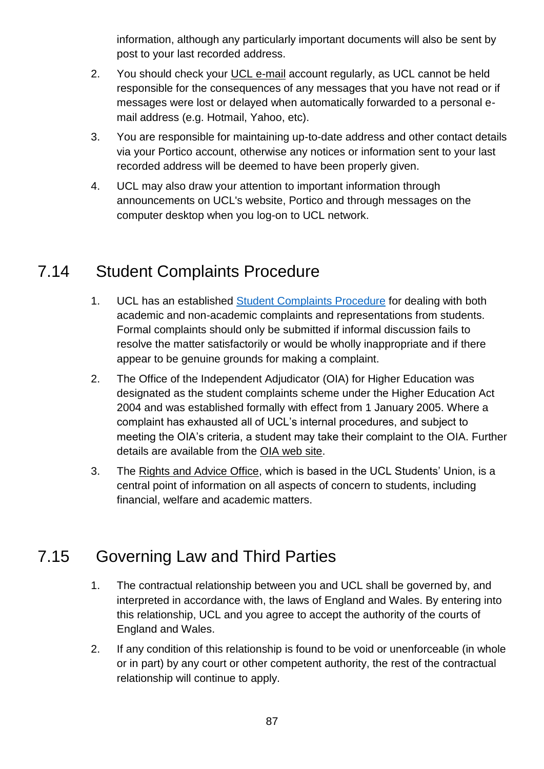information, although any particularly important documents will also be sent by post to your last recorded address.

- 2. You should check your [UCL e-mail](http://www.ucl.ac.uk/isd/students/mail) account regularly, as UCL cannot be held responsible for the consequences of any messages that you have not read or if messages were lost or delayed when automatically forwarded to a personal email address (e.g. Hotmail, Yahoo, etc).
- 3. You are responsible for maintaining up-to-date address and other contact details via your Portico account, otherwise any notices or information sent to your last recorded address will be deemed to have been properly given.
- 4. UCL may also draw your attention to important information through announcements on UCL's website, Portico and through messages on the computer desktop when you log-on to UCL network.

## 7.14 Student Complaints Procedure

- 1. UCL has an established [Student Complaints Procedure](http://www.ucl.ac.uk/academic-manual/part-5/student-complaints-procedure) for dealing with both academic and non-academic complaints and representations from students. Formal complaints should only be submitted if informal discussion fails to resolve the matter satisfactorily or would be wholly inappropriate and if there appear to be genuine grounds for making a complaint.
- 2. The Office of the Independent Adjudicator (OIA) for Higher Education was designated as the student complaints scheme under the Higher Education Act 2004 and was established formally with effect from 1 January 2005. Where a complaint has exhausted all of UCL's internal procedures, and subject to meeting the OIA's criteria, a student may take their complaint to the OIA. Further details are available from the [OIA web site.](http://www.oiahe.org.uk/)
- 3. The [Rights and Advice Office,](http://www.uclunion.org/get-advice/) which is based in the UCL Students' Union, is a central point of information on all aspects of concern to students, including financial, welfare and academic matters.

# 7.15 Governing Law and Third Parties

- 1. The contractual relationship between you and UCL shall be governed by, and interpreted in accordance with, the laws of England and Wales. By entering into this relationship, UCL and you agree to accept the authority of the courts of England and Wales.
- 2. If any condition of this relationship is found to be void or unenforceable (in whole or in part) by any court or other competent authority, the rest of the contractual relationship will continue to apply.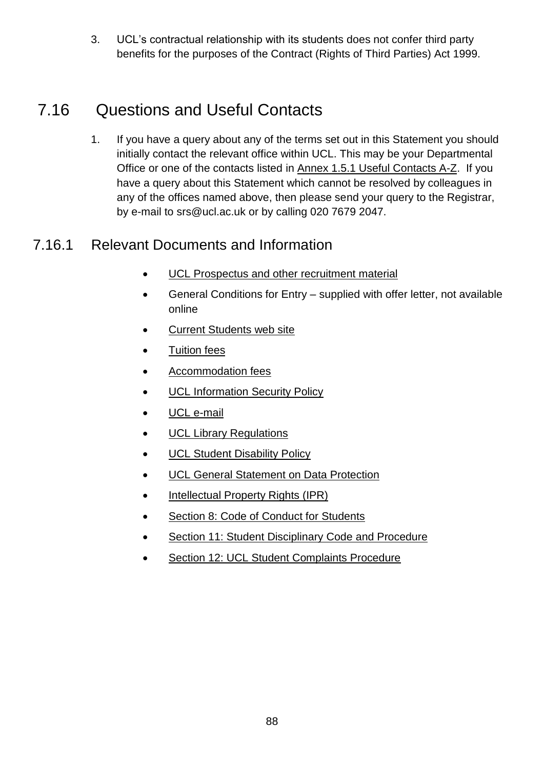3. UCL's contractual relationship with its students does not confer third party benefits for the purposes of the Contract (Rights of Third Parties) Act 1999.

# 7.16 Questions and Useful Contacts

1. If you have a query about any of the terms set out in this Statement you should initially contact the relevant office within UCL. This may be your Departmental Office or one of the contacts listed in [Annex 1.5.1 Useful Contacts A-Z.](https://www.ucl.ac.uk/srs/academic-manual/documents/annexes/chapter-1-annexes/annex-2-1-ucl-student-relationship-useful-contacts-a-z) If you have a query about this Statement which cannot be resolved by colleagues in any of the offices named above, then please send your query to the Registrar, by e-mail to srs@ucl.ac.uk or by calling 020 7679 2047.

### 7.16.1 Relevant Documents and Information

- [UCL Prospectus and other recruitment material](http://www.ucl.ac.uk/prospective-students/)
- General Conditions for Entry supplied with offer letter, not available online
- [Current Students web site](http://www.ucl.ac.uk/current-students)
- [Tuition fees](http://www.ucl.ac.uk/current-students/money)
- [Accommodation fees](http://www.ucl.ac.uk/prospective-students/accommodation/)
- [UCL Information Security Policy](http://www.ucl.ac.uk/isd/students/regulations)
- [UCL e-mail](http://www.ucl.ac.uk/isd/students/mail)
- **[UCL Library Regulations](http://www.ucl.ac.uk/Library/regs.shtml)**
- **[UCL Student Disability Policy](http://www.ucl.ac.uk/disability/disclosure-and-confidentiality/student-disability-policy)**
- [UCL General Statement on Data Protection](http://www.ucl.ac.uk/privacy/data-protection)
- [Intellectual Property Rights \(IPR\)](https://www.ucl.ac.uk/current-students/guidelines/intel_prop_rights)
- [Section 8: Code of Conduct for](#page-87-0) Students
- [Section 11: Student Disciplinary](#page-104-0) Code and Procedure
- <span id="page-87-0"></span>[Section 12: UCL Student Complaints Procedure](#page-118-0)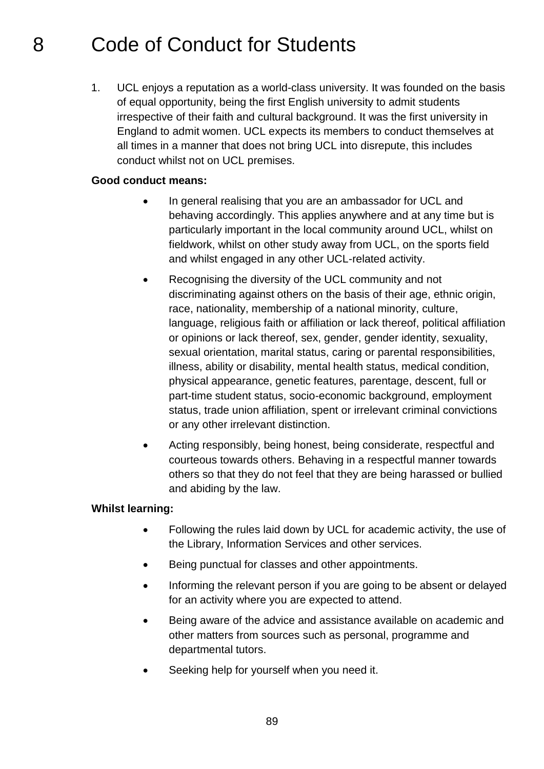# 8 Code of Conduct for Students

1. UCL enjoys a reputation as a world-class university. It was founded on the basis of equal opportunity, being the first English university to admit students irrespective of their faith and cultural background. It was the first university in England to admit women. UCL expects its members to conduct themselves at all times in a manner that does not bring UCL into disrepute, this includes conduct whilst not on UCL premises.

#### **Good conduct means:**

- In general realising that you are an ambassador for UCL and behaving accordingly. This applies anywhere and at any time but is particularly important in the local community around UCL, whilst on fieldwork, whilst on other study away from UCL, on the sports field and whilst engaged in any other UCL-related activity.
- Recognising the diversity of the UCL community and not discriminating against others on the basis of their age, ethnic origin, race, nationality, membership of a national minority, culture, language, religious faith or affiliation or lack thereof, political affiliation or opinions or lack thereof, sex, gender, gender identity, sexuality, sexual orientation, marital status, caring or parental responsibilities, illness, ability or disability, mental health status, medical condition, physical appearance, genetic features, parentage, descent, full or part-time student status, socio-economic background, employment status, trade union affiliation, spent or irrelevant criminal convictions or any other irrelevant distinction.
- Acting responsibly, being honest, being considerate, respectful and courteous towards others. Behaving in a respectful manner towards others so that they do not feel that they are being harassed or bullied and abiding by the law.

#### **Whilst learning:**

- Following the rules laid down by UCL for academic activity, the use of the Library, Information Services and other services.
- Being punctual for classes and other appointments.
- Informing the relevant person if you are going to be absent or delayed for an activity where you are expected to attend.
- Being aware of the advice and assistance available on academic and other matters from sources such as personal, programme and departmental tutors.
- Seeking help for yourself when you need it.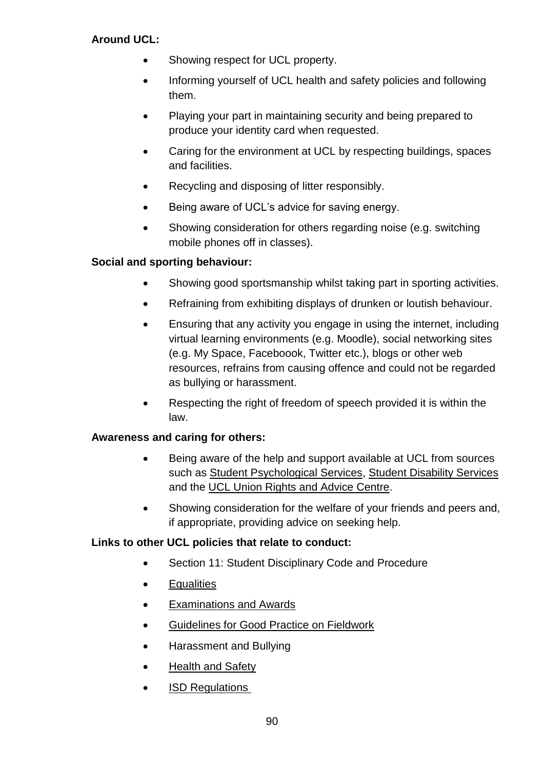### **Around UCL:**

- Showing respect for UCL property.
- Informing yourself of UCL health and safety policies and following them.
- Playing your part in maintaining security and being prepared to produce your identity card when requested.
- Caring for the environment at UCL by respecting buildings, spaces and facilities.
- Recycling and disposing of litter responsibly.
- Being aware of UCL's advice for saving energy.
- Showing consideration for others regarding noise (e.g. switching mobile phones off in classes).

### **Social and sporting behaviour:**

- Showing good sportsmanship whilst taking part in sporting activities.
- Refraining from exhibiting displays of drunken or loutish behaviour.
- Ensuring that any activity you engage in using the internet, including virtual learning environments (e.g. Moodle), social networking sites (e.g. My Space, Faceboook, Twitter etc.), blogs or other web resources, refrains from causing offence and could not be regarded as bullying or harassment.
- Respecting the right of freedom of speech provided it is within the law.

### **Awareness and caring for others:**

- Being aware of the help and support available at UCL from sources such as [Student Psychological Services,](http://www.ucl.ac.uk/student-psychological-services/index_home/team) [Student Disability Services](http://www.ucl.ac.uk/disability) and the [UCL Union Rights and Advice Centre.](http://uclu.org/services/advice-welfare)
- Showing consideration for the welfare of your friends and peers and, if appropriate, providing advice on seeking help.

### **Links to other UCL policies that relate to conduct:**

- Section 11: Student [Disciplinary Code and Procedure](http://www.ucl.ac.uk/academic-manual/part-5/disciplinary-code)
- [Equalities](http://www.ucl.ac.uk/hr/equalities/)
- [Examinations and Awards](http://www.ucl.ac.uk/current-students/exams_and_awards)
- [Guidelines for Good Practice on Fieldwork](http://www.ucl.ac.uk/estates/safetynet/guidance/fieldwork/acop.pdf)
- Harassment and Bullying
- [Health and Safety](http://www.ucl.ac.uk/estates/safetynet/)
- [ISD Regulations](http://www.ucl.ac.uk/isd/students/regulations)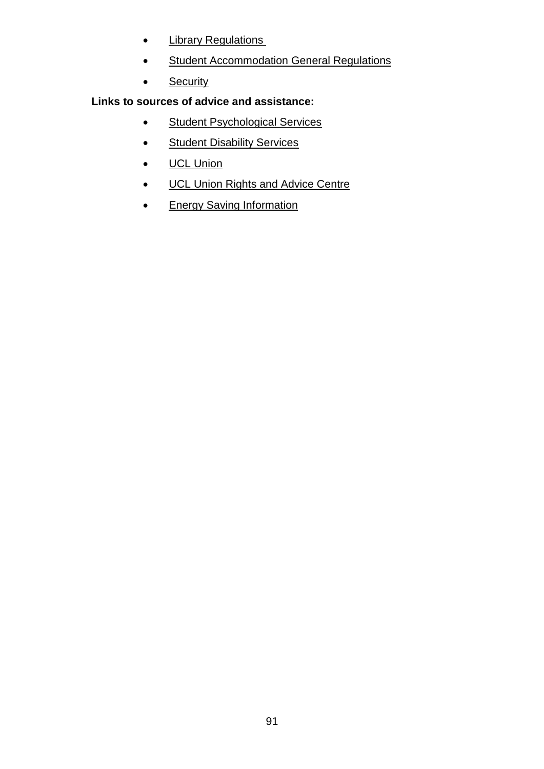- [Library Regulations](http://www.ucl.ac.uk/library/regs.shtml)
- **•** [Student Accommodation General Regulations](http://www.ucl.ac.uk/estates/student-accommodation/fees-and-guidance/)
- [Security](http://www.ucl.ac.uk/estates/security/)

### **Links to sources of advice and assistance:**

- [Student Psychological Services](http://www.ucl.ac.uk/student-psychological-services/index_home)
- [Student Disability Services](http://www.ucl.ac.uk/disability/)
- [UCL Union](http://www.uclu.org/)
- **[UCL Union Rights and Advice Centre](http://www.uclunion.org/get-advice/)**
- **[Energy Saving Information](http://www.ucl.ac.uk/greenucl/)**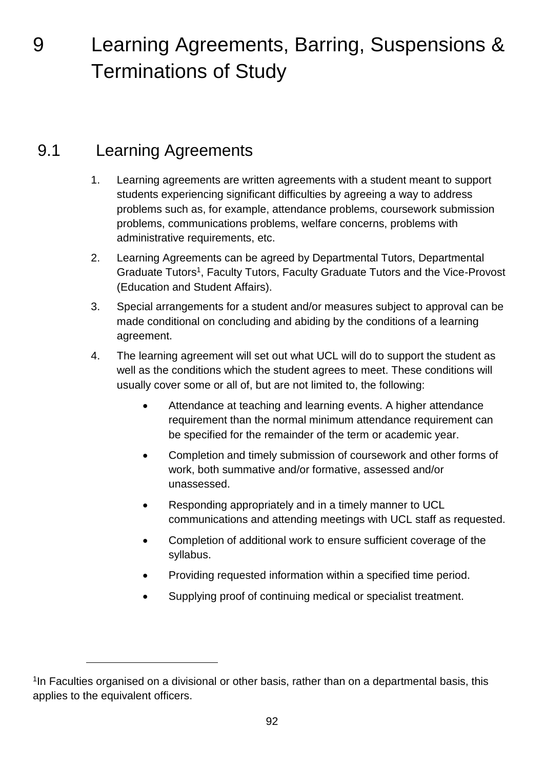9 Learning Agreements, Barring, Suspensions & Terminations of Study

# 9.1 Learning Agreements

1

- 1. Learning agreements are written agreements with a student meant to support students experiencing significant difficulties by agreeing a way to address problems such as, for example, attendance problems, coursework submission problems, communications problems, welfare concerns, problems with administrative requirements, etc.
- 2. Learning Agreements can be agreed by Departmental Tutors, Departmental Graduate Tutors<sup>1</sup>, Faculty Tutors, Faculty Graduate Tutors and the Vice-Provost (Education and Student Affairs).
- 3. Special arrangements for a student and/or measures subject to approval can be made conditional on concluding and abiding by the conditions of a learning agreement.
- 4. The learning agreement will set out what UCL will do to support the student as well as the conditions which the student agrees to meet. These conditions will usually cover some or all of, but are not limited to, the following:
	- Attendance at teaching and learning events. A higher attendance requirement than the normal minimum attendance requirement can be specified for the remainder of the term or academic year.
	- Completion and timely submission of coursework and other forms of work, both summative and/or formative, assessed and/or unassessed.
	- Responding appropriately and in a timely manner to UCL communications and attending meetings with UCL staff as requested.
	- Completion of additional work to ensure sufficient coverage of the syllabus.
	- Providing requested information within a specified time period.
	- Supplying proof of continuing medical or specialist treatment.

<sup>&</sup>lt;sup>1</sup>In Faculties organised on a divisional or other basis, rather than on a departmental basis, this applies to the equivalent officers.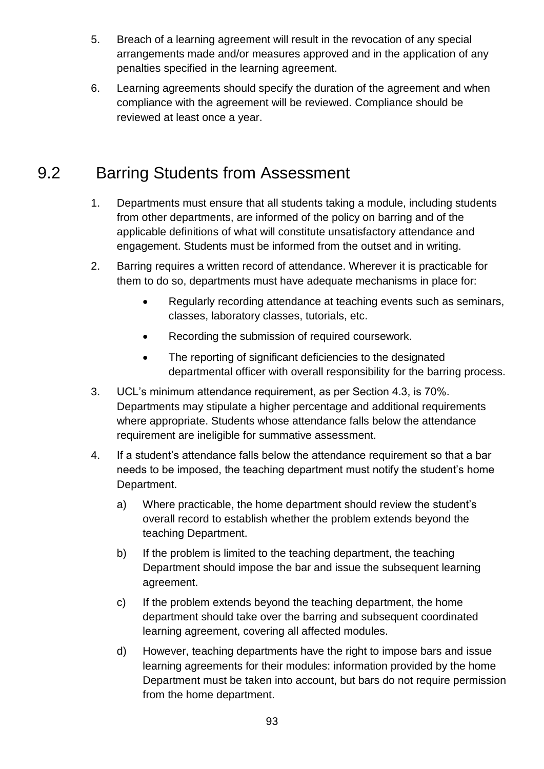- 5. Breach of a learning agreement will result in the revocation of any special arrangements made and/or measures approved and in the application of any penalties specified in the learning agreement.
- 6. Learning agreements should specify the duration of the agreement and when compliance with the agreement will be reviewed. Compliance should be reviewed at least once a year.

# 9.2 Barring Students from Assessment

- 1. Departments must ensure that all students taking a module, including students from other departments, are informed of the policy on barring and of the applicable definitions of what will constitute unsatisfactory attendance and engagement. Students must be informed from the outset and in writing.
- 2. Barring requires a written record of attendance. Wherever it is practicable for them to do so, departments must have adequate mechanisms in place for:
	- Regularly recording attendance at teaching events such as seminars, classes, laboratory classes, tutorials, etc.
	- Recording the submission of required coursework.
	- The reporting of significant deficiencies to the designated departmental officer with overall responsibility for the barring process.
- 3. UCL's minimum attendance requirement, as per Section 4.3, is 70%. Departments may stipulate a higher percentage and additional requirements where appropriate. Students whose attendance falls below the attendance requirement are ineligible for summative assessment.
- 4. If a student's attendance falls below the attendance requirement so that a bar needs to be imposed, the teaching department must notify the student's home Department.
	- a) Where practicable, the home department should review the student's overall record to establish whether the problem extends beyond the teaching Department.
	- b) If the problem is limited to the teaching department, the teaching Department should impose the bar and issue the subsequent learning agreement.
	- c) If the problem extends beyond the teaching department, the home department should take over the barring and subsequent coordinated learning agreement, covering all affected modules.
	- d) However, teaching departments have the right to impose bars and issue learning agreements for their modules: information provided by the home Department must be taken into account, but bars do not require permission from the home department.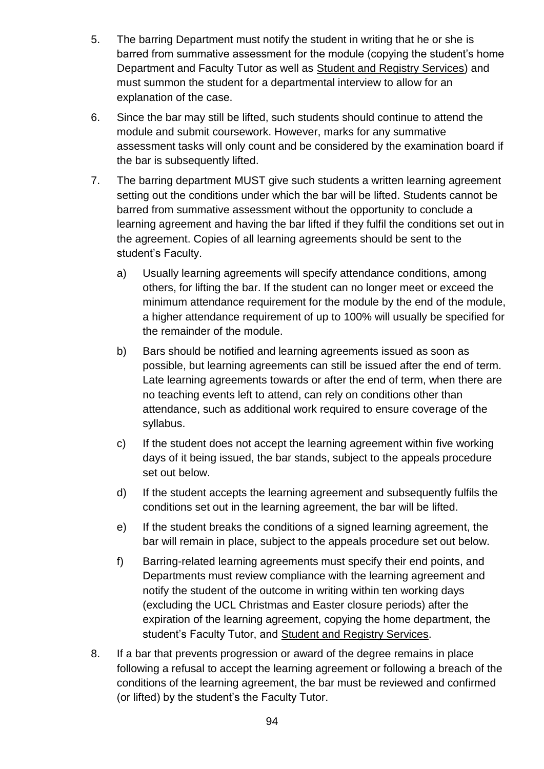- 5. The barring Department must notify the student in writing that he or she is barred from summative assessment for the module (copying the student's home Department and Faculty Tutor as well as [Student and Registry Services\)](http://www.ucl.ac.uk/srs) and must summon the student for a departmental interview to allow for an explanation of the case.
- 6. Since the bar may still be lifted, such students should continue to attend the module and submit coursework. However, marks for any summative assessment tasks will only count and be considered by the examination board if the bar is subsequently lifted.
- 7. The barring department MUST give such students a written learning agreement setting out the conditions under which the bar will be lifted. Students cannot be barred from summative assessment without the opportunity to conclude a learning agreement and having the bar lifted if they fulfil the conditions set out in the agreement. Copies of all learning agreements should be sent to the student's Faculty.
	- a) Usually learning agreements will specify attendance conditions, among others, for lifting the bar. If the student can no longer meet or exceed the minimum attendance requirement for the module by the end of the module, a higher attendance requirement of up to 100% will usually be specified for the remainder of the module.
	- b) Bars should be notified and learning agreements issued as soon as possible, but learning agreements can still be issued after the end of term. Late learning agreements towards or after the end of term, when there are no teaching events left to attend, can rely on conditions other than attendance, such as additional work required to ensure coverage of the syllabus.
	- c) If the student does not accept the learning agreement within five working days of it being issued, the bar stands, subject to the appeals procedure set out below.
	- d) If the student accepts the learning agreement and subsequently fulfils the conditions set out in the learning agreement, the bar will be lifted.
	- e) If the student breaks the conditions of a signed learning agreement, the bar will remain in place, subject to the appeals procedure set out below.
	- f) Barring-related learning agreements must specify their end points, and Departments must review compliance with the learning agreement and notify the student of the outcome in writing within ten working days (excluding the UCL Christmas and Easter closure periods) after the expiration of the learning agreement, copying the home department, the student's Faculty Tutor, and Student and [Registry Services.](http://www.ucl.ac.uk/srs)
- 8. If a bar that prevents progression or award of the degree remains in place following a refusal to accept the learning agreement or following a breach of the conditions of the learning agreement, the bar must be reviewed and confirmed (or lifted) by the student's the Faculty Tutor.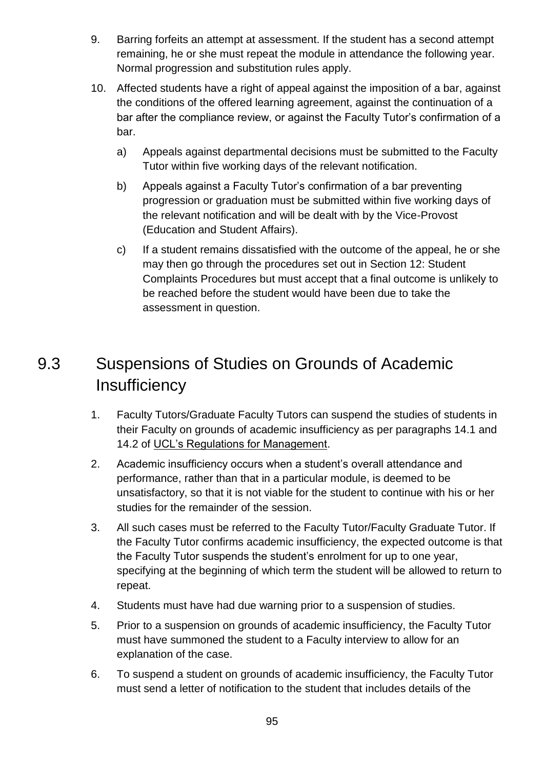- 9. Barring forfeits an attempt at assessment. If the student has a second attempt remaining, he or she must repeat the module in attendance the following year. Normal progression and substitution rules apply.
- 10. Affected students have a right of appeal against the imposition of a bar, against the conditions of the offered learning agreement, against the continuation of a bar after the compliance review, or against the Faculty Tutor's confirmation of a bar.
	- a) Appeals against departmental decisions must be submitted to the Faculty Tutor within five working days of the relevant notification.
	- b) Appeals against a Faculty Tutor's confirmation of a bar preventing progression or graduation must be submitted within five working days of the relevant notification and will be dealt with by the Vice-Provost (Education and Student Affairs).
	- c) If a student remains dissatisfied with the outcome of the appeal, he or she may then go through the procedures set out in Section 12: Student Complaints Procedures but must accept that a final outcome is unlikely to be reached before the student would have been due to take the assessment in question.

# 9.3 Suspensions of Studies on Grounds of Academic **Insufficiency**

- 1. Faculty Tutors/Graduate Faculty Tutors can suspend the studies of students in their Faculty on grounds of academic insufficiency as per paragraphs 14.1 and 14.2 of [UCL's Regulations for Management.](http://www.ucl.ac.uk/srs/governance-and-committees/governance/documents/rfm)
- 2. Academic insufficiency occurs when a student's overall attendance and performance, rather than that in a particular module, is deemed to be unsatisfactory, so that it is not viable for the student to continue with his or her studies for the remainder of the session.
- 3. All such cases must be referred to the Faculty Tutor/Faculty Graduate Tutor. If the Faculty Tutor confirms academic insufficiency, the expected outcome is that the Faculty Tutor suspends the student's enrolment for up to one year, specifying at the beginning of which term the student will be allowed to return to repeat.
- 4. Students must have had due warning prior to a suspension of studies.
- 5. Prior to a suspension on grounds of academic insufficiency, the Faculty Tutor must have summoned the student to a Faculty interview to allow for an explanation of the case.
- 6. To suspend a student on grounds of academic insufficiency, the Faculty Tutor must send a letter of notification to the student that includes details of the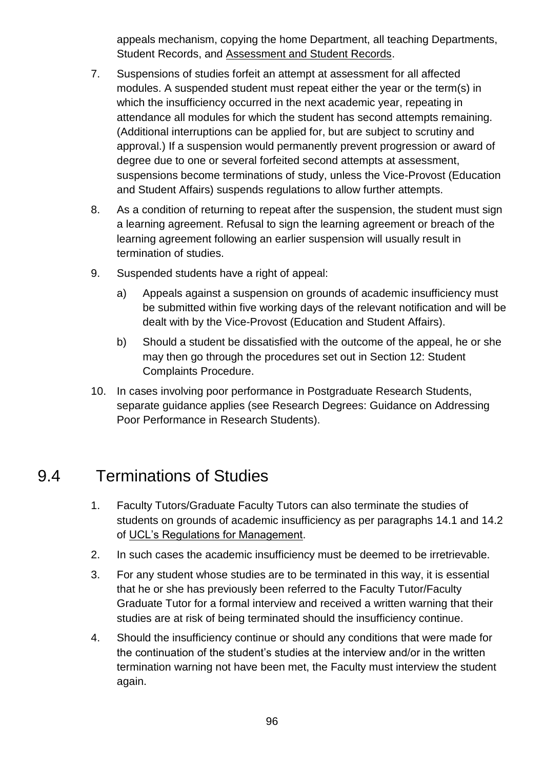appeals mechanism, copying the home Department, all teaching Departments, Student Records, and [Assessment and Student Records.](http://www.ucl.ac.uk/srs/our-services/student-administration)

- 7. Suspensions of studies forfeit an attempt at assessment for all affected modules. A suspended student must repeat either the year or the term(s) in which the insufficiency occurred in the next academic year, repeating in attendance all modules for which the student has second attempts remaining. (Additional interruptions can be applied for, but are subject to scrutiny and approval.) If a suspension would permanently prevent progression or award of degree due to one or several forfeited second attempts at assessment, suspensions become terminations of study, unless the Vice-Provost (Education and Student Affairs) suspends regulations to allow further attempts.
- 8. As a condition of returning to repeat after the suspension, the student must sign a learning agreement. Refusal to sign the learning agreement or breach of the learning agreement following an earlier suspension will usually result in termination of studies.
- 9. Suspended students have a right of appeal:
	- a) Appeals against a suspension on grounds of academic insufficiency must be submitted within five working days of the relevant notification and will be dealt with by the Vice-Provost (Education and Student Affairs).
	- b) Should a student be dissatisfied with the outcome of the appeal, he or she may then go through the procedures set out in Section 12: Student Complaints Procedure.
- 10. In cases involving poor performance in Postgraduate Research Students, separate guidance applies (see Research Degrees: Guidance on Addressing Poor Performance in Research Students).

# 9.4 Terminations of Studies

- 1. Faculty Tutors/Graduate Faculty Tutors can also terminate the studies of students on grounds of academic insufficiency as per paragraphs 14.1 and 14.2 of [UCL's Regulations for Management.](http://www.ucl.ac.uk/srs/governance-and-committees/governance/documents/rfm)
- 2. In such cases the academic insufficiency must be deemed to be irretrievable.
- 3. For any student whose studies are to be terminated in this way, it is essential that he or she has previously been referred to the Faculty Tutor/Faculty Graduate Tutor for a formal interview and received a written warning that their studies are at risk of being terminated should the insufficiency continue.
- 4. Should the insufficiency continue or should any conditions that were made for the continuation of the student's studies at the interview and/or in the written termination warning not have been met, the Faculty must interview the student again.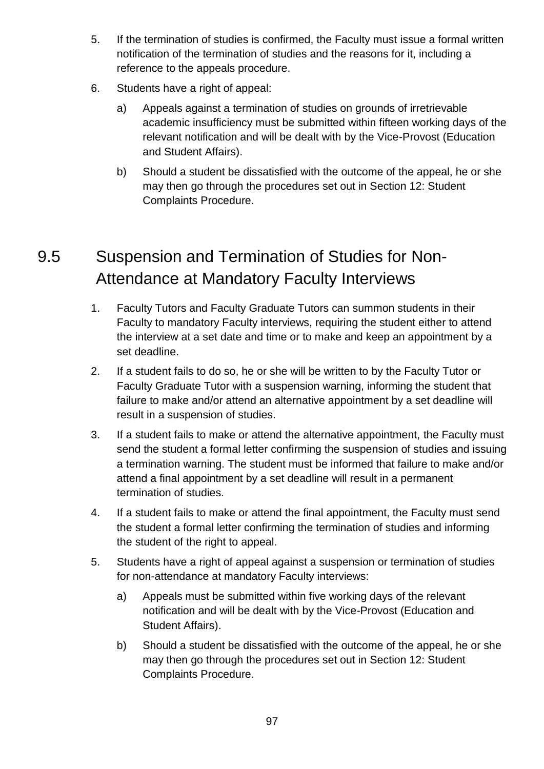- 5. If the termination of studies is confirmed, the Faculty must issue a formal written notification of the termination of studies and the reasons for it, including a reference to the appeals procedure.
- 6. Students have a right of appeal:
	- a) Appeals against a termination of studies on grounds of irretrievable academic insufficiency must be submitted within fifteen working days of the relevant notification and will be dealt with by the Vice-Provost (Education and Student Affairs).
	- b) Should a student be dissatisfied with the outcome of the appeal, he or she may then go through the procedures set out in Section 12: Student Complaints Procedure.

# 9.5 Suspension and Termination of Studies for Non-Attendance at Mandatory Faculty Interviews

- 1. Faculty Tutors and Faculty Graduate Tutors can summon students in their Faculty to mandatory Faculty interviews, requiring the student either to attend the interview at a set date and time or to make and keep an appointment by a set deadline.
- 2. If a student fails to do so, he or she will be written to by the Faculty Tutor or Faculty Graduate Tutor with a suspension warning, informing the student that failure to make and/or attend an alternative appointment by a set deadline will result in a suspension of studies.
- 3. If a student fails to make or attend the alternative appointment, the Faculty must send the student a formal letter confirming the suspension of studies and issuing a termination warning. The student must be informed that failure to make and/or attend a final appointment by a set deadline will result in a permanent termination of studies.
- 4. If a student fails to make or attend the final appointment, the Faculty must send the student a formal letter confirming the termination of studies and informing the student of the right to appeal.
- 5. Students have a right of appeal against a suspension or termination of studies for non-attendance at mandatory Faculty interviews:
	- a) Appeals must be submitted within five working days of the relevant notification and will be dealt with by the Vice-Provost (Education and Student Affairs).
	- b) Should a student be dissatisfied with the outcome of the appeal, he or she may then go through the procedures set out in Section 12: Student Complaints Procedure.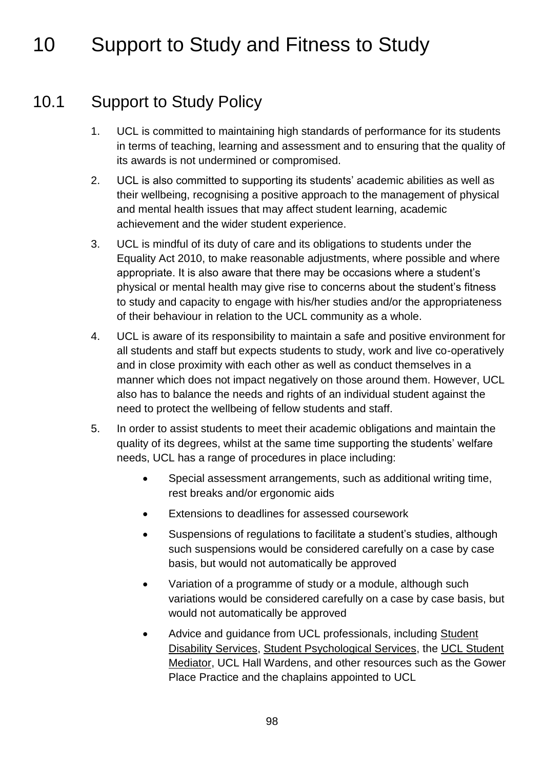# 10 Support to Study and Fitness to Study

# 10.1 Support to Study Policy

- 1. UCL is committed to maintaining high standards of performance for its students in terms of teaching, learning and assessment and to ensuring that the quality of its awards is not undermined or compromised.
- 2. UCL is also committed to supporting its students' academic abilities as well as their wellbeing, recognising a positive approach to the management of physical and mental health issues that may affect student learning, academic achievement and the wider student experience.
- 3. UCL is mindful of its duty of care and its obligations to students under the Equality Act 2010, to make reasonable adjustments, where possible and where appropriate. It is also aware that there may be occasions where a student's physical or mental health may give rise to concerns about the student's fitness to study and capacity to engage with his/her studies and/or the appropriateness of their behaviour in relation to the UCL community as a whole.
- 4. UCL is aware of its responsibility to maintain a safe and positive environment for all students and staff but expects students to study, work and live co-operatively and in close proximity with each other as well as conduct themselves in a manner which does not impact negatively on those around them. However, UCL also has to balance the needs and rights of an individual student against the need to protect the wellbeing of fellow students and staff.
- 5. In order to assist students to meet their academic obligations and maintain the quality of its degrees, whilst at the same time supporting the students' welfare needs, UCL has a range of procedures in place including:
	- Special assessment arrangements, such as additional writing time, rest breaks and/or ergonomic aids
	- Extensions to deadlines for assessed coursework
	- Suspensions of regulations to facilitate a student's studies, although such suspensions would be considered carefully on a case by case basis, but would not automatically be approved
	- Variation of a programme of study or a module, although such variations would be considered carefully on a case by case basis, but would not automatically be approved
	- Advice and guidance from UCL professionals, including [Student](http://www.ucl.ac.uk/disability)  [Disability Services,](http://www.ucl.ac.uk/disability) [Student Psychological Services,](http://www.ucl.ac.uk/student-psychological-services/index_home/team) the [UCL Student](http://www.ucl.ac.uk/student-mediator)  [Mediator,](http://www.ucl.ac.uk/student-mediator) UCL Hall Wardens, and other resources such as the Gower Place Practice and the chaplains appointed to UCL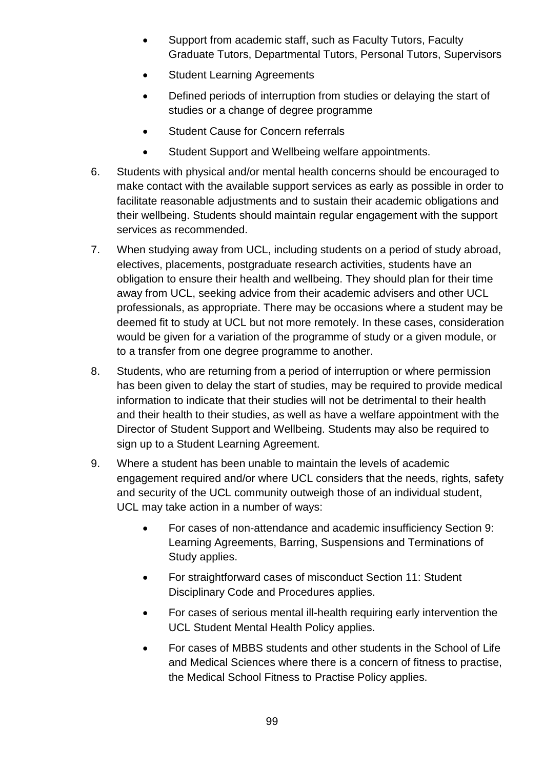- Support from academic staff, such as Faculty Tutors, Faculty Graduate Tutors, Departmental Tutors, Personal Tutors, Supervisors
- Student Learning Agreements
- Defined periods of interruption from studies or delaying the start of studies or a change of degree programme
- Student Cause for Concern referrals
- Student Support and Wellbeing welfare appointments.
- 6. Students with physical and/or mental health concerns should be encouraged to make contact with the available support services as early as possible in order to facilitate reasonable adjustments and to sustain their academic obligations and their wellbeing. Students should maintain regular engagement with the support services as recommended.
- 7. When studying away from UCL, including students on a period of study abroad, electives, placements, postgraduate research activities, students have an obligation to ensure their health and wellbeing. They should plan for their time away from UCL, seeking advice from their academic advisers and other UCL professionals, as appropriate. There may be occasions where a student may be deemed fit to study at UCL but not more remotely. In these cases, consideration would be given for a variation of the programme of study or a given module, or to a transfer from one degree programme to another.
- 8. Students, who are returning from a period of interruption or where permission has been given to delay the start of studies, may be required to provide medical information to indicate that their studies will not be detrimental to their health and their health to their studies, as well as have a welfare appointment with the Director of Student Support and Wellbeing. Students may also be required to sign up to a Student Learning Agreement.
- 9. Where a student has been unable to maintain the levels of academic engagement required and/or where UCL considers that the needs, rights, safety and security of the UCL community outweigh those of an individual student, UCL may take action in a number of ways:
	- For cases of non-attendance and academic insufficiency Section 9: Learning Agreements, Barring, Suspensions and Terminations of Study applies.
	- For straightforward cases of misconduct Section 11: Student Disciplinary Code and Procedures applies.
	- For cases of serious mental ill-health requiring early intervention the UCL Student Mental Health Policy applies.
	- For cases of MBBS students and other students in the School of Life and Medical Sciences where there is a concern of fitness to practise, the Medical School Fitness to Practise Policy applies.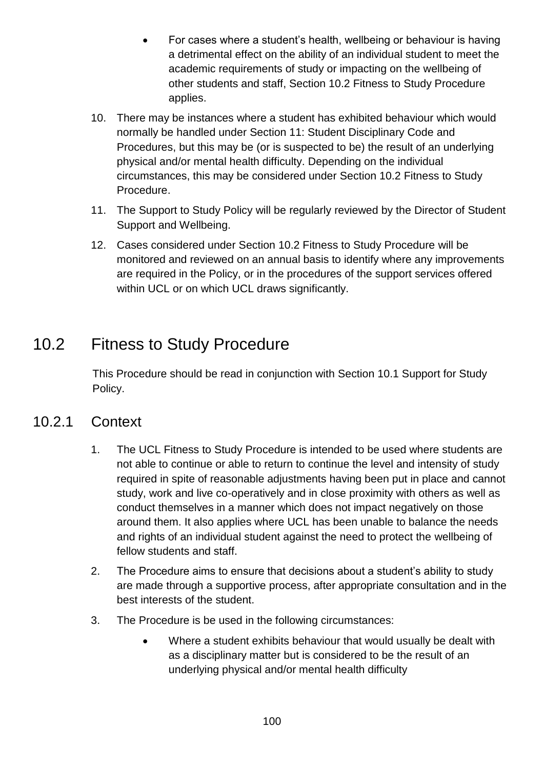- For cases where a student's health, wellbeing or behaviour is having a detrimental effect on the ability of an individual student to meet the academic requirements of study or impacting on the wellbeing of other students and staff, Section 10.2 Fitness to Study Procedure applies.
- 10. There may be instances where a student has exhibited behaviour which would normally be handled under Section 11: Student Disciplinary Code and Procedures, but this may be (or is suspected to be) the result of an underlying physical and/or mental health difficulty. Depending on the individual circumstances, this may be considered under Section 10.2 Fitness to Study Procedure.
- 11. The Support to Study Policy will be regularly reviewed by the Director of Student Support and Wellbeing.
- 12. Cases considered under Section 10.2 Fitness to Study Procedure will be monitored and reviewed on an annual basis to identify where any improvements are required in the Policy, or in the procedures of the support services offered within UCL or on which UCL draws significantly.

# 10.2 Fitness to Study Procedure

This Procedure should be read in conjunction with Section 10.1 Support for Study Policy.

### 10.2.1 Context

- 1. The UCL Fitness to Study Procedure is intended to be used where students are not able to continue or able to return to continue the level and intensity of study required in spite of reasonable adjustments having been put in place and cannot study, work and live co-operatively and in close proximity with others as well as conduct themselves in a manner which does not impact negatively on those around them. It also applies where UCL has been unable to balance the needs and rights of an individual student against the need to protect the wellbeing of fellow students and staff.
- 2. The Procedure aims to ensure that decisions about a student's ability to study are made through a supportive process, after appropriate consultation and in the best interests of the student.
- 3. The Procedure is be used in the following circumstances:
	- Where a student exhibits behaviour that would usually be dealt with as a disciplinary matter but is considered to be the result of an underlying physical and/or mental health difficulty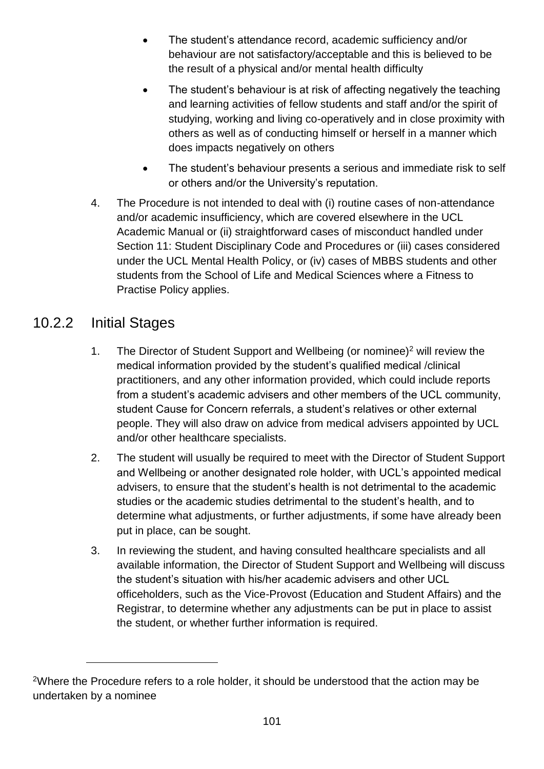- The student's attendance record, academic sufficiency and/or behaviour are not satisfactory/acceptable and this is believed to be the result of a physical and/or mental health difficulty
- The student's behaviour is at risk of affecting negatively the teaching and learning activities of fellow students and staff and/or the spirit of studying, working and living co-operatively and in close proximity with others as well as of conducting himself or herself in a manner which does impacts negatively on others
- The student's behaviour presents a serious and immediate risk to self or others and/or the University's reputation.
- 4. The Procedure is not intended to deal with (i) routine cases of non-attendance and/or academic insufficiency, which are covered elsewhere in the UCL Academic Manual or (ii) straightforward cases of misconduct handled under Section 11: Student Disciplinary Code and Procedures or (iii) cases considered under the UCL Mental Health Policy, or (iv) cases of MBBS students and other students from the School of Life and Medical Sciences where a Fitness to Practise Policy applies.

### 10.2.2 Initial Stages

1

- 1. The Director of Student Support and Wellbeing (or nominee)<sup>2</sup> will review the medical information provided by the student's qualified medical /clinical practitioners, and any other information provided, which could include reports from a student's academic advisers and other members of the UCL community, student Cause for Concern referrals, a student's relatives or other external people. They will also draw on advice from medical advisers appointed by UCL and/or other healthcare specialists.
- 2. The student will usually be required to meet with the Director of Student Support and Wellbeing or another designated role holder, with UCL's appointed medical advisers, to ensure that the student's health is not detrimental to the academic studies or the academic studies detrimental to the student's health, and to determine what adjustments, or further adjustments, if some have already been put in place, can be sought.
- 3. In reviewing the student, and having consulted healthcare specialists and all available information, the Director of Student Support and Wellbeing will discuss the student's situation with his/her academic advisers and other UCL officeholders, such as the Vice-Provost (Education and Student Affairs) and the Registrar, to determine whether any adjustments can be put in place to assist the student, or whether further information is required.

<sup>&</sup>lt;sup>2</sup>Where the Procedure refers to a role holder, it should be understood that the action may be undertaken by a nominee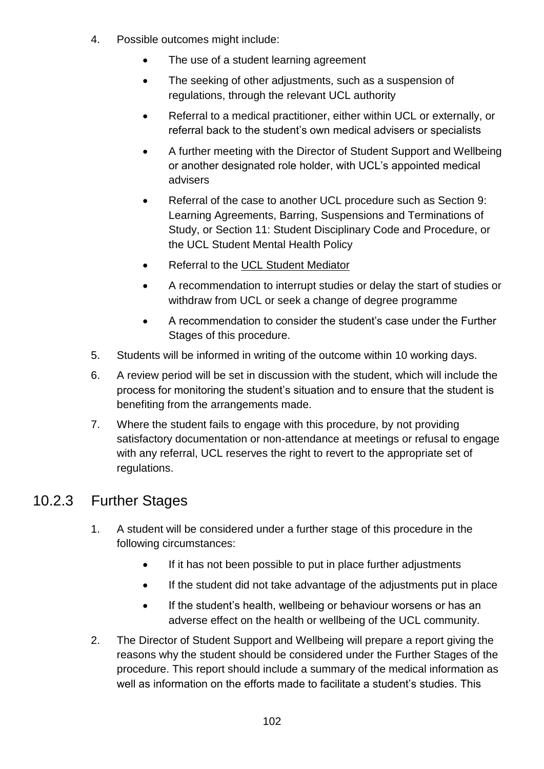- 4. Possible outcomes might include:
	- The use of a student learning agreement
	- The seeking of other adjustments, such as a suspension of regulations, through the relevant UCL authority
	- Referral to a medical practitioner, either within UCL or externally, or referral back to the student's own medical advisers or specialists
	- A further meeting with the Director of Student Support and Wellbeing or another designated role holder, with UCL's appointed medical advisers
	- Referral of the case to another UCL procedure such as Section 9: Learning Agreements, Barring, Suspensions and Terminations of Study, or Section 11: Student Disciplinary Code and Procedure, or the UCL Student Mental Health Policy
	- Referral to the [UCL Student Mediator](http://www.ucl.ac.uk/student-mediator)
	- A recommendation to interrupt studies or delay the start of studies or withdraw from UCL or seek a change of degree programme
	- A recommendation to consider the student's case under the Further Stages of this procedure.
- 5. Students will be informed in writing of the outcome within 10 working days.
- 6. A review period will be set in discussion with the student, which will include the process for monitoring the student's situation and to ensure that the student is benefiting from the arrangements made.
- 7. Where the student fails to engage with this procedure, by not providing satisfactory documentation or non-attendance at meetings or refusal to engage with any referral, UCL reserves the right to revert to the appropriate set of regulations.

### 10.2.3 Further Stages

- 1. A student will be considered under a further stage of this procedure in the following circumstances:
	- If it has not been possible to put in place further adjustments
	- If the student did not take advantage of the adjustments put in place
	- If the student's health, wellbeing or behaviour worsens or has an adverse effect on the health or wellbeing of the UCL community.
- 2. The Director of Student Support and Wellbeing will prepare a report giving the reasons why the student should be considered under the Further Stages of the procedure. This report should include a summary of the medical information as well as information on the efforts made to facilitate a student's studies. This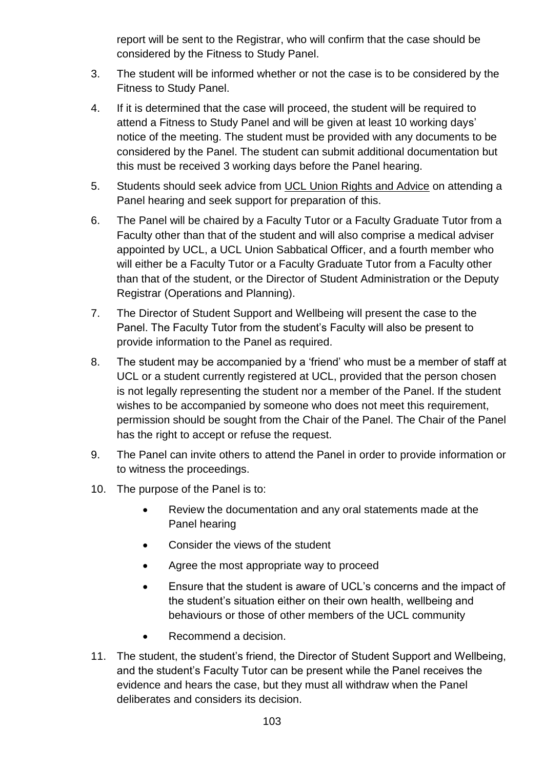report will be sent to the Registrar, who will confirm that the case should be considered by the Fitness to Study Panel.

- 3. The student will be informed whether or not the case is to be considered by the Fitness to Study Panel.
- 4. If it is determined that the case will proceed, the student will be required to attend a Fitness to Study Panel and will be given at least 10 working days' notice of the meeting. The student must be provided with any documents to be considered by the Panel. The student can submit additional documentation but this must be received 3 working days before the Panel hearing.
- 5. Students should seek advice from [UCL Union Rights and Advice](http://uclu.org/services/advice-welfare) on attending a Panel hearing and seek support for preparation of this.
- 6. The Panel will be chaired by a Faculty Tutor or a Faculty Graduate Tutor from a Faculty other than that of the student and will also comprise a medical adviser appointed by UCL, a UCL Union Sabbatical Officer, and a fourth member who will either be a Faculty Tutor or a Faculty Graduate Tutor from a Faculty other than that of the student, or the Director of Student Administration or the Deputy Registrar (Operations and Planning).
- 7. The Director of Student Support and Wellbeing will present the case to the Panel. The Faculty Tutor from the student's Faculty will also be present to provide information to the Panel as required.
- 8. The student may be accompanied by a 'friend' who must be a member of staff at UCL or a student currently registered at UCL, provided that the person chosen is not legally representing the student nor a member of the Panel. If the student wishes to be accompanied by someone who does not meet this requirement, permission should be sought from the Chair of the Panel. The Chair of the Panel has the right to accept or refuse the request.
- 9. The Panel can invite others to attend the Panel in order to provide information or to witness the proceedings.
- 10. The purpose of the Panel is to:
	- Review the documentation and any oral statements made at the Panel hearing
	- Consider the views of the student
	- Agree the most appropriate way to proceed
	- Ensure that the student is aware of UCL's concerns and the impact of the student's situation either on their own health, wellbeing and behaviours or those of other members of the UCL community
	- Recommend a decision.
- 11. The student, the student's friend, the Director of Student Support and Wellbeing, and the student's Faculty Tutor can be present while the Panel receives the evidence and hears the case, but they must all withdraw when the Panel deliberates and considers its decision.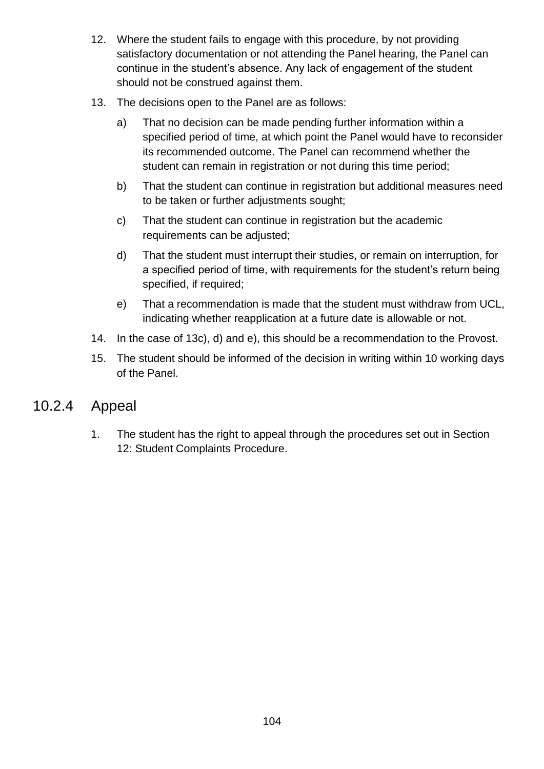- 12. Where the student fails to engage with this procedure, by not providing satisfactory documentation or not attending the Panel hearing, the Panel can continue in the student's absence. Any lack of engagement of the student should not be construed against them.
- 13. The decisions open to the Panel are as follows:
	- a) That no decision can be made pending further information within a specified period of time, at which point the Panel would have to reconsider its recommended outcome. The Panel can recommend whether the student can remain in registration or not during this time period;
	- b) That the student can continue in registration but additional measures need to be taken or further adjustments sought;
	- c) That the student can continue in registration but the academic requirements can be adjusted;
	- d) That the student must interrupt their studies, or remain on interruption, for a specified period of time, with requirements for the student's return being specified, if required;
	- e) That a recommendation is made that the student must withdraw from UCL, indicating whether reapplication at a future date is allowable or not.
- 14. In the case of 13c), d) and e), this should be a recommendation to the Provost.
- 15. The student should be informed of the decision in writing within 10 working days of the Panel.

### 10.2.4 Appeal

1. The student has the right to appeal through the procedures set out in Section 12: Student Complaints Procedure.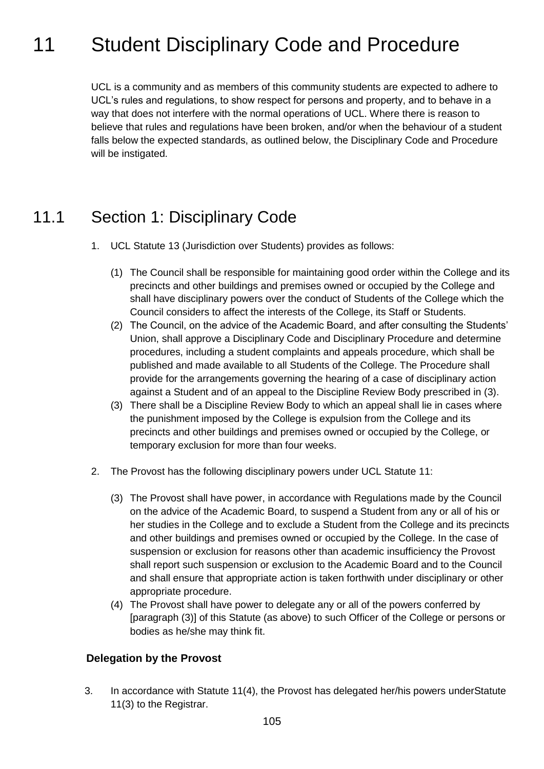# <span id="page-104-0"></span>11 Student Disciplinary Code and Procedure

UCL is a community and as members of this community students are expected to adhere to UCL's rules and regulations, to show respect for persons and property, and to behave in a way that does not interfere with the normal operations of UCL. Where there is reason to believe that rules and regulations have been broken, and/or when the behaviour of a student falls below the expected standards, as outlined below, the Disciplinary Code and Procedure will be instigated.

## 11.1 Section 1: Disciplinary Code

- 1. UCL Statute 13 (Jurisdiction over Students) provides as follows:
	- (1) The Council shall be responsible for maintaining good order within the College and its precincts and other buildings and premises owned or occupied by the College and shall have disciplinary powers over the conduct of Students of the College which the Council considers to affect the interests of the College, its Staff or Students.
	- (2) The Council, on the advice of the Academic Board, and after consulting the Students' Union, shall approve a Disciplinary Code and Disciplinary Procedure and determine procedures, including a student complaints and appeals procedure, which shall be published and made available to all Students of the College. The Procedure shall provide for the arrangements governing the hearing of a case of disciplinary action against a Student and of an appeal to the Discipline Review Body prescribed in (3).
	- (3) There shall be a Discipline Review Body to which an appeal shall lie in cases where the punishment imposed by the College is expulsion from the College and its precincts and other buildings and premises owned or occupied by the College, or temporary exclusion for more than four weeks.
- 2. The Provost has the following disciplinary powers under UCL Statute 11:
	- (3) The Provost shall have power, in accordance with Regulations made by the Council on the advice of the Academic Board, to suspend a Student from any or all of his or her studies in the College and to exclude a Student from the College and its precincts and other buildings and premises owned or occupied by the College. In the case of suspension or exclusion for reasons other than academic insufficiency the Provost shall report such suspension or exclusion to the Academic Board and to the Council and shall ensure that appropriate action is taken forthwith under disciplinary or other appropriate procedure.
	- (4) The Provost shall have power to delegate any or all of the powers conferred by [paragraph (3)] of this Statute (as above) to such Officer of the College or persons or bodies as he/she may think fit.

#### **Delegation by the Provost**

3. In accordance with Statute 11(4), the Provost has delegated her/his powers underStatute 11(3) to the Registrar.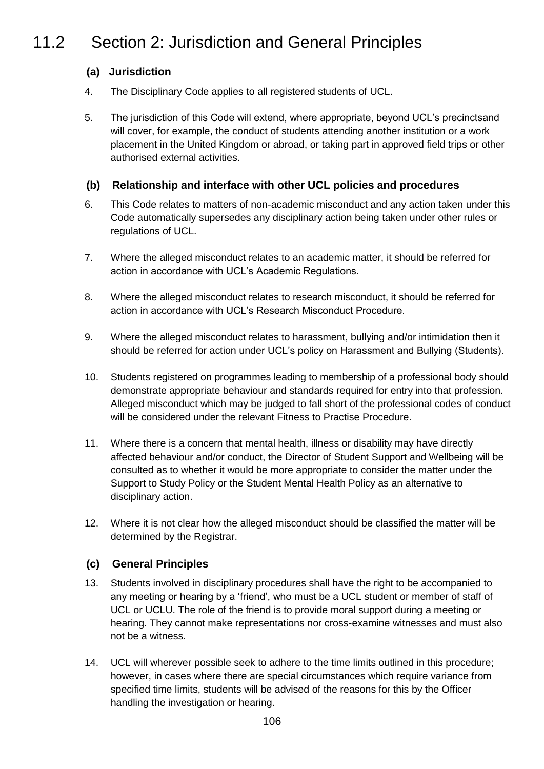# 11.2 Section 2: Jurisdiction and General Principles

### **(a) Jurisdiction**

- 4. The Disciplinary Code applies to all registered students of UCL.
- 5. The jurisdiction of this Code will extend, where appropriate, beyond UCL's precinctsand will cover, for example, the conduct of students attending another institution or a work placement in the United Kingdom or abroad, or taking part in approved field trips or other authorised external activities.

### **(b) Relationship and interface with other UCL policies and procedures**

- 6. This Code relates to matters of non-academic misconduct and any action taken under this Code automatically supersedes any disciplinary action being taken under other rules or regulations of UCL.
- 7. Where the alleged misconduct relates to an academic matter, it should be referred for action in accordance with UCL's Academic Regulations.
- 8. Where the alleged misconduct relates to research misconduct, it should be referred for action in accordance with UCL's Research Misconduct Procedure.
- 9. Where the alleged misconduct relates to harassment, bullying and/or intimidation then it should be referred for action under UCL's policy on Harassment and Bullying (Students).
- 10. Students registered on programmes leading to membership of a professional body should demonstrate appropriate behaviour and standards required for entry into that profession. Alleged misconduct which may be judged to fall short of the professional codes of conduct will be considered under the relevant Fitness to Practise Procedure.
- 11. Where there is a concern that mental health, illness or disability may have directly affected behaviour and/or conduct, the Director of Student Support and Wellbeing will be consulted as to whether it would be more appropriate to consider the matter under the Support to Study Policy or the Student Mental Health Policy as an alternative to disciplinary action.
- 12. Where it is not clear how the alleged misconduct should be classified the matter will be determined by the Registrar.

#### **(c) General Principles**

- 13. Students involved in disciplinary procedures shall have the right to be accompanied to any meeting or hearing by a 'friend', who must be a UCL student or member of staff of UCL or UCLU. The role of the friend is to provide moral support during a meeting or hearing. They cannot make representations nor cross-examine witnesses and must also not be a witness.
- 14. UCL will wherever possible seek to adhere to the time limits outlined in this procedure; however, in cases where there are special circumstances which require variance from specified time limits, students will be advised of the reasons for this by the Officer handling the investigation or hearing.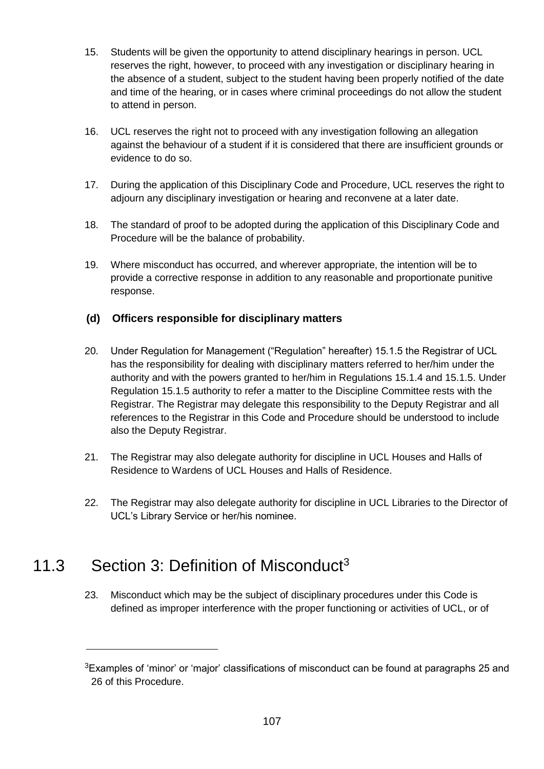- 15. Students will be given the opportunity to attend disciplinary hearings in person. UCL reserves the right, however, to proceed with any investigation or disciplinary hearing in the absence of a student, subject to the student having been properly notified of the date and time of the hearing, or in cases where criminal proceedings do not allow the student to attend in person.
- 16. UCL reserves the right not to proceed with any investigation following an allegation against the behaviour of a student if it is considered that there are insufficient grounds or evidence to do so.
- 17. During the application of this Disciplinary Code and Procedure, UCL reserves the right to adjourn any disciplinary investigation or hearing and reconvene at a later date.
- 18. The standard of proof to be adopted during the application of this Disciplinary Code and Procedure will be the balance of probability.
- 19. Where misconduct has occurred, and wherever appropriate, the intention will be to provide a corrective response in addition to any reasonable and proportionate punitive response.

### **(d) Officers responsible for disciplinary matters**

- 20. Under Regulation for Management ("Regulation" hereafter) 15.1.5 the Registrar of UCL has the responsibility for dealing with disciplinary matters referred to her/him under the authority and with the powers granted to her/him in Regulations 15.1.4 and 15.1.5. Under Regulation 15.1.5 authority to refer a matter to the Discipline Committee rests with the Registrar. The Registrar may delegate this responsibility to the Deputy Registrar and all references to the Registrar in this Code and Procedure should be understood to include also the Deputy Registrar.
- 21. The Registrar may also delegate authority for discipline in UCL Houses and Halls of Residence to Wardens of UCL Houses and Halls of Residence.
- 22. The Registrar may also delegate authority for discipline in UCL Libraries to the Director of UCL's Library Service or her/his nominee.

# 11.3 Section 3: Definition of Misconduct<sup>3</sup>

1

23. Misconduct which may be the subject of disciplinary procedures under this Code is defined as improper interference with the proper functioning or activities of UCL, or of

 $3$ Examples of 'minor' or 'major' classifications of misconduct can be found at paragraphs 25 and 26 of this Procedure.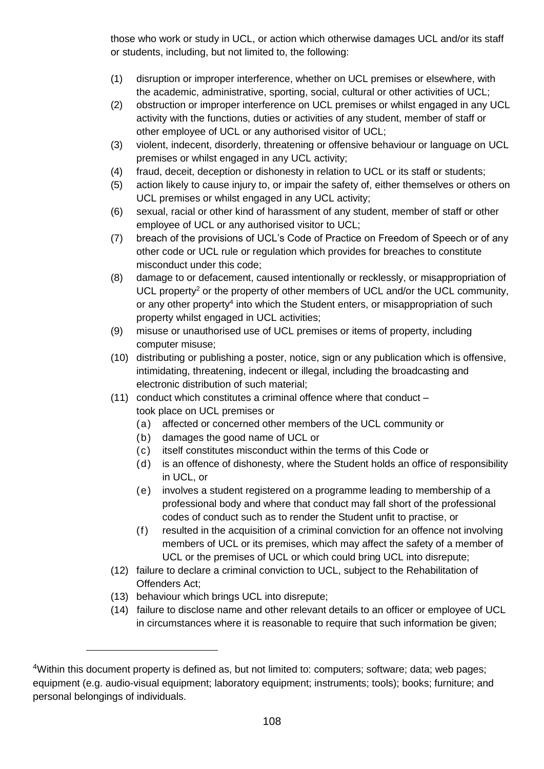those who work or study in UCL, or action which otherwise damages UCL and/or its staff or students, including, but not limited to, the following:

- (1) disruption or improper interference, whether on UCL premises or elsewhere, with the academic, administrative, sporting, social, cultural or other activities of UCL;
- (2) obstruction or improper interference on UCL premises or whilst engaged in any UCL activity with the functions, duties or activities of any student, member of staff or other employee of UCL or any authorised visitor of UCL;
- (3) violent, indecent, disorderly, threatening or offensive behaviour or language on UCL premises or whilst engaged in any UCL activity;
- (4) fraud, deceit, deception or dishonesty in relation to UCL or its staff or students;
- (5) action likely to cause injury to, or impair the safety of, either themselves or others on UCL premises or whilst engaged in any UCL activity;
- (6) sexual, racial or other kind of harassment of any student, member of staff or other employee of UCL or any authorised visitor to UCL;
- (7) breach of the provisions of UCL's Code of Practice on Freedom of Speech or of any other code or UCL rule or regulation which provides for breaches to constitute misconduct under this code;
- (8) damage to or defacement, caused intentionally or recklessly, or misappropriation of UCL property<sup>2</sup> or the property of other members of UCL and/or the UCL community, or any other property<sup>4</sup> into which the Student enters, or misappropriation of such property whilst engaged in UCL activities;
- (9) misuse or unauthorised use of UCL premises or items of property, including computer misuse;
- (10) distributing or publishing a poster, notice, sign or any publication which is offensive, intimidating, threatening, indecent or illegal, including the broadcasting and electronic distribution of such material;
- (11) conduct which constitutes a criminal offence where that conduct took place on UCL premises or
	- (a) affected or concerned other members of the UCL community or
	- (b) damages the good name of UCL or
	- (c) itself constitutes misconduct within the terms of this Code or
	- (d) is an offence of dishonesty, where the Student holds an office of responsibility in UCL, or
	- (e) involves a student registered on a programme leading to membership of a professional body and where that conduct may fall short of the professional codes of conduct such as to render the Student unfit to practise, or
	- (f) resulted in the acquisition of a criminal conviction for an offence not involving members of UCL or its premises, which may affect the safety of a member of UCL or the premises of UCL or which could bring UCL into disrepute;
- (12) failure to declare a criminal conviction to UCL, subject to the Rehabilitation of Offenders Act;
- (13) behaviour which brings UCL into disrepute;

1

(14) failure to disclose name and other relevant details to an officer or employee of UCL in circumstances where it is reasonable to require that such information be given;

<sup>4</sup>Within this document property is defined as, but not limited to: computers; software; data; web pages; equipment (e.g. audio-visual equipment; laboratory equipment; instruments; tools); books; furniture; and personal belongings of individuals.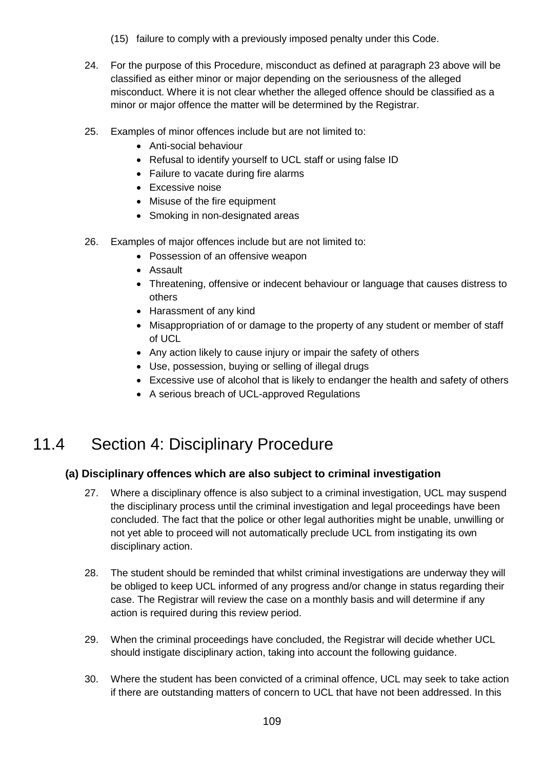- (15) failure to comply with a previously imposed penalty under this Code.
- 24. For the purpose of this Procedure, misconduct as defined at paragraph 23 above will be classified as either minor or major depending on the seriousness of the alleged misconduct. Where it is not clear whether the alleged offence should be classified as a minor or major offence the matter will be determined by the Registrar.
- 25. Examples of minor offences include but are not limited to:
	- Anti-social behaviour
	- Refusal to identify yourself to UCL staff or using false ID
	- Failure to vacate during fire alarms
	- Excessive noise
	- Misuse of the fire equipment
	- Smoking in non-designated areas
- 26. Examples of major offences include but are not limited to:
	- Possession of an offensive weapon
	- Assault
	- Threatening, offensive or indecent behaviour or language that causes distress to others
	- Harassment of any kind
	- Misappropriation of or damage to the property of any student or member of staff of UCL
	- Any action likely to cause injury or impair the safety of others
	- Use, possession, buying or selling of illegal drugs
	- Excessive use of alcohol that is likely to endanger the health and safety of others
	- A serious breach of UCL-approved Regulations

## 11.4 Section 4: Disciplinary Procedure

#### **(a) Disciplinary offences which are also subject to criminal investigation**

- 27. Where a disciplinary offence is also subject to a criminal investigation, UCL may suspend the disciplinary process until the criminal investigation and legal proceedings have been concluded. The fact that the police or other legal authorities might be unable, unwilling or not yet able to proceed will not automatically preclude UCL from instigating its own disciplinary action.
- 28. The student should be reminded that whilst criminal investigations are underway they will be obliged to keep UCL informed of any progress and/or change in status regarding their case. The Registrar will review the case on a monthly basis and will determine if any action is required during this review period.
- 29. When the criminal proceedings have concluded, the Registrar will decide whether UCL should instigate disciplinary action, taking into account the following guidance.
- 30. Where the student has been convicted of a criminal offence, UCL may seek to take action if there are outstanding matters of concern to UCL that have not been addressed. In this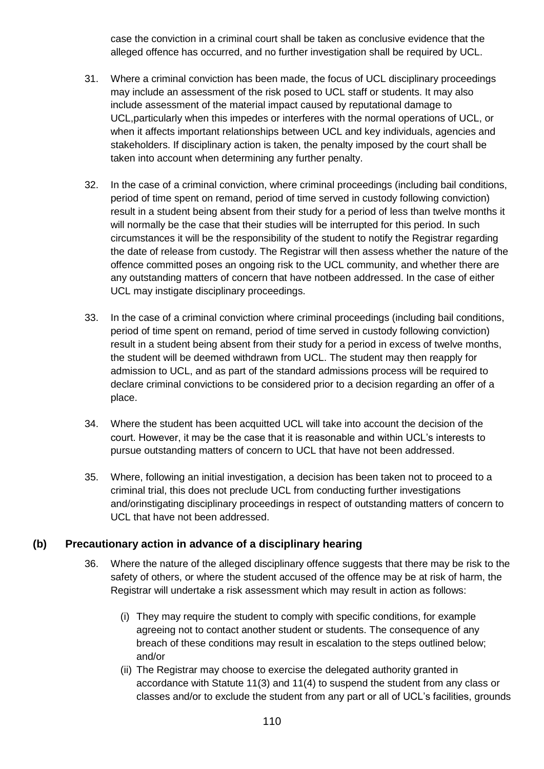case the conviction in a criminal court shall be taken as conclusive evidence that the alleged offence has occurred, and no further investigation shall be required by UCL.

- 31. Where a criminal conviction has been made, the focus of UCL disciplinary proceedings may include an assessment of the risk posed to UCL staff or students. It may also include assessment of the material impact caused by reputational damage to UCL,particularly when this impedes or interferes with the normal operations of UCL, or when it affects important relationships between UCL and key individuals, agencies and stakeholders. If disciplinary action is taken, the penalty imposed by the court shall be taken into account when determining any further penalty.
- 32. In the case of a criminal conviction, where criminal proceedings (including bail conditions, period of time spent on remand, period of time served in custody following conviction) result in a student being absent from their study for a period of less than twelve months it will normally be the case that their studies will be interrupted for this period. In such circumstances it will be the responsibility of the student to notify the Registrar regarding the date of release from custody. The Registrar will then assess whether the nature of the offence committed poses an ongoing risk to the UCL community, and whether there are any outstanding matters of concern that have notbeen addressed. In the case of either UCL may instigate disciplinary proceedings.
- 33. In the case of a criminal conviction where criminal proceedings (including bail conditions, period of time spent on remand, period of time served in custody following conviction) result in a student being absent from their study for a period in excess of twelve months, the student will be deemed withdrawn from UCL. The student may then reapply for admission to UCL, and as part of the standard admissions process will be required to declare criminal convictions to be considered prior to a decision regarding an offer of a place.
- 34. Where the student has been acquitted UCL will take into account the decision of the court. However, it may be the case that it is reasonable and within UCL's interests to pursue outstanding matters of concern to UCL that have not been addressed.
- 35. Where, following an initial investigation, a decision has been taken not to proceed to a criminal trial, this does not preclude UCL from conducting further investigations and/orinstigating disciplinary proceedings in respect of outstanding matters of concern to UCL that have not been addressed.

#### **(b) Precautionary action in advance of a disciplinary hearing**

- 36. Where the nature of the alleged disciplinary offence suggests that there may be risk to the safety of others, or where the student accused of the offence may be at risk of harm, the Registrar will undertake a risk assessment which may result in action as follows:
	- (i) They may require the student to comply with specific conditions, for example agreeing not to contact another student or students. The consequence of any breach of these conditions may result in escalation to the steps outlined below; and/or
	- (ii) The Registrar may choose to exercise the delegated authority granted in accordance with Statute 11(3) and 11(4) to suspend the student from any class or classes and/or to exclude the student from any part or all of UCL's facilities, grounds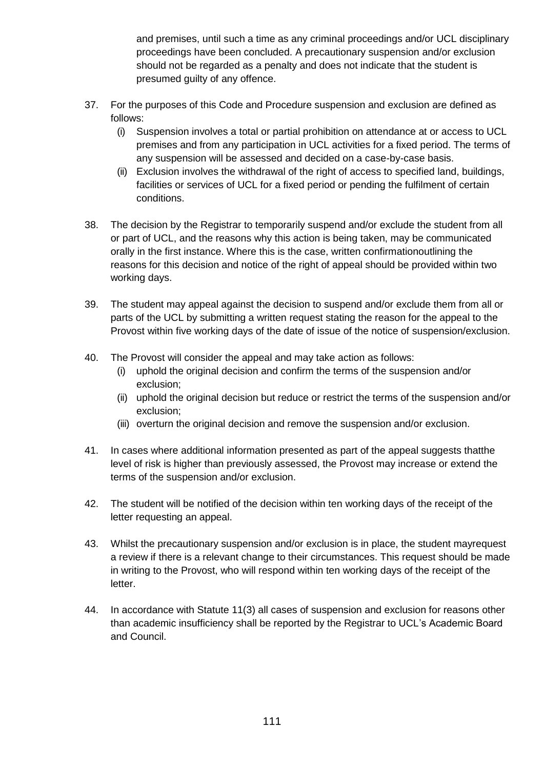and premises, until such a time as any criminal proceedings and/or UCL disciplinary proceedings have been concluded. A precautionary suspension and/or exclusion should not be regarded as a penalty and does not indicate that the student is presumed guilty of any offence.

- 37. For the purposes of this Code and Procedure suspension and exclusion are defined as follows:
	- (i) Suspension involves a total or partial prohibition on attendance at or access to UCL premises and from any participation in UCL activities for a fixed period. The terms of any suspension will be assessed and decided on a case-by-case basis.
	- (ii) Exclusion involves the withdrawal of the right of access to specified land, buildings, facilities or services of UCL for a fixed period or pending the fulfilment of certain conditions.
- 38. The decision by the Registrar to temporarily suspend and/or exclude the student from all or part of UCL, and the reasons why this action is being taken, may be communicated orally in the first instance. Where this is the case, written confirmationoutlining the reasons for this decision and notice of the right of appeal should be provided within two working days.
- 39. The student may appeal against the decision to suspend and/or exclude them from all or parts of the UCL by submitting a written request stating the reason for the appeal to the Provost within five working days of the date of issue of the notice of suspension/exclusion.
- 40. The Provost will consider the appeal and may take action as follows:
	- (i) uphold the original decision and confirm the terms of the suspension and/or exclusion;
	- (ii) uphold the original decision but reduce or restrict the terms of the suspension and/or exclusion;
	- (iii) overturn the original decision and remove the suspension and/or exclusion.
- 41. In cases where additional information presented as part of the appeal suggests thatthe level of risk is higher than previously assessed, the Provost may increase or extend the terms of the suspension and/or exclusion.
- 42. The student will be notified of the decision within ten working days of the receipt of the letter requesting an appeal.
- 43. Whilst the precautionary suspension and/or exclusion is in place, the student mayrequest a review if there is a relevant change to their circumstances. This request should be made in writing to the Provost, who will respond within ten working days of the receipt of the letter.
- 44. In accordance with Statute 11(3) all cases of suspension and exclusion for reasons other than academic insufficiency shall be reported by the Registrar to UCL's Academic Board and Council.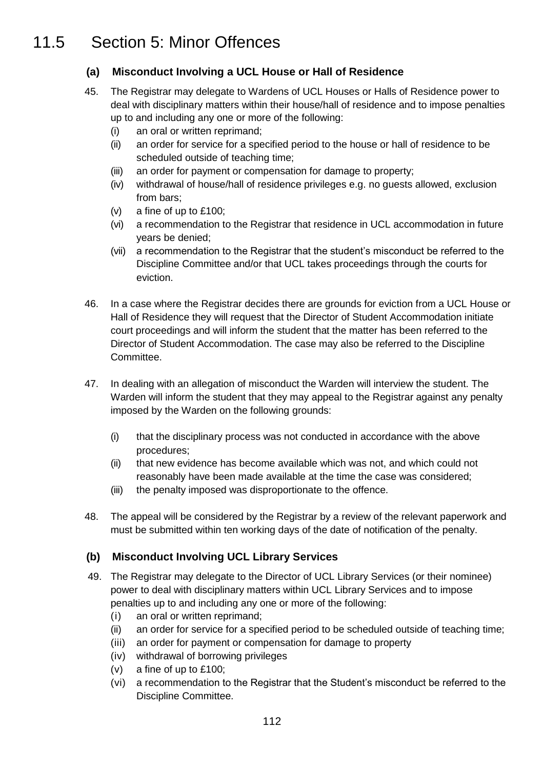## 11.5 Section 5: Minor Offences

#### **(a) Misconduct Involving a UCL House or Hall of Residence**

- 45. The Registrar may delegate to Wardens of UCL Houses or Halls of Residence power to deal with disciplinary matters within their house/hall of residence and to impose penalties up to and including any one or more of the following:
	- (i) an oral or written reprimand;
	- (ii) an order for service for a specified period to the house or hall of residence to be scheduled outside of teaching time;
	- (iii) an order for payment or compensation for damage to property;
	- (iv) withdrawal of house/hall of residence privileges e.g. no guests allowed, exclusion from bars;
	- (v) a fine of up to £100;
	- (vi) a recommendation to the Registrar that residence in UCL accommodation in future years be denied;
	- (vii) a recommendation to the Registrar that the student's misconduct be referred to the Discipline Committee and/or that UCL takes proceedings through the courts for eviction.
- 46. In a case where the Registrar decides there are grounds for eviction from a UCL House or Hall of Residence they will request that the Director of Student Accommodation initiate court proceedings and will inform the student that the matter has been referred to the Director of Student Accommodation. The case may also be referred to the Discipline Committee.
- 47. In dealing with an allegation of misconduct the Warden will interview the student. The Warden will inform the student that they may appeal to the Registrar against any penalty imposed by the Warden on the following grounds:
	- (i) that the disciplinary process was not conducted in accordance with the above procedures;
	- (ii) that new evidence has become available which was not, and which could not reasonably have been made available at the time the case was considered;
	- (iii) the penalty imposed was disproportionate to the offence.
- 48. The appeal will be considered by the Registrar by a review of the relevant paperwork and must be submitted within ten working days of the date of notification of the penalty.

#### **(b) Misconduct Involving UCL Library Services**

- 49. The Registrar may delegate to the Director of UCL Library Services (or their nominee) power to deal with disciplinary matters within UCL Library Services and to impose penalties up to and including any one or more of the following:
	- (i) an oral or written reprimand;
	- (ii) an order for service for a specified period to be scheduled outside of teaching time;
	- (iii) an order for payment or compensation for damage to property
	- (iv) withdrawal of borrowing privileges
	- (v) a fine of up to £100;
	- (vi) a recommendation to the Registrar that the Student's misconduct be referred to the Discipline Committee.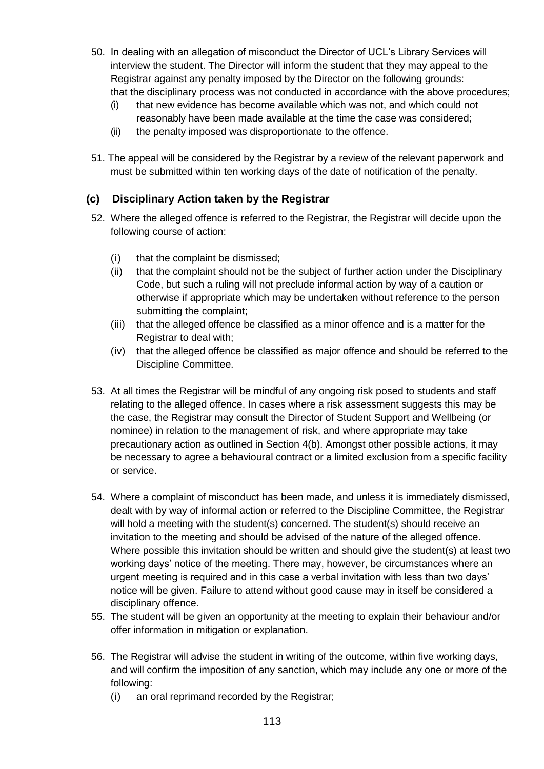- 50. In dealing with an allegation of misconduct the Director of UCL's Library Services will interview the student. The Director will inform the student that they may appeal to the Registrar against any penalty imposed by the Director on the following grounds: that the disciplinary process was not conducted in accordance with the above procedures;
	- (i) that new evidence has become available which was not, and which could not reasonably have been made available at the time the case was considered;
	- (ii) the penalty imposed was disproportionate to the offence.
- 51. The appeal will be considered by the Registrar by a review of the relevant paperwork and must be submitted within ten working days of the date of notification of the penalty.

#### **(c) Disciplinary Action taken by the Registrar**

- 52. Where the alleged offence is referred to the Registrar, the Registrar will decide upon the following course of action:
	- (i) that the complaint be dismissed;
	- (ii) that the complaint should not be the subject of further action under the Disciplinary Code, but such a ruling will not preclude informal action by way of a caution or otherwise if appropriate which may be undertaken without reference to the person submitting the complaint;
	- (iii) that the alleged offence be classified as a minor offence and is a matter for the Registrar to deal with;
	- (iv) that the alleged offence be classified as major offence and should be referred to the Discipline Committee.
- 53. At all times the Registrar will be mindful of any ongoing risk posed to students and staff relating to the alleged offence. In cases where a risk assessment suggests this may be the case, the Registrar may consult the Director of Student Support and Wellbeing (or nominee) in relation to the management of risk, and where appropriate may take precautionary action as outlined in Section 4(b). Amongst other possible actions, it may be necessary to agree a behavioural contract or a limited exclusion from a specific facility or service.
- 54. Where a complaint of misconduct has been made, and unless it is immediately dismissed, dealt with by way of informal action or referred to the Discipline Committee, the Registrar will hold a meeting with the student(s) concerned. The student(s) should receive an invitation to the meeting and should be advised of the nature of the alleged offence. Where possible this invitation should be written and should give the student(s) at least two working days' notice of the meeting. There may, however, be circumstances where an urgent meeting is required and in this case a verbal invitation with less than two days' notice will be given. Failure to attend without good cause may in itself be considered a disciplinary offence.
- 55. The student will be given an opportunity at the meeting to explain their behaviour and/or offer information in mitigation or explanation.
- 56. The Registrar will advise the student in writing of the outcome, within five working days, and will confirm the imposition of any sanction, which may include any one or more of the following:
	- (i) an oral reprimand recorded by the Registrar;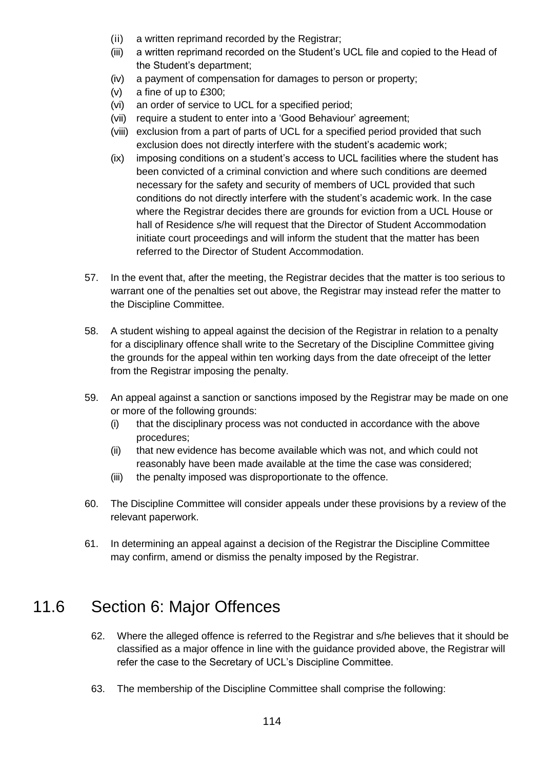- (ii) a written reprimand recorded by the Registrar;
- (iii) a written reprimand recorded on the Student's UCL file and copied to the Head of the Student's department;
- (iv) a payment of compensation for damages to person or property;
- (v) a fine of up to £300;
- (vi) an order of service to UCL for a specified period;
- (vii) require a student to enter into a 'Good Behaviour' agreement;
- (viii) exclusion from a part of parts of UCL for a specified period provided that such exclusion does not directly interfere with the student's academic work;
- (ix) imposing conditions on a student's access to UCL facilities where the student has been convicted of a criminal conviction and where such conditions are deemed necessary for the safety and security of members of UCL provided that such conditions do not directly interfere with the student's academic work. In the case where the Registrar decides there are grounds for eviction from a UCL House or hall of Residence s/he will request that the Director of Student Accommodation initiate court proceedings and will inform the student that the matter has been referred to the Director of Student Accommodation.
- 57. In the event that, after the meeting, the Registrar decides that the matter is too serious to warrant one of the penalties set out above, the Registrar may instead refer the matter to the Discipline Committee.
- 58. A student wishing to appeal against the decision of the Registrar in relation to a penalty for a disciplinary offence shall write to the Secretary of the Discipline Committee giving the grounds for the appeal within ten working days from the date ofreceipt of the letter from the Registrar imposing the penalty.
- 59. An appeal against a sanction or sanctions imposed by the Registrar may be made on one or more of the following grounds:
	- (i) that the disciplinary process was not conducted in accordance with the above procedures;
	- (ii) that new evidence has become available which was not, and which could not reasonably have been made available at the time the case was considered;
	- (iii) the penalty imposed was disproportionate to the offence.
- 60. The Discipline Committee will consider appeals under these provisions by a review of the relevant paperwork.
- 61. In determining an appeal against a decision of the Registrar the Discipline Committee may confirm, amend or dismiss the penalty imposed by the Registrar.

## 11.6 Section 6: Major Offences

- 62. Where the alleged offence is referred to the Registrar and s/he believes that it should be classified as a major offence in line with the guidance provided above, the Registrar will refer the case to the Secretary of UCL's Discipline Committee.
- 63. The membership of the Discipline Committee shall comprise the following: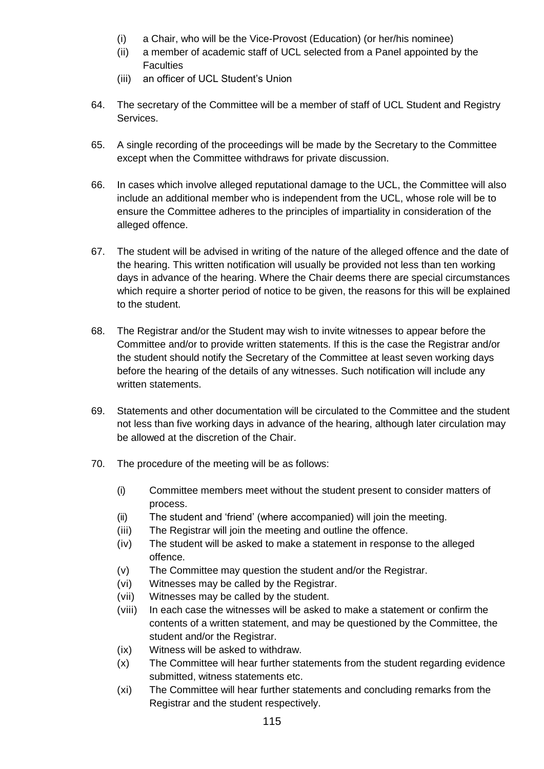- (i) a Chair, who will be the Vice-Provost (Education) (or her/his nominee)
- (ii) a member of academic staff of UCL selected from a Panel appointed by the **Faculties**
- (iii) an officer of UCL Student's Union
- 64. The secretary of the Committee will be a member of staff of UCL Student and Registry Services.
- 65. A single recording of the proceedings will be made by the Secretary to the Committee except when the Committee withdraws for private discussion.
- 66. In cases which involve alleged reputational damage to the UCL, the Committee will also include an additional member who is independent from the UCL, whose role will be to ensure the Committee adheres to the principles of impartiality in consideration of the alleged offence.
- 67. The student will be advised in writing of the nature of the alleged offence and the date of the hearing. This written notification will usually be provided not less than ten working days in advance of the hearing. Where the Chair deems there are special circumstances which require a shorter period of notice to be given, the reasons for this will be explained to the student.
- 68. The Registrar and/or the Student may wish to invite witnesses to appear before the Committee and/or to provide written statements. If this is the case the Registrar and/or the student should notify the Secretary of the Committee at least seven working days before the hearing of the details of any witnesses. Such notification will include any written statements.
- 69. Statements and other documentation will be circulated to the Committee and the student not less than five working days in advance of the hearing, although later circulation may be allowed at the discretion of the Chair.
- 70. The procedure of the meeting will be as follows:
	- (i) Committee members meet without the student present to consider matters of process.
	- (ii) The student and 'friend' (where accompanied) will join the meeting.
	- (iii) The Registrar will join the meeting and outline the offence.
	- (iv) The student will be asked to make a statement in response to the alleged offence.
	- (v) The Committee may question the student and/or the Registrar.
	- (vi) Witnesses may be called by the Registrar.
	- (vii) Witnesses may be called by the student.
	- (viii) In each case the witnesses will be asked to make a statement or confirm the contents of a written statement, and may be questioned by the Committee, the student and/or the Registrar.
	- (ix) Witness will be asked to withdraw.
	- (x) The Committee will hear further statements from the student regarding evidence submitted, witness statements etc.
	- (xi) The Committee will hear further statements and concluding remarks from the Registrar and the student respectively.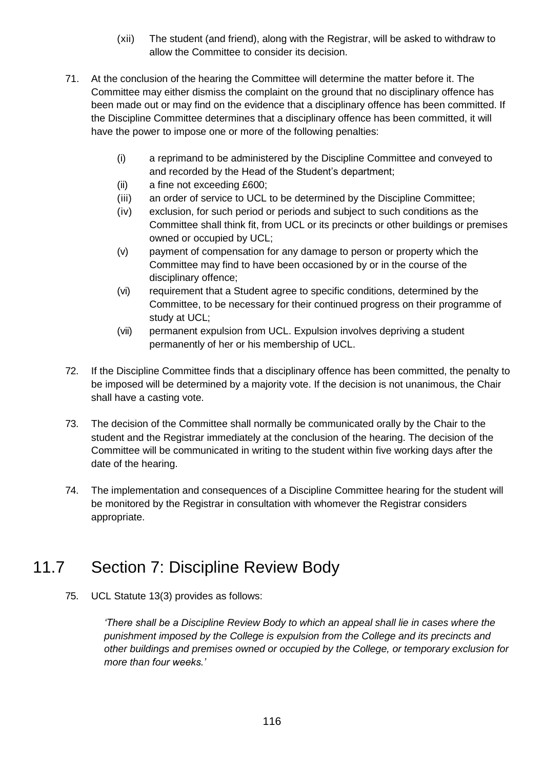- (xii) The student (and friend), along with the Registrar, will be asked to withdraw to allow the Committee to consider its decision.
- 71. At the conclusion of the hearing the Committee will determine the matter before it. The Committee may either dismiss the complaint on the ground that no disciplinary offence has been made out or may find on the evidence that a disciplinary offence has been committed. If the Discipline Committee determines that a disciplinary offence has been committed, it will have the power to impose one or more of the following penalties:
	- (i) a reprimand to be administered by the Discipline Committee and conveyed to and recorded by the Head of the Student's department;
	- (ii) a fine not exceeding £600;
	- (iii) an order of service to UCL to be determined by the Discipline Committee;
	- (iv) exclusion, for such period or periods and subject to such conditions as the Committee shall think fit, from UCL or its precincts or other buildings or premises owned or occupied by UCL;
	- (v) payment of compensation for any damage to person or property which the Committee may find to have been occasioned by or in the course of the disciplinary offence;
	- (vi) requirement that a Student agree to specific conditions, determined by the Committee, to be necessary for their continued progress on their programme of study at UCL;
	- (vii) permanent expulsion from UCL. Expulsion involves depriving a student permanently of her or his membership of UCL.
- 72. If the Discipline Committee finds that a disciplinary offence has been committed, the penalty to be imposed will be determined by a majority vote. If the decision is not unanimous, the Chair shall have a casting vote.
- 73. The decision of the Committee shall normally be communicated orally by the Chair to the student and the Registrar immediately at the conclusion of the hearing. The decision of the Committee will be communicated in writing to the student within five working days after the date of the hearing.
- 74. The implementation and consequences of a Discipline Committee hearing for the student will be monitored by the Registrar in consultation with whomever the Registrar considers appropriate.

## 11.7 Section 7: Discipline Review Body

75. UCL Statute 13(3) provides as follows:

*'There shall be a Discipline Review Body to which an appeal shall lie in cases where the punishment imposed by the College is expulsion from the College and its precincts and other buildings and premises owned or occupied by the College, or temporary exclusion for more than four weeks.'*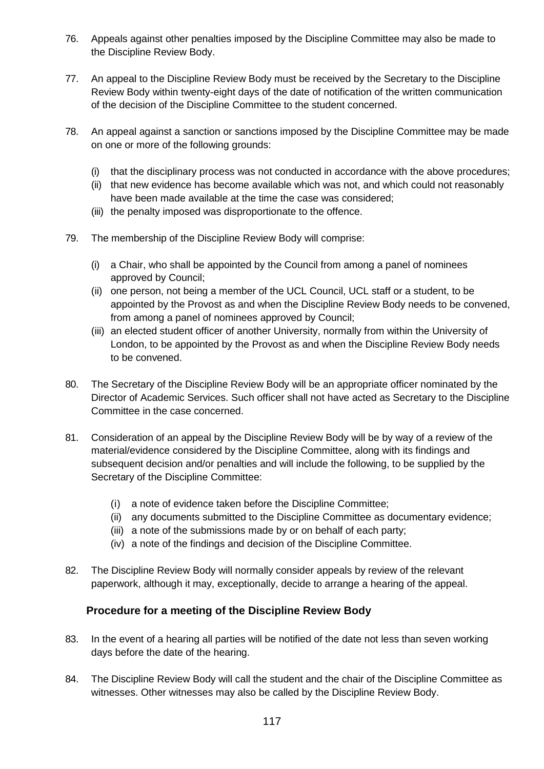- 76. Appeals against other penalties imposed by the Discipline Committee may also be made to the Discipline Review Body.
- 77. An appeal to the Discipline Review Body must be received by the Secretary to the Discipline Review Body within twenty-eight days of the date of notification of the written communication of the decision of the Discipline Committee to the student concerned.
- 78. An appeal against a sanction or sanctions imposed by the Discipline Committee may be made on one or more of the following grounds:
	- (i) that the disciplinary process was not conducted in accordance with the above procedures;
	- (ii) that new evidence has become available which was not, and which could not reasonably have been made available at the time the case was considered;
	- (iii) the penalty imposed was disproportionate to the offence.
- 79. The membership of the Discipline Review Body will comprise:
	- (i) a Chair, who shall be appointed by the Council from among a panel of nominees approved by Council;
	- (ii) one person, not being a member of the UCL Council, UCL staff or a student, to be appointed by the Provost as and when the Discipline Review Body needs to be convened, from among a panel of nominees approved by Council;
	- (iii) an elected student officer of another University, normally from within the University of London, to be appointed by the Provost as and when the Discipline Review Body needs to be convened.
- 80. The Secretary of the Discipline Review Body will be an appropriate officer nominated by the Director of Academic Services. Such officer shall not have acted as Secretary to the Discipline Committee in the case concerned.
- 81. Consideration of an appeal by the Discipline Review Body will be by way of a review of the material/evidence considered by the Discipline Committee, along with its findings and subsequent decision and/or penalties and will include the following, to be supplied by the Secretary of the Discipline Committee:
	- (i) a note of evidence taken before the Discipline Committee;
	- (ii) any documents submitted to the Discipline Committee as documentary evidence;
	- (iii) a note of the submissions made by or on behalf of each party;
	- (iv) a note of the findings and decision of the Discipline Committee.
- 82. The Discipline Review Body will normally consider appeals by review of the relevant paperwork, although it may, exceptionally, decide to arrange a hearing of the appeal.

#### **Procedure for a meeting of the Discipline Review Body**

- 83. In the event of a hearing all parties will be notified of the date not less than seven working days before the date of the hearing.
- 84. The Discipline Review Body will call the student and the chair of the Discipline Committee as witnesses. Other witnesses may also be called by the Discipline Review Body.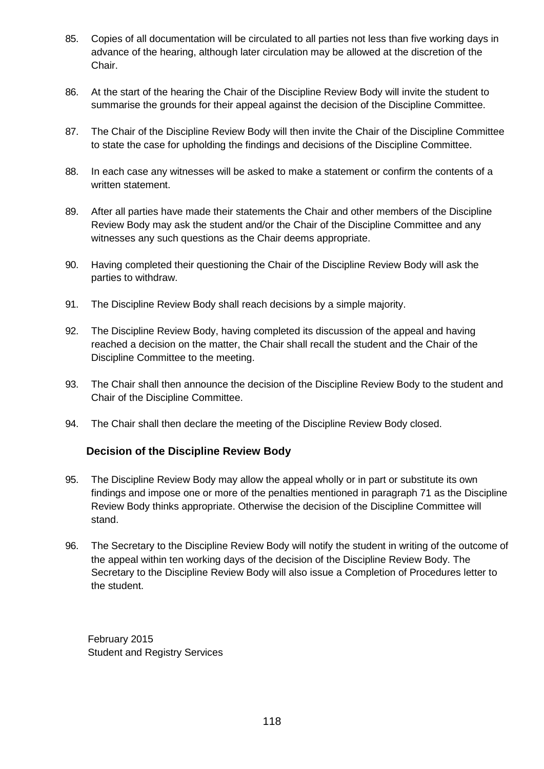- 85. Copies of all documentation will be circulated to all parties not less than five working days in advance of the hearing, although later circulation may be allowed at the discretion of the Chair.
- 86. At the start of the hearing the Chair of the Discipline Review Body will invite the student to summarise the grounds for their appeal against the decision of the Discipline Committee.
- 87. The Chair of the Discipline Review Body will then invite the Chair of the Discipline Committee to state the case for upholding the findings and decisions of the Discipline Committee.
- 88. In each case any witnesses will be asked to make a statement or confirm the contents of a written statement.
- 89. After all parties have made their statements the Chair and other members of the Discipline Review Body may ask the student and/or the Chair of the Discipline Committee and any witnesses any such questions as the Chair deems appropriate.
- 90. Having completed their questioning the Chair of the Discipline Review Body will ask the parties to withdraw.
- 91. The Discipline Review Body shall reach decisions by a simple majority.
- 92. The Discipline Review Body, having completed its discussion of the appeal and having reached a decision on the matter, the Chair shall recall the student and the Chair of the Discipline Committee to the meeting.
- 93. The Chair shall then announce the decision of the Discipline Review Body to the student and Chair of the Discipline Committee.
- 94. The Chair shall then declare the meeting of the Discipline Review Body closed.

#### **Decision of the Discipline Review Body**

- 95. The Discipline Review Body may allow the appeal wholly or in part or substitute its own findings and impose one or more of the penalties mentioned in paragraph 71 as the Discipline Review Body thinks appropriate. Otherwise the decision of the Discipline Committee will stand.
- 96. The Secretary to the Discipline Review Body will notify the student in writing of the outcome of the appeal within ten working days of the decision of the Discipline Review Body. The Secretary to the Discipline Review Body will also issue a Completion of Procedures letter to the student.

February 2015 Student and Registry Services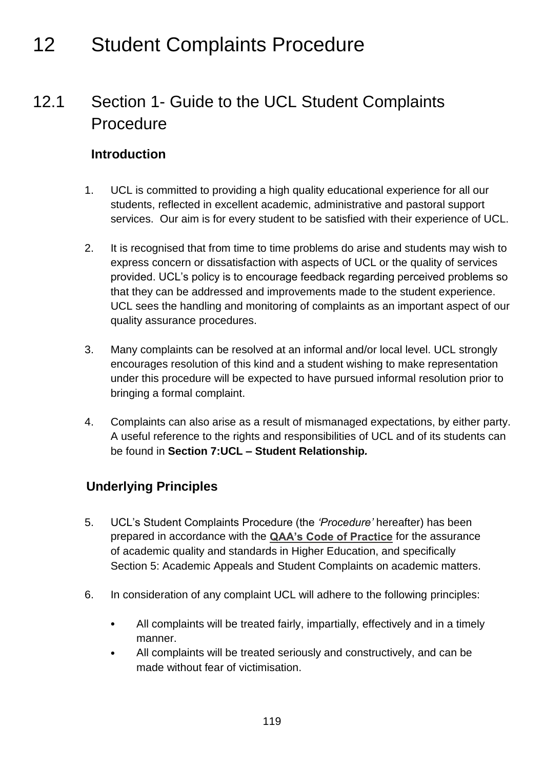# 12 Student Complaints Procedure

## 12.1 Section 1- Guide to the UCL Student Complaints Procedure

#### **Introduction**

- 1. UCL is committed to providing a high quality educational experience for all our students, reflected in excellent academic, administrative and pastoral support services. Our aim is for every student to be satisfied with their experience of UCL.
- 2. It is recognised that from time to time problems do arise and students may wish to express concern or dissatisfaction with aspects of UCL or the quality of services provided. UCL's policy is to encourage feedback regarding perceived problems so that they can be addressed and improvements made to the student experience. UCL sees the handling and monitoring of complaints as an important aspect of our quality assurance procedures.
- 3. Many complaints can be resolved at an informal and/or local level. UCL strongly encourages resolution of this kind and a student wishing to make representation under this procedure will be expected to have pursued informal resolution prior to bringing a formal complaint.
- 4. Complaints can also arise as a result of mismanaged expectations, by either party. A useful reference to the rights and responsibilities of UCL and of its students can be found in **Section 7:UCL – Student Relationship***.*

### **Underlying Principles**

- 5. UCL's Student Complaints Procedure (the *'Procedure'* hereafter) has been prepared in accordance with the **[QAA's Code of Practice](http://www.qaa.ac.uk/Publications/InformationAndGuidance/Pages/Code-of-practice-Section-5.aspx)** for the assurance of academic quality and standards in Higher Education, and specifically Section 5: Academic Appeals and Student Complaints on academic matters.
- 6. In consideration of any complaint UCL will adhere to the following principles:
	- All complaints will be treated fairly, impartially, effectively and in a timely manner.
	- All complaints will be treated seriously and constructively, and can be made without fear of victimisation.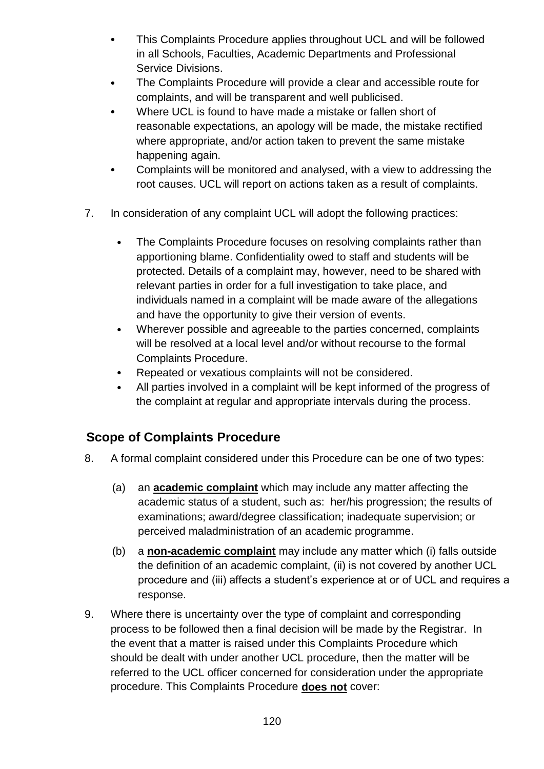- This Complaints Procedure applies throughout UCL and will be followed in all Schools, Faculties, Academic Departments and Professional Service Divisions.
- The Complaints Procedure will provide a clear and accessible route for complaints, and will be transparent and well publicised.
- Where UCL is found to have made a mistake or fallen short of reasonable expectations, an apology will be made, the mistake rectified where appropriate, and/or action taken to prevent the same mistake happening again.
- Complaints will be monitored and analysed, with a view to addressing the root causes. UCL will report on actions taken as a result of complaints.
- 7. In consideration of any complaint UCL will adopt the following practices:
	- The Complaints Procedure focuses on resolving complaints rather than apportioning blame. Confidentiality owed to staff and students will be protected. Details of a complaint may, however, need to be shared with relevant parties in order for a full investigation to take place, and individuals named in a complaint will be made aware of the allegations and have the opportunity to give their version of events.
	- Wherever possible and agreeable to the parties concerned, complaints will be resolved at a local level and/or without recourse to the formal Complaints Procedure.
	- Repeated or vexatious complaints will not be considered.
	- All parties involved in a complaint will be kept informed of the progress of the complaint at regular and appropriate intervals during the process.

### **Scope of Complaints Procedure**

- 8. A formal complaint considered under this Procedure can be one of two types:
	- (a) an **academic complaint** which may include any matter affecting the academic status of a student, such as: her/his progression; the results of examinations; award/degree classification; inadequate supervision; or perceived maladministration of an academic programme.
	- (b) a **non-academic complaint** may include any matter which (i) falls outside the definition of an academic complaint, (ii) is not covered by another UCL procedure and (iii) affects a student's experience at or of UCL and requires a response.
- 9. Where there is uncertainty over the type of complaint and corresponding process to be followed then a final decision will be made by the Registrar. In the event that a matter is raised under this Complaints Procedure which should be dealt with under another UCL procedure, then the matter will be referred to the UCL officer concerned for consideration under the appropriate procedure. This Complaints Procedure **does not** cover: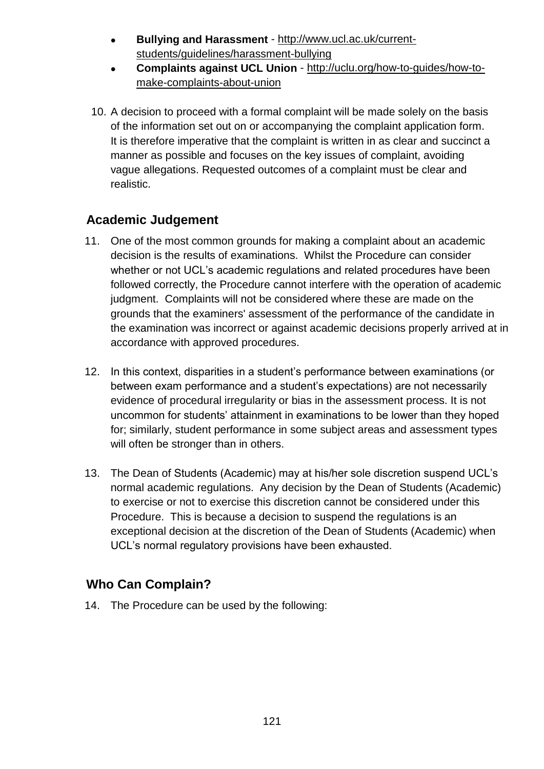- **Bullying and Harassment** [http://www.ucl.ac.uk/current](http://www.ucl.ac.uk/current-students/guidelines/harassment-bullying)[students/guidelines/harassment-bullying](http://www.ucl.ac.uk/current-students/guidelines/harassment-bullying)
- **Complaints against UCL Union** [http://uclu.org/how-to-guides/how-to](http://uclu.org/how-to-guides/how-to-make-complaints-about-union)[make-complaints-about-union](http://uclu.org/how-to-guides/how-to-make-complaints-about-union)
- 10. A decision to proceed with a formal complaint will be made solely on the basis of the information set out on or accompanying the complaint application form. It is therefore imperative that the complaint is written in as clear and succinct a manner as possible and focuses on the key issues of complaint, avoiding vague allegations. Requested outcomes of a complaint must be clear and realistic.

#### **Academic Judgement**

- 11. One of the most common grounds for making a complaint about an academic decision is the results of examinations. Whilst the Procedure can consider whether or not UCL's academic regulations and related procedures have been followed correctly, the Procedure cannot interfere with the operation of academic judgment. Complaints will not be considered where these are made on the grounds that the examiners' assessment of the performance of the candidate in the examination was incorrect or against academic decisions properly arrived at in accordance with approved procedures.
- 12. In this context, disparities in a student's performance between examinations (or between exam performance and a student's expectations) are not necessarily evidence of procedural irregularity or bias in the assessment process. It is not uncommon for students' attainment in examinations to be lower than they hoped for; similarly, student performance in some subject areas and assessment types will often be stronger than in others.
- 13. The Dean of Students (Academic) may at his/her sole discretion suspend UCL's normal academic regulations. Any decision by the Dean of Students (Academic) to exercise or not to exercise this discretion cannot be considered under this Procedure. This is because a decision to suspend the regulations is an exceptional decision at the discretion of the Dean of Students (Academic) when UCL's normal regulatory provisions have been exhausted.

### **Who Can Complain?**

14. The Procedure can be used by the following: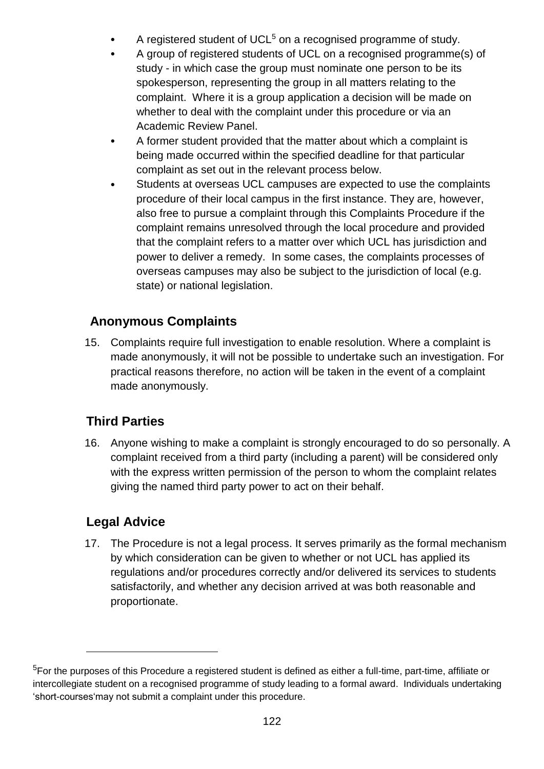- A registered student of UCL<sup>5</sup> on a recognised programme of study.
- A group of registered students of UCL on a recognised programme(s) of study - in which case the group must nominate one person to be its spokesperson, representing the group in all matters relating to the complaint. Where it is a group application a decision will be made on whether to deal with the complaint under this procedure or via an Academic Review Panel.
- A former student provided that the matter about which a complaint is being made occurred within the specified deadline for that particular complaint as set out in the relevant process below.
- Students at overseas UCL campuses are expected to use the complaints procedure of their local campus in the first instance. They are, however, also free to pursue a complaint through this Complaints Procedure if the complaint remains unresolved through the local procedure and provided that the complaint refers to a matter over which UCL has jurisdiction and power to deliver a remedy. In some cases, the complaints processes of overseas campuses may also be subject to the jurisdiction of local (e.g. state) or national legislation.

### **Anonymous Complaints**

15. Complaints require full investigation to enable resolution. Where a complaint is made anonymously, it will not be possible to undertake such an investigation. For practical reasons therefore, no action will be taken in the event of a complaint made anonymously.

### **Third Parties**

16. Anyone wishing to make a complaint is strongly encouraged to do so personally. A complaint received from a third party (including a parent) will be considered only with the express written permission of the person to whom the complaint relates giving the named third party power to act on their behalf.

### **Legal Advice**

1

17. The Procedure is not a legal process. It serves primarily as the formal mechanism by which consideration can be given to whether or not UCL has applied its regulations and/or procedures correctly and/or delivered its services to students satisfactorily, and whether any decision arrived at was both reasonable and proportionate.

<sup>5</sup>For the purposes of this Procedure a registered student is defined as either a full-time, part-time, affiliate or intercollegiate student on a recognised programme of study leading to a formal award. Individuals undertaking 'short-courses'may not submit a complaint under this procedure.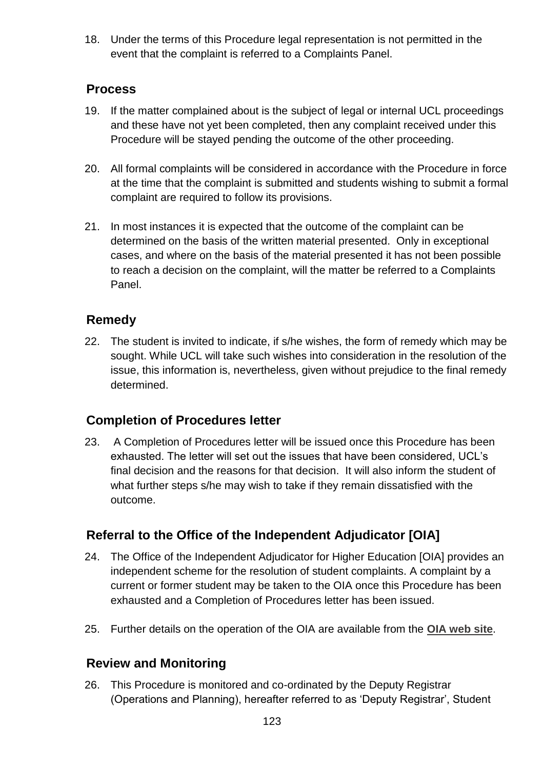18. Under the terms of this Procedure legal representation is not permitted in the event that the complaint is referred to a Complaints Panel.

#### **Process**

- 19. If the matter complained about is the subject of legal or internal UCL proceedings and these have not yet been completed, then any complaint received under this Procedure will be stayed pending the outcome of the other proceeding.
- 20. All formal complaints will be considered in accordance with the Procedure in force at the time that the complaint is submitted and students wishing to submit a formal complaint are required to follow its provisions.
- 21. In most instances it is expected that the outcome of the complaint can be determined on the basis of the written material presented. Only in exceptional cases, and where on the basis of the material presented it has not been possible to reach a decision on the complaint, will the matter be referred to a Complaints Panel.

### **Remedy**

22. The student is invited to indicate, if s/he wishes, the form of remedy which may be sought. While UCL will take such wishes into consideration in the resolution of the issue, this information is, nevertheless, given without prejudice to the final remedy determined.

### **Completion of Procedures letter**

23. A Completion of Procedures letter will be issued once this Procedure has been exhausted. The letter will set out the issues that have been considered, UCL's final decision and the reasons for that decision. It will also inform the student of what further steps s/he may wish to take if they remain dissatisfied with the outcome.

### **Referral to the Office of the Independent Adjudicator [OIA]**

- 24. The Office of the Independent Adjudicator for Higher Education [OIA] provides an independent scheme for the resolution of student complaints. A complaint by a current or former student may be taken to the OIA once this Procedure has been exhausted and a Completion of Procedures letter has been issued.
- 25. Further details on the operation of the OIA are available from the **[OIA web site](http://www.oiahe.org.uk/)**.

### **Review and Monitoring**

26. This Procedure is monitored and co-ordinated by the Deputy Registrar (Operations and Planning), hereafter referred to as 'Deputy Registrar', Student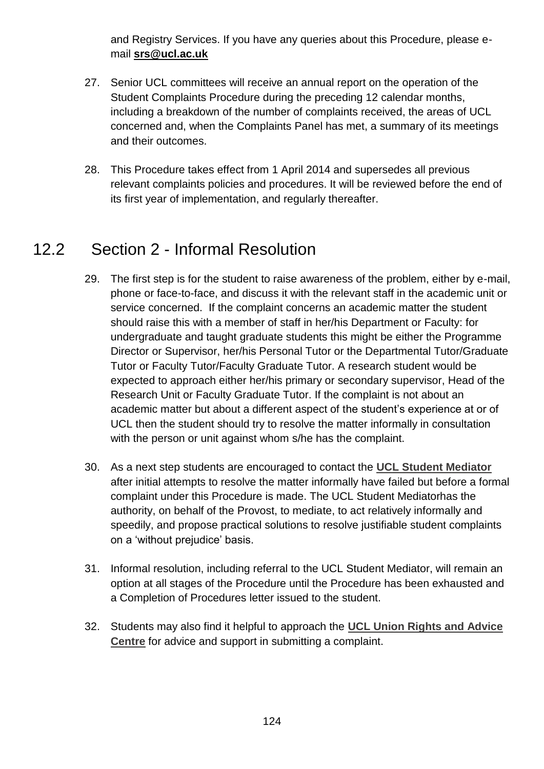and Registry Services. If you have any queries about this Procedure, please email **[srs@ucl.ac.uk](mailto:srs@ucl.ac.uk)**

- 27. Senior UCL committees will receive an annual report on the operation of the Student Complaints Procedure during the preceding 12 calendar months, including a breakdown of the number of complaints received, the areas of UCL concerned and, when the Complaints Panel has met, a summary of its meetings and their outcomes.
- 28. This Procedure takes effect from 1 April 2014 and supersedes all previous relevant complaints policies and procedures. It will be reviewed before the end of its first year of implementation, and regularly thereafter.

## 12.2 Section 2 - Informal Resolution

- 29. The first step is for the student to raise awareness of the problem, either by e-mail, phone or face-to-face, and discuss it with the relevant staff in the academic unit or service concerned. If the complaint concerns an academic matter the student should raise this with a member of staff in her/his Department or Faculty: for undergraduate and taught graduate students this might be either the Programme Director or Supervisor, her/his Personal Tutor or the Departmental Tutor/Graduate Tutor or Faculty Tutor/Faculty Graduate Tutor. A research student would be expected to approach either her/his primary or secondary supervisor, Head of the Research Unit or Faculty Graduate Tutor. If the complaint is not about an academic matter but about a different aspect of the student's experience at or of UCL then the student should try to resolve the matter informally in consultation with the person or unit against whom s/he has the complaint.
- 30. As a next step students are encouraged to contact the **[UCL Student Mediator](http://www.ucl.ac.uk/student-mediator)** after initial attempts to resolve the matter informally have failed but before a formal complaint under this Procedure is made. The UCL Student Mediatorhas the authority, on behalf of the Provost, to mediate, to act relatively informally and speedily, and propose practical solutions to resolve justifiable student complaints on a 'without prejudice' basis.
- 31. Informal resolution, including referral to the UCL Student Mediator, will remain an option at all stages of the Procedure until the Procedure has been exhausted and a Completion of Procedures letter issued to the student.
- 32. Students may also find it helpful to approach the **[UCL Union Rights and Advice](http://www.uclunion.org/get-advice/)  [Centre](http://www.uclunion.org/get-advice/)** for advice and support in submitting a complaint.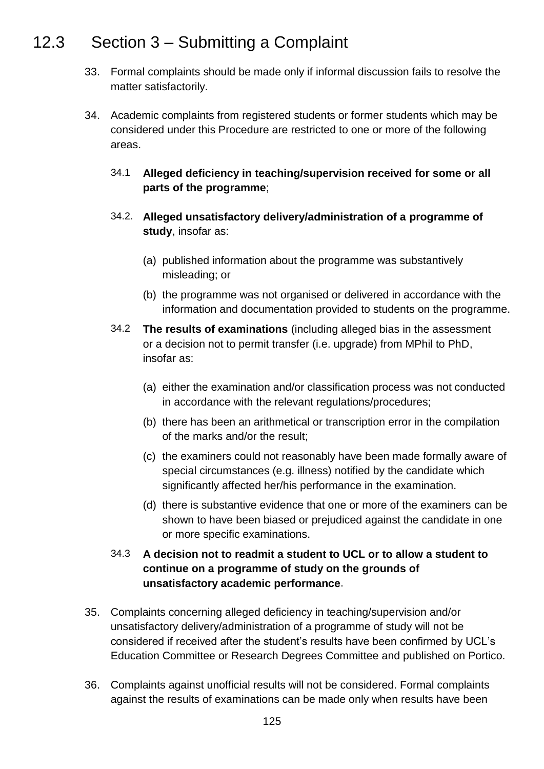## 12.3 Section 3 – Submitting a Complaint

- 33. Formal complaints should be made only if informal discussion fails to resolve the matter satisfactorily.
- 34. Academic complaints from registered students or former students which may be considered under this Procedure are restricted to one or more of the following areas.
	- 34.1 **Alleged deficiency in teaching/supervision received for some or all parts of the programme**;
	- 34.2. **Alleged unsatisfactory delivery/administration of a programme of study**, insofar as:
		- (a) published information about the programme was substantively misleading; or
		- (b) the programme was not organised or delivered in accordance with the information and documentation provided to students on the programme.
	- 34.2 **The results of examinations** (including alleged bias in the assessment or a decision not to permit transfer (i.e. upgrade) from MPhil to PhD, insofar as:
		- (a) either the examination and/or classification process was not conducted in accordance with the relevant regulations/procedures;
		- (b) there has been an arithmetical or transcription error in the compilation of the marks and/or the result;
		- (c) the examiners could not reasonably have been made formally aware of special circumstances (e.g. illness) notified by the candidate which significantly affected her/his performance in the examination.
		- (d) there is substantive evidence that one or more of the examiners can be shown to have been biased or prejudiced against the candidate in one or more specific examinations.

#### 34.3 **A decision not to readmit a student to UCL or to allow a student to continue on a programme of study on the grounds of unsatisfactory academic performance**.

- 35. Complaints concerning alleged deficiency in teaching/supervision and/or unsatisfactory delivery/administration of a programme of study will not be considered if received after the student's results have been confirmed by UCL's Education Committee or Research Degrees Committee and published on Portico.
- 36. Complaints against unofficial results will not be considered. Formal complaints against the results of examinations can be made only when results have been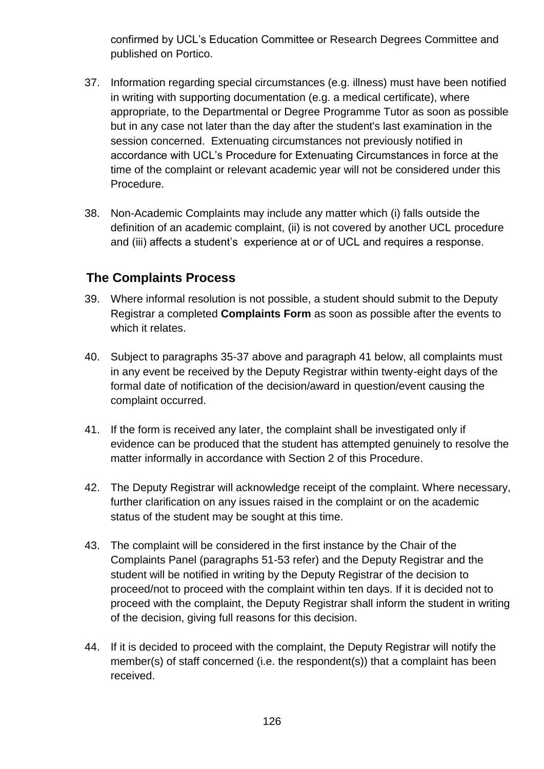confirmed by UCL's Education Committee or Research Degrees Committee and published on Portico.

- 37. Information regarding special circumstances (e.g. illness) must have been notified in writing with supporting documentation (e.g. a medical certificate), where appropriate, to the Departmental or Degree Programme Tutor as soon as possible but in any case not later than the day after the student's last examination in the session concerned. Extenuating circumstances not previously notified in accordance with UCL's Procedure for Extenuating Circumstances in force at the time of the complaint or relevant academic year will not be considered under this Procedure.
- 38. Non-Academic Complaints may include any matter which (i) falls outside the definition of an academic complaint, (ii) is not covered by another UCL procedure and (iii) affects a student's experience at or of UCL and requires a response.

#### **The Complaints Process**

- 39. Where informal resolution is not possible, a student should submit to the Deputy Registrar a completed **Complaints Form** as soon as possible after the events to which it relates.
- 40. Subject to paragraphs 35-37 above and paragraph 41 below, all complaints must in any event be received by the Deputy Registrar within twenty-eight days of the formal date of notification of the decision/award in question/event causing the complaint occurred.
- 41. If the form is received any later, the complaint shall be investigated only if evidence can be produced that the student has attempted genuinely to resolve the matter informally in accordance with Section 2 of this Procedure.
- 42. The Deputy Registrar will acknowledge receipt of the complaint. Where necessary, further clarification on any issues raised in the complaint or on the academic status of the student may be sought at this time.
- 43. The complaint will be considered in the first instance by the Chair of the Complaints Panel (paragraphs 51-53 refer) and the Deputy Registrar and the student will be notified in writing by the Deputy Registrar of the decision to proceed/not to proceed with the complaint within ten days. If it is decided not to proceed with the complaint, the Deputy Registrar shall inform the student in writing of the decision, giving full reasons for this decision.
- 44. If it is decided to proceed with the complaint, the Deputy Registrar will notify the member(s) of staff concerned (i.e. the respondent(s)) that a complaint has been received.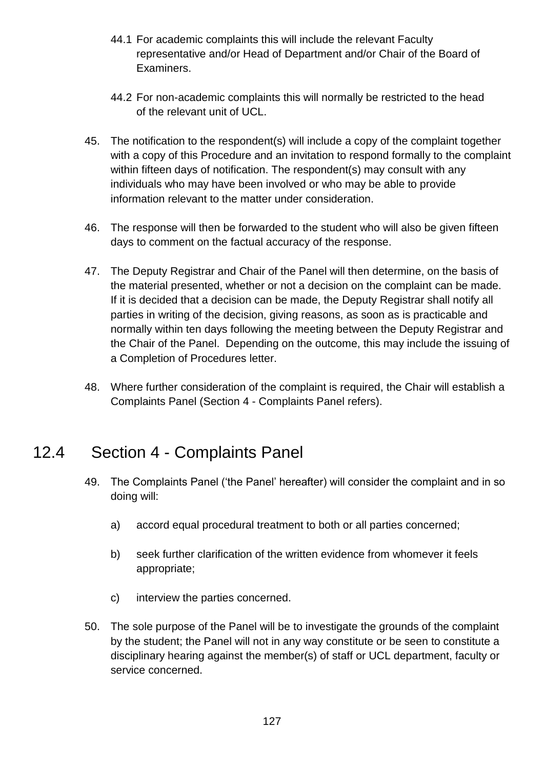- 44.1 For academic complaints this will include the relevant Faculty representative and/or Head of Department and/or Chair of the Board of Examiners.
- 44.2 For non-academic complaints this will normally be restricted to the head of the relevant unit of UCL.
- 45. The notification to the respondent(s) will include a copy of the complaint together with a copy of this Procedure and an invitation to respond formally to the complaint within fifteen days of notification. The respondent(s) may consult with any individuals who may have been involved or who may be able to provide information relevant to the matter under consideration.
- 46. The response will then be forwarded to the student who will also be given fifteen days to comment on the factual accuracy of the response.
- 47. The Deputy Registrar and Chair of the Panel will then determine, on the basis of the material presented, whether or not a decision on the complaint can be made. If it is decided that a decision can be made, the Deputy Registrar shall notify all parties in writing of the decision, giving reasons, as soon as is practicable and normally within ten days following the meeting between the Deputy Registrar and the Chair of the Panel. Depending on the outcome, this may include the issuing of a Completion of Procedures letter.
- <span id="page-126-0"></span>48. Where further consideration of the complaint is required, the Chair will establish a Complaints Panel [\(Section 4](#page-126-0) - Complaints Panel refers).

## 12.4 Section 4 - Complaints Panel

- 49. The Complaints Panel ('the Panel' hereafter) will consider the complaint and in so doing will:
	- a) accord equal procedural treatment to both or all parties concerned;
	- b) seek further clarification of the written evidence from whomever it feels appropriate;
	- c) interview the parties concerned.
- 50. The sole purpose of the Panel will be to investigate the grounds of the complaint by the student; the Panel will not in any way constitute or be seen to constitute a disciplinary hearing against the member(s) of staff or UCL department, faculty or service concerned.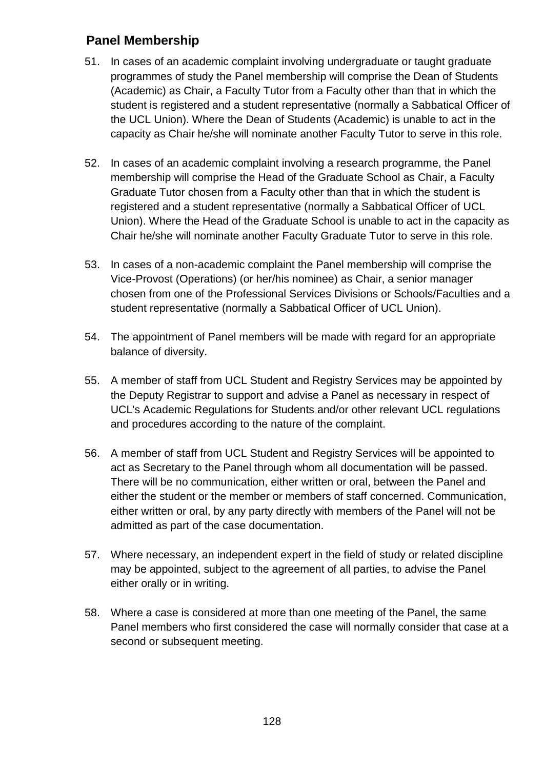#### **Panel Membership**

- 51. In cases of an academic complaint involving undergraduate or taught graduate programmes of study the Panel membership will comprise the Dean of Students (Academic) as Chair, a Faculty Tutor from a Faculty other than that in which the student is registered and a student representative (normally a Sabbatical Officer of the UCL Union). Where the Dean of Students (Academic) is unable to act in the capacity as Chair he/she will nominate another Faculty Tutor to serve in this role.
- 52. In cases of an academic complaint involving a research programme, the Panel membership will comprise the Head of the Graduate School as Chair, a Faculty Graduate Tutor chosen from a Faculty other than that in which the student is registered and a student representative (normally a Sabbatical Officer of UCL Union). Where the Head of the Graduate School is unable to act in the capacity as Chair he/she will nominate another Faculty Graduate Tutor to serve in this role.
- 53. In cases of a non-academic complaint the Panel membership will comprise the Vice-Provost (Operations) (or her/his nominee) as Chair, a senior manager chosen from one of the Professional Services Divisions or Schools/Faculties and a student representative (normally a Sabbatical Officer of UCL Union).
- 54. The appointment of Panel members will be made with regard for an appropriate balance of diversity.
- 55. A member of staff from UCL Student and Registry Services may be appointed by the Deputy Registrar to support and advise a Panel as necessary in respect of UCL's Academic Regulations for Students and/or other relevant UCL regulations and procedures according to the nature of the complaint.
- 56. A member of staff from UCL Student and Registry Services will be appointed to act as Secretary to the Panel through whom all documentation will be passed. There will be no communication, either written or oral, between the Panel and either the student or the member or members of staff concerned. Communication, either written or oral, by any party directly with members of the Panel will not be admitted as part of the case documentation.
- 57. Where necessary, an independent expert in the field of study or related discipline may be appointed, subject to the agreement of all parties, to advise the Panel either orally or in writing.
- 58. Where a case is considered at more than one meeting of the Panel, the same Panel members who first considered the case will normally consider that case at a second or subsequent meeting.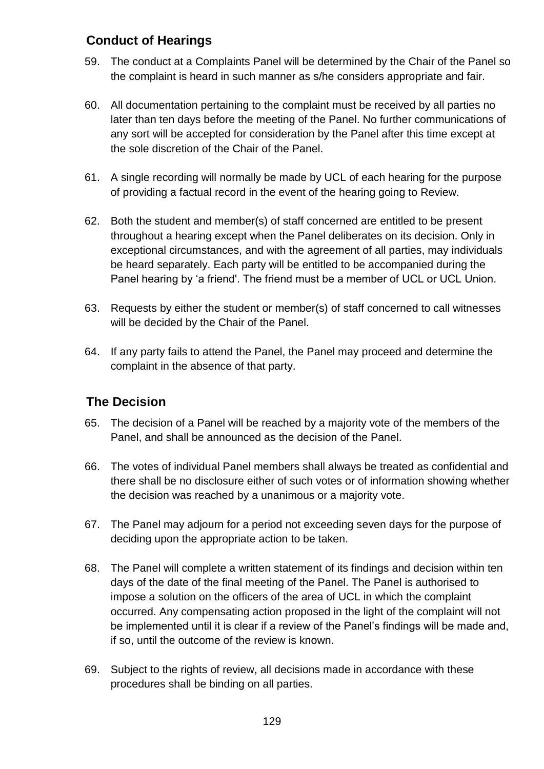#### **Conduct of Hearings**

- 59. The conduct at a Complaints Panel will be determined by the Chair of the Panel so the complaint is heard in such manner as s/he considers appropriate and fair.
- 60. All documentation pertaining to the complaint must be received by all parties no later than ten days before the meeting of the Panel. No further communications of any sort will be accepted for consideration by the Panel after this time except at the sole discretion of the Chair of the Panel.
- 61. A single recording will normally be made by UCL of each hearing for the purpose of providing a factual record in the event of the hearing going to Review.
- 62. Both the student and member(s) of staff concerned are entitled to be present throughout a hearing except when the Panel deliberates on its decision. Only in exceptional circumstances, and with the agreement of all parties, may individuals be heard separately. Each party will be entitled to be accompanied during the Panel hearing by 'a friend'. The friend must be a member of UCL or UCL Union.
- 63. Requests by either the student or member(s) of staff concerned to call witnesses will be decided by the Chair of the Panel.
- 64. If any party fails to attend the Panel, the Panel may proceed and determine the complaint in the absence of that party.

#### **The Decision**

- 65. The decision of a Panel will be reached by a majority vote of the members of the Panel, and shall be announced as the decision of the Panel.
- 66. The votes of individual Panel members shall always be treated as confidential and there shall be no disclosure either of such votes or of information showing whether the decision was reached by a unanimous or a majority vote.
- 67. The Panel may adjourn for a period not exceeding seven days for the purpose of deciding upon the appropriate action to be taken.
- 68. The Panel will complete a written statement of its findings and decision within ten days of the date of the final meeting of the Panel. The Panel is authorised to impose a solution on the officers of the area of UCL in which the complaint occurred. Any compensating action proposed in the light of the complaint will not be implemented until it is clear if a review of the Panel's findings will be made and, if so, until the outcome of the review is known.
- 69. Subject to the rights of review, all decisions made in accordance with these procedures shall be binding on all parties.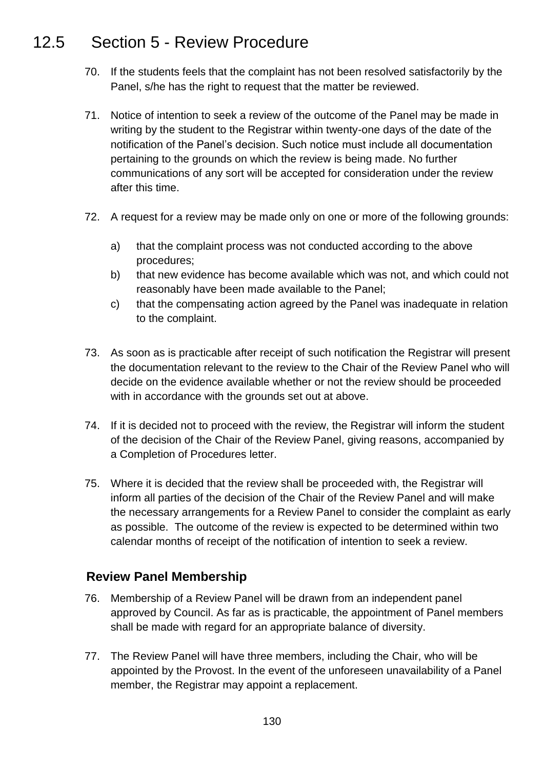## 12.5 Section 5 - Review Procedure

- 70. If the students feels that the complaint has not been resolved satisfactorily by the Panel, s/he has the right to request that the matter be reviewed.
- 71. Notice of intention to seek a review of the outcome of the Panel may be made in writing by the student to the Registrar within twenty-one days of the date of the notification of the Panel's decision. Such notice must include all documentation pertaining to the grounds on which the review is being made. No further communications of any sort will be accepted for consideration under the review after this time.
- 72. A request for a review may be made only on one or more of the following grounds:
	- a) that the complaint process was not conducted according to the above procedures;
	- b) that new evidence has become available which was not, and which could not reasonably have been made available to the Panel;
	- c) that the compensating action agreed by the Panel was inadequate in relation to the complaint.
- 73. As soon as is practicable after receipt of such notification the Registrar will present the documentation relevant to the review to the Chair of the Review Panel who will decide on the evidence available whether or not the review should be proceeded with in accordance with the grounds set out at above.
- 74. If it is decided not to proceed with the review, the Registrar will inform the student of the decision of the Chair of the Review Panel, giving reasons, accompanied by a Completion of Procedures letter.
- 75. Where it is decided that the review shall be proceeded with, the Registrar will inform all parties of the decision of the Chair of the Review Panel and will make the necessary arrangements for a Review Panel to consider the complaint as early as possible. The outcome of the review is expected to be determined within two calendar months of receipt of the notification of intention to seek a review.

#### **Review Panel Membership**

- 76. Membership of a Review Panel will be drawn from an independent panel approved by Council. As far as is practicable, the appointment of Panel members shall be made with regard for an appropriate balance of diversity.
- 77. The Review Panel will have three members, including the Chair, who will be appointed by the Provost. In the event of the unforeseen unavailability of a Panel member, the Registrar may appoint a replacement.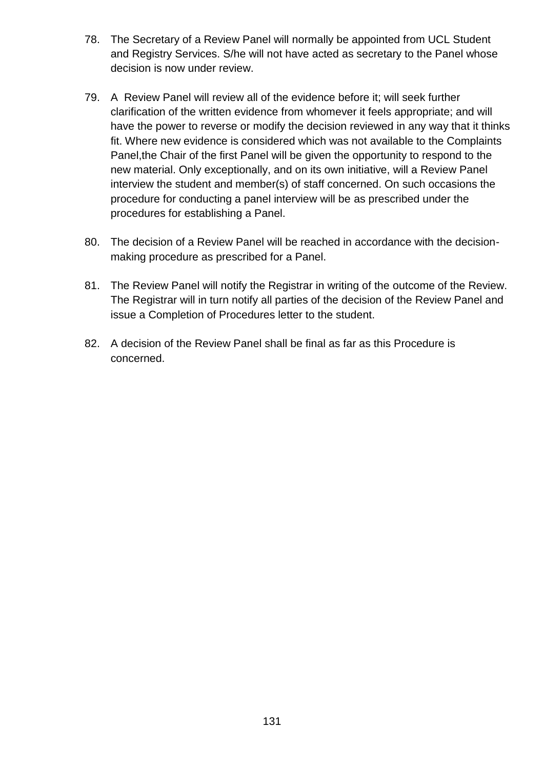- 78. The Secretary of a Review Panel will normally be appointed from UCL Student and Registry Services. S/he will not have acted as secretary to the Panel whose decision is now under review.
- 79. A Review Panel will review all of the evidence before it; will seek further clarification of the written evidence from whomever it feels appropriate; and will have the power to reverse or modify the decision reviewed in any way that it thinks fit. Where new evidence is considered which was not available to the Complaints Panel,the Chair of the first Panel will be given the opportunity to respond to the new material. Only exceptionally, and on its own initiative, will a Review Panel interview the student and member(s) of staff concerned. On such occasions the procedure for conducting a panel interview will be as prescribed under the procedures for establishing a Panel.
- 80. The decision of a Review Panel will be reached in accordance with the decisionmaking procedure as prescribed for a Panel.
- 81. The Review Panel will notify the Registrar in writing of the outcome of the Review. The Registrar will in turn notify all parties of the decision of the Review Panel and issue a Completion of Procedures letter to the student.
- 82. A decision of the Review Panel shall be final as far as this Procedure is concerned.